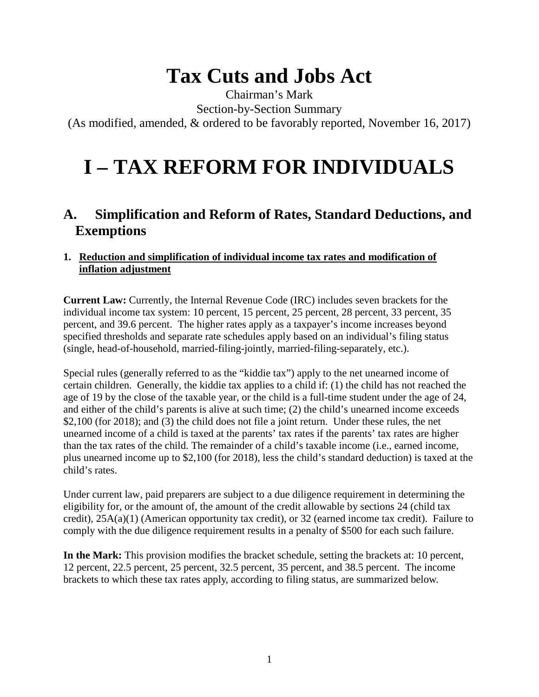# **Tax Cuts and Jobs Act**

Chairman's Mark

Section-by-Section Summary

(As modified, amended, & ordered to be favorably reported, November 16, 2017)

# **I – TAX REFORM FOR INDIVIDUALS**

# **A. Simplification and Reform of Rates, Standard Deductions, and Exemptions**

# **1. Reduction and simplification of individual income tax rates and modification of inflation adjustment**

**Current Law:** Currently, the Internal Revenue Code (IRC) includes seven brackets for the individual income tax system: 10 percent, 15 percent, 25 percent, 28 percent, 33 percent, 35 percent, and 39.6 percent. The higher rates apply as a taxpayer's income increases beyond specified thresholds and separate rate schedules apply based on an individual's filing status (single, head-of-household, married-filing-jointly, married-filing-separately, etc.).

Special rules (generally referred to as the "kiddie tax") apply to the net unearned income of certain children. Generally, the kiddie tax applies to a child if: (1) the child has not reached the age of 19 by the close of the taxable year, or the child is a full-time student under the age of 24, and either of the child's parents is alive at such time; (2) the child's unearned income exceeds \$2,100 (for 2018); and (3) the child does not file a joint return. Under these rules, the net unearned income of a child is taxed at the parents' tax rates if the parents' tax rates are higher than the tax rates of the child. The remainder of a child's taxable income (i.e., earned income, plus unearned income up to \$2,100 (for 2018), less the child's standard deduction) is taxed at the child's rates.

Under current law, paid preparers are subject to a due diligence requirement in determining the eligibility for, or the amount of, the amount of the credit allowable by sections 24 (child tax credit), 25A(a)(1) (American opportunity tax credit), or 32 (earned income tax credit). Failure to comply with the due diligence requirement results in a penalty of \$500 for each such failure.

**In the Mark:** This provision modifies the bracket schedule, setting the brackets at: 10 percent, 12 percent, 22.5 percent, 25 percent, 32.5 percent, 35 percent, and 38.5 percent. The income brackets to which these tax rates apply, according to filing status, are summarized below.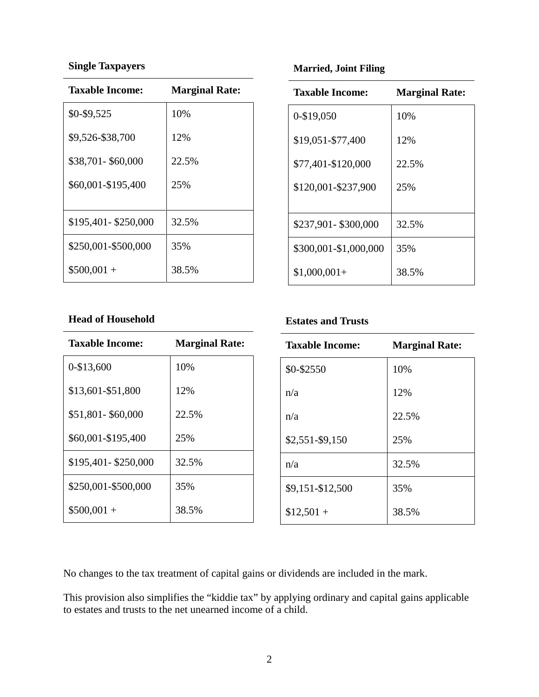#### **Single Taxpayers**

| Taxable Income:       | <b>Marginal Rate:</b> |
|-----------------------|-----------------------|
| \$0-\$9,525           | 10%                   |
| \$9,526-\$38,700      | 12%                   |
| \$38,701-\$60,000     | 22.5%                 |
| \$60,001-\$195,400    | 25%                   |
|                       |                       |
| \$195,401 - \$250,000 | 32.5%                 |
| \$250,001-\$500,000   | 35%                   |
| $$500,001+$           | 38.5%                 |

#### **Married, Joint Filing**

| <b>Taxable Income:</b> | <b>Marginal Rate:</b> |
|------------------------|-----------------------|
| 0-\$19,050             | 10%                   |
| \$19,051-\$77,400      | 12%                   |
| \$77,401-\$120,000     | 22.5%                 |
| \$120,001-\$237,900    | 25%                   |
|                        |                       |
| \$237,901-\$300,000    | 32.5%                 |
| \$300,001-\$1,000,000  | 35%                   |
| $$1,000,001+$          | 38.5%                 |

#### **Head of Household**

| <b>Taxable Income:</b> | <b>Marginal Rate:</b> |
|------------------------|-----------------------|
| 0-\$13,600             | 10%                   |
| \$13,601-\$51,800      | 12%                   |
| \$51,801-\$60,000      | 22.5%                 |
| \$60,001-\$195,400     | 25%                   |
| \$195,401 - \$250,000  | 32.5%                 |
| \$250,001-\$500,000    | 35%                   |
| $$500,001 +$           | 38.5%                 |

### **Estates and Trusts**

| <b>Taxable Income:</b> | <b>Marginal Rate:</b> |
|------------------------|-----------------------|
| \$0-\$2550             | 10%                   |
| n/a                    | 12%                   |
| n/a                    | 22.5%                 |
| \$2,551-\$9,150        | 25%                   |
| n/a                    | 32.5%                 |
| \$9,151-\$12,500       | 35%                   |
| $$12,501 +$            | 38.5%                 |

No changes to the tax treatment of capital gains or dividends are included in the mark.

This provision also simplifies the "kiddie tax" by applying ordinary and capital gains applicable to estates and trusts to the net unearned income of a child.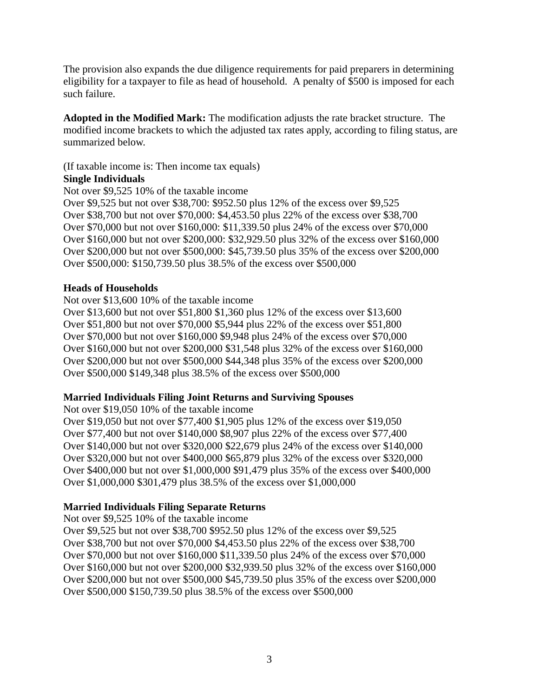The provision also expands the due diligence requirements for paid preparers in determining eligibility for a taxpayer to file as head of household. A penalty of \$500 is imposed for each such failure.

**Adopted in the Modified Mark:** The modification adjusts the rate bracket structure. The modified income brackets to which the adjusted tax rates apply, according to filing status, are summarized below.

(If taxable income is: Then income tax equals)

#### **Single Individuals**

Not over \$9,525 10% of the taxable income

Over \$9,525 but not over \$38,700: \$952.50 plus 12% of the excess over \$9,525 Over \$38,700 but not over \$70,000: \$4,453.50 plus 22% of the excess over \$38,700 Over \$70,000 but not over \$160,000: \$11,339.50 plus 24% of the excess over \$70,000 Over \$160,000 but not over \$200,000: \$32,929.50 plus 32% of the excess over \$160,000 Over \$200,000 but not over \$500,000: \$45,739.50 plus 35% of the excess over \$200,000 Over \$500,000: \$150,739.50 plus 38.5% of the excess over \$500,000

#### **Heads of Households**

Not over \$13,600 10% of the taxable income

Over \$13,600 but not over \$51,800 \$1,360 plus 12% of the excess over \$13,600 Over \$51,800 but not over \$70,000 \$5,944 plus 22% of the excess over \$51,800 Over \$70,000 but not over \$160,000 \$9,948 plus 24% of the excess over \$70,000 Over \$160,000 but not over \$200,000 \$31,548 plus 32% of the excess over \$160,000 Over \$200,000 but not over \$500,000 \$44,348 plus 35% of the excess over \$200,000 Over \$500,000 \$149,348 plus 38.5% of the excess over \$500,000

#### **Married Individuals Filing Joint Returns and Surviving Spouses**

Not over \$19,050 10% of the taxable income Over \$19,050 but not over \$77,400 \$1,905 plus 12% of the excess over \$19,050 Over \$77,400 but not over \$140,000 \$8,907 plus 22% of the excess over \$77,400 Over \$140,000 but not over \$320,000 \$22,679 plus 24% of the excess over \$140,000 Over \$320,000 but not over \$400,000 \$65,879 plus 32% of the excess over \$320,000 Over \$400,000 but not over \$1,000,000 \$91,479 plus 35% of the excess over \$400,000 Over \$1,000,000 \$301,479 plus 38.5% of the excess over \$1,000,000

#### **Married Individuals Filing Separate Returns**

Not over \$9,525 10% of the taxable income

Over \$9,525 but not over \$38,700 \$952.50 plus 12% of the excess over \$9,525 Over \$38,700 but not over \$70,000 \$4,453.50 plus 22% of the excess over \$38,700 Over \$70,000 but not over \$160,000 \$11,339.50 plus 24% of the excess over \$70,000 Over \$160,000 but not over \$200,000 \$32,939.50 plus 32% of the excess over \$160,000 Over \$200,000 but not over \$500,000 \$45,739.50 plus 35% of the excess over \$200,000 Over \$500,000 \$150,739.50 plus 38.5% of the excess over \$500,000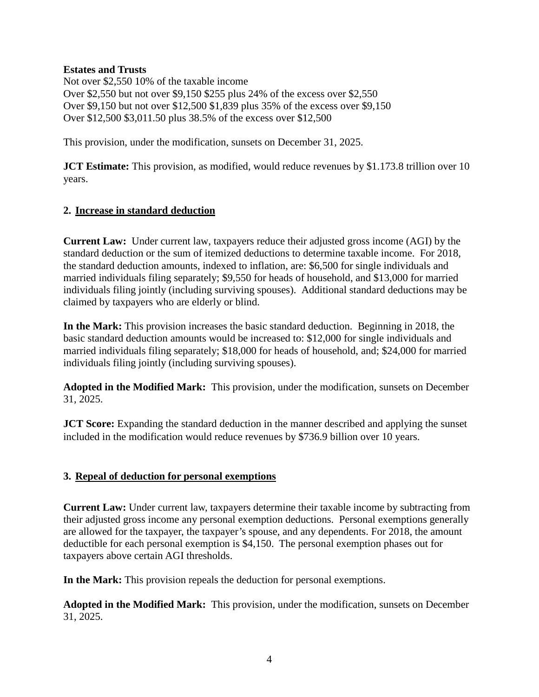#### **Estates and Trusts**

Not over \$2,550 10% of the taxable income Over \$2,550 but not over \$9,150 \$255 plus 24% of the excess over \$2,550 Over \$9,150 but not over \$12,500 \$1,839 plus 35% of the excess over \$9,150 Over \$12,500 \$3,011.50 plus 38.5% of the excess over \$12,500

This provision, under the modification, sunsets on December 31, 2025.

**JCT Estimate:** This provision, as modified, would reduce revenues by \$1.173.8 trillion over 10 years.

#### **2. Increase in standard deduction**

**Current Law:** Under current law, taxpayers reduce their adjusted gross income (AGI) by the standard deduction or the sum of itemized deductions to determine taxable income. For 2018, the standard deduction amounts, indexed to inflation, are: \$6,500 for single individuals and married individuals filing separately; \$9,550 for heads of household, and \$13,000 for married individuals filing jointly (including surviving spouses). Additional standard deductions may be claimed by taxpayers who are elderly or blind.

**In the Mark:** This provision increases the basic standard deduction. Beginning in 2018, the basic standard deduction amounts would be increased to: \$12,000 for single individuals and married individuals filing separately; \$18,000 for heads of household, and; \$24,000 for married individuals filing jointly (including surviving spouses).

**Adopted in the Modified Mark:** This provision, under the modification, sunsets on December 31, 2025.

**JCT Score:** Expanding the standard deduction in the manner described and applying the sunset included in the modification would reduce revenues by \$736.9 billion over 10 years.

#### **3. Repeal of deduction for personal exemptions**

**Current Law:** Under current law, taxpayers determine their taxable income by subtracting from their adjusted gross income any personal exemption deductions. Personal exemptions generally are allowed for the taxpayer, the taxpayer's spouse, and any dependents. For 2018, the amount deductible for each personal exemption is \$4,150. The personal exemption phases out for taxpayers above certain AGI thresholds.

**In the Mark:** This provision repeals the deduction for personal exemptions.

**Adopted in the Modified Mark:** This provision, under the modification, sunsets on December 31, 2025.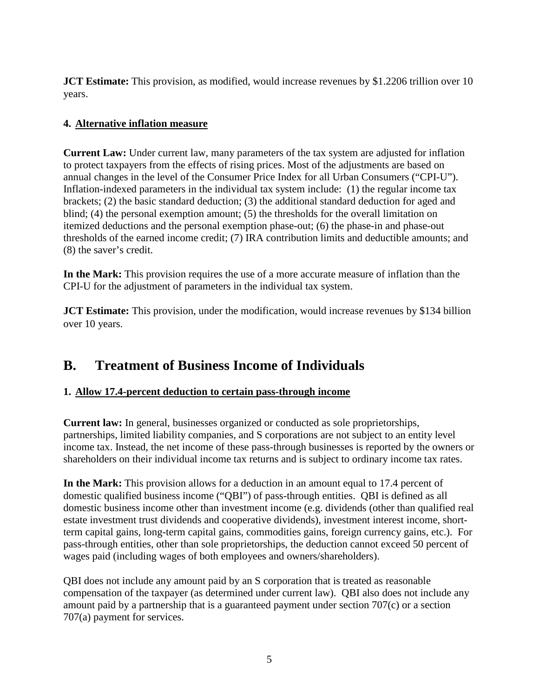**JCT Estimate:** This provision, as modified, would increase revenues by \$1.2206 trillion over 10 years.

# **4. Alternative inflation measure**

**Current Law:** Under current law, many parameters of the tax system are adjusted for inflation to protect taxpayers from the effects of rising prices. Most of the adjustments are based on annual changes in the level of the Consumer Price Index for all Urban Consumers ("CPI-U"). Inflation-indexed parameters in the individual tax system include: (1) the regular income tax brackets; (2) the basic standard deduction; (3) the additional standard deduction for aged and blind; (4) the personal exemption amount; (5) the thresholds for the overall limitation on itemized deductions and the personal exemption phase-out; (6) the phase-in and phase-out thresholds of the earned income credit; (7) IRA contribution limits and deductible amounts; and (8) the saver's credit.

**In the Mark:** This provision requires the use of a more accurate measure of inflation than the CPI-U for the adjustment of parameters in the individual tax system.

**JCT Estimate:** This provision, under the modification, would increase revenues by \$134 billion over 10 years.

# **B. Treatment of Business Income of Individuals**

# **1. Allow 17.4-percent deduction to certain pass-through income**

**Current law:** In general, businesses organized or conducted as sole proprietorships, partnerships, limited liability companies, and S corporations are not subject to an entity level income tax. Instead, the net income of these pass-through businesses is reported by the owners or shareholders on their individual income tax returns and is subject to ordinary income tax rates.

**In the Mark:** This provision allows for a deduction in an amount equal to 17.4 percent of domestic qualified business income ("QBI") of pass-through entities. QBI is defined as all domestic business income other than investment income (e.g. dividends (other than qualified real estate investment trust dividends and cooperative dividends), investment interest income, shortterm capital gains, long-term capital gains, commodities gains, foreign currency gains, etc.). For pass-through entities, other than sole proprietorships, the deduction cannot exceed 50 percent of wages paid (including wages of both employees and owners/shareholders).

QBI does not include any amount paid by an S corporation that is treated as reasonable compensation of the taxpayer (as determined under current law). QBI also does not include any amount paid by a partnership that is a guaranteed payment under section 707(c) or a section 707(a) payment for services.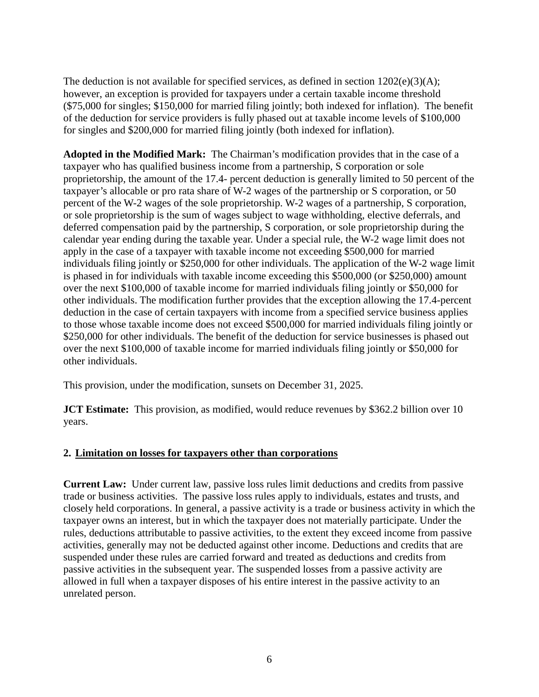The deduction is not available for specified services, as defined in section 1202(e)(3)(A); however, an exception is provided for taxpayers under a certain taxable income threshold (\$75,000 for singles; \$150,000 for married filing jointly; both indexed for inflation). The benefit of the deduction for service providers is fully phased out at taxable income levels of \$100,000 for singles and \$200,000 for married filing jointly (both indexed for inflation).

**Adopted in the Modified Mark:** The Chairman's modification provides that in the case of a taxpayer who has qualified business income from a partnership, S corporation or sole proprietorship, the amount of the 17.4- percent deduction is generally limited to 50 percent of the taxpayer's allocable or pro rata share of W-2 wages of the partnership or S corporation, or 50 percent of the W-2 wages of the sole proprietorship. W-2 wages of a partnership, S corporation, or sole proprietorship is the sum of wages subject to wage withholding, elective deferrals, and deferred compensation paid by the partnership, S corporation, or sole proprietorship during the calendar year ending during the taxable year. Under a special rule, the W-2 wage limit does not apply in the case of a taxpayer with taxable income not exceeding \$500,000 for married individuals filing jointly or \$250,000 for other individuals. The application of the W-2 wage limit is phased in for individuals with taxable income exceeding this \$500,000 (or \$250,000) amount over the next \$100,000 of taxable income for married individuals filing jointly or \$50,000 for other individuals. The modification further provides that the exception allowing the 17.4-percent deduction in the case of certain taxpayers with income from a specified service business applies to those whose taxable income does not exceed \$500,000 for married individuals filing jointly or \$250,000 for other individuals. The benefit of the deduction for service businesses is phased out over the next \$100,000 of taxable income for married individuals filing jointly or \$50,000 for other individuals.

This provision, under the modification, sunsets on December 31, 2025.

**JCT Estimate:** This provision, as modified, would reduce revenues by \$362.2 billion over 10 years.

#### **2. Limitation on losses for taxpayers other than corporations**

**Current Law:** Under current law, passive loss rules limit deductions and credits from passive trade or business activities. The passive loss rules apply to individuals, estates and trusts, and closely held corporations. In general, a passive activity is a trade or business activity in which the taxpayer owns an interest, but in which the taxpayer does not materially participate. Under the rules, deductions attributable to passive activities, to the extent they exceed income from passive activities, generally may not be deducted against other income. Deductions and credits that are suspended under these rules are carried forward and treated as deductions and credits from passive activities in the subsequent year. The suspended losses from a passive activity are allowed in full when a taxpayer disposes of his entire interest in the passive activity to an unrelated person.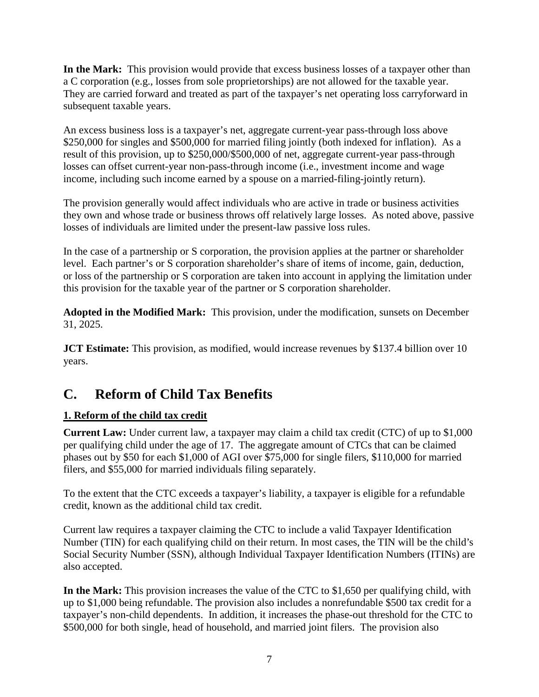**In the Mark:** This provision would provide that excess business losses of a taxpayer other than a C corporation (e.g., losses from sole proprietorships) are not allowed for the taxable year. They are carried forward and treated as part of the taxpayer's net operating loss carryforward in subsequent taxable years.

An excess business loss is a taxpayer's net, aggregate current-year pass-through loss above \$250,000 for singles and \$500,000 for married filing jointly (both indexed for inflation). As a result of this provision, up to \$250,000/\$500,000 of net, aggregate current-year pass-through losses can offset current-year non-pass-through income (i.e., investment income and wage income, including such income earned by a spouse on a married-filing-jointly return).

The provision generally would affect individuals who are active in trade or business activities they own and whose trade or business throws off relatively large losses. As noted above, passive losses of individuals are limited under the present-law passive loss rules.

In the case of a partnership or S corporation, the provision applies at the partner or shareholder level. Each partner's or S corporation shareholder's share of items of income, gain, deduction, or loss of the partnership or S corporation are taken into account in applying the limitation under this provision for the taxable year of the partner or S corporation shareholder.

**Adopted in the Modified Mark:** This provision, under the modification, sunsets on December 31, 2025.

**JCT Estimate:** This provision, as modified, would increase revenues by \$137.4 billion over 10 years.

# **C. Reform of Child Tax Benefits**

# **1. Reform of the child tax credit**

**Current Law:** Under current law, a taxpayer may claim a child tax credit (CTC) of up to \$1,000 per qualifying child under the age of 17. The aggregate amount of CTCs that can be claimed phases out by \$50 for each \$1,000 of AGI over \$75,000 for single filers, \$110,000 for married filers, and \$55,000 for married individuals filing separately.

To the extent that the CTC exceeds a taxpayer's liability, a taxpayer is eligible for a refundable credit, known as the additional child tax credit.

Current law requires a taxpayer claiming the CTC to include a valid Taxpayer Identification Number (TIN) for each qualifying child on their return. In most cases, the TIN will be the child's Social Security Number (SSN), although Individual Taxpayer Identification Numbers (ITINs) are also accepted.

**In the Mark:** This provision increases the value of the CTC to \$1,650 per qualifying child, with up to \$1,000 being refundable. The provision also includes a nonrefundable \$500 tax credit for a taxpayer's non-child dependents. In addition, it increases the phase-out threshold for the CTC to \$500,000 for both single, head of household, and married joint filers. The provision also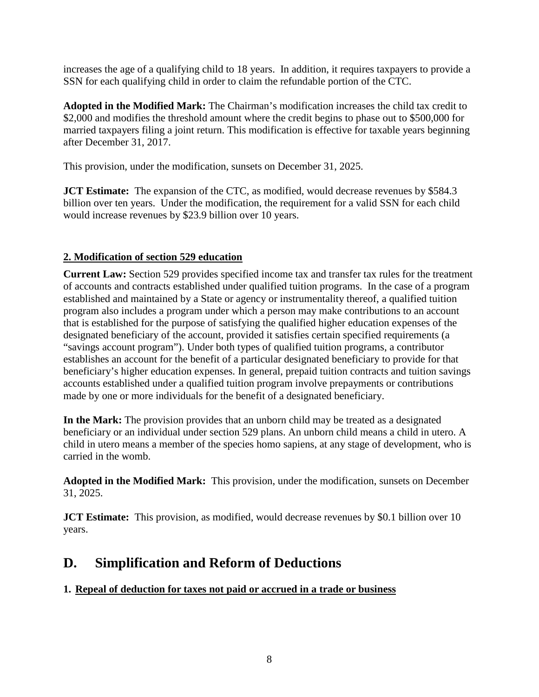increases the age of a qualifying child to 18 years. In addition, it requires taxpayers to provide a SSN for each qualifying child in order to claim the refundable portion of the CTC.

**Adopted in the Modified Mark:** The Chairman's modification increases the child tax credit to \$2,000 and modifies the threshold amount where the credit begins to phase out to \$500,000 for married taxpayers filing a joint return. This modification is effective for taxable years beginning after December 31, 2017.

This provision, under the modification, sunsets on December 31, 2025.

**JCT Estimate:** The expansion of the CTC, as modified, would decrease revenues by \$584.3 billion over ten years. Under the modification, the requirement for a valid SSN for each child would increase revenues by \$23.9 billion over 10 years.

# **2. Modification of section 529 education**

**Current Law:** Section 529 provides specified income tax and transfer tax rules for the treatment of accounts and contracts established under qualified tuition programs. In the case of a program established and maintained by a State or agency or instrumentality thereof, a qualified tuition program also includes a program under which a person may make contributions to an account that is established for the purpose of satisfying the qualified higher education expenses of the designated beneficiary of the account, provided it satisfies certain specified requirements (a "savings account program"). Under both types of qualified tuition programs, a contributor establishes an account for the benefit of a particular designated beneficiary to provide for that beneficiary's higher education expenses. In general, prepaid tuition contracts and tuition savings accounts established under a qualified tuition program involve prepayments or contributions made by one or more individuals for the benefit of a designated beneficiary.

**In the Mark:** The provision provides that an unborn child may be treated as a designated beneficiary or an individual under section 529 plans. An unborn child means a child in utero. A child in utero means a member of the species homo sapiens, at any stage of development, who is carried in the womb.

**Adopted in the Modified Mark:** This provision, under the modification, sunsets on December 31, 2025.

**JCT Estimate:** This provision, as modified, would decrease revenues by \$0.1 billion over 10 years.

# **D. Simplification and Reform of Deductions**

# **1. Repeal of deduction for taxes not paid or accrued in a trade or business**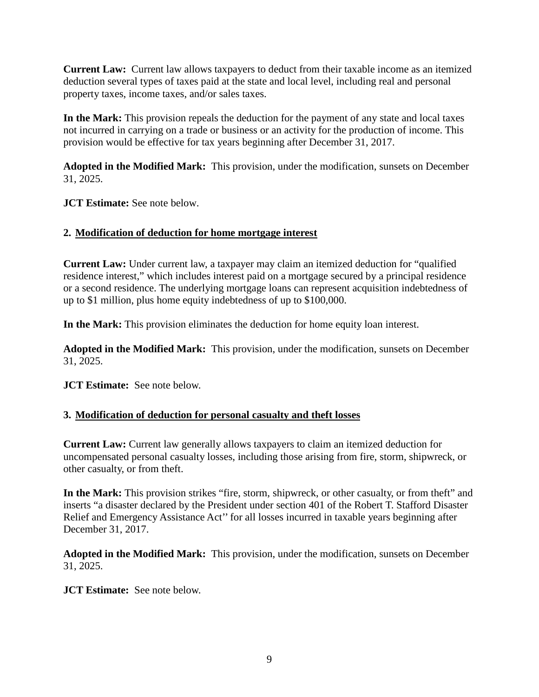**Current Law:** Current law allows taxpayers to deduct from their taxable income as an itemized deduction several types of taxes paid at the state and local level, including real and personal property taxes, income taxes, and/or sales taxes.

**In the Mark:** This provision repeals the deduction for the payment of any state and local taxes not incurred in carrying on a trade or business or an activity for the production of income. This provision would be effective for tax years beginning after December 31, 2017.

**Adopted in the Modified Mark:** This provision, under the modification, sunsets on December 31, 2025.

**JCT Estimate:** See note below.

#### **2. Modification of deduction for home mortgage interest**

**Current Law:** Under current law, a taxpayer may claim an itemized deduction for "qualified residence interest," which includes interest paid on a mortgage secured by a principal residence or a second residence. The underlying mortgage loans can represent acquisition indebtedness of up to \$1 million, plus home equity indebtedness of up to \$100,000.

**In the Mark:** This provision eliminates the deduction for home equity loan interest.

**Adopted in the Modified Mark:** This provision, under the modification, sunsets on December 31, 2025.

**JCT Estimate:** See note below.

# **3. Modification of deduction for personal casualty and theft losses**

**Current Law:** Current law generally allows taxpayers to claim an itemized deduction for uncompensated personal casualty losses, including those arising from fire, storm, shipwreck, or other casualty, or from theft.

**In the Mark:** This provision strikes "fire, storm, shipwreck, or other casualty, or from theft" and inserts "a disaster declared by the President under section 401 of the Robert T. Stafford Disaster Relief and Emergency Assistance Act'' for all losses incurred in taxable years beginning after December 31, 2017.

**Adopted in the Modified Mark:** This provision, under the modification, sunsets on December 31, 2025.

**JCT Estimate:** See note below.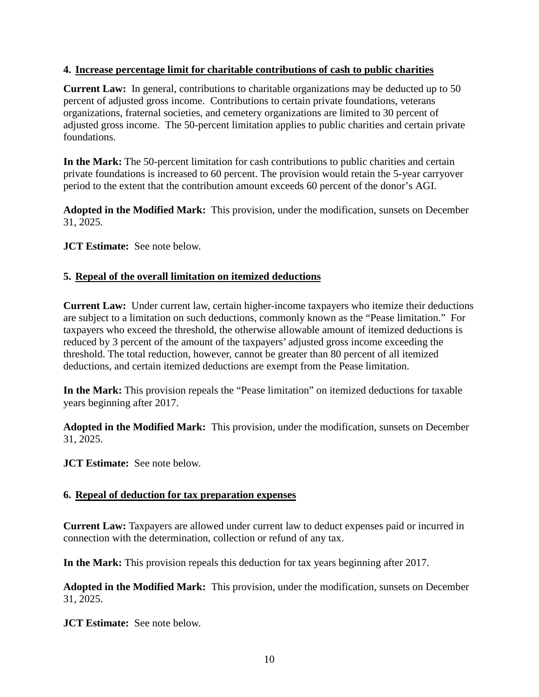#### **4. Increase percentage limit for charitable contributions of cash to public charities**

**Current Law:** In general, contributions to charitable organizations may be deducted up to 50 percent of adjusted gross income. Contributions to certain private foundations, veterans organizations, fraternal societies, and cemetery organizations are limited to 30 percent of adjusted gross income. The 50-percent limitation applies to public charities and certain private foundations.

**In the Mark:** The 50-percent limitation for cash contributions to public charities and certain private foundations is increased to 60 percent. The provision would retain the 5-year carryover period to the extent that the contribution amount exceeds 60 percent of the donor's AGI.

**Adopted in the Modified Mark:** This provision, under the modification, sunsets on December 31, 2025.

**JCT Estimate:** See note below.

#### **5. Repeal of the overall limitation on itemized deductions**

**Current Law:** Under current law, certain higher-income taxpayers who itemize their deductions are subject to a limitation on such deductions, commonly known as the "Pease limitation." For taxpayers who exceed the threshold, the otherwise allowable amount of itemized deductions is reduced by 3 percent of the amount of the taxpayers' adjusted gross income exceeding the threshold. The total reduction, however, cannot be greater than 80 percent of all itemized deductions, and certain itemized deductions are exempt from the Pease limitation.

**In the Mark:** This provision repeals the "Pease limitation" on itemized deductions for taxable years beginning after 2017.

**Adopted in the Modified Mark:** This provision, under the modification, sunsets on December 31, 2025.

**JCT Estimate:** See note below.

#### **6. Repeal of deduction for tax preparation expenses**

**Current Law:** Taxpayers are allowed under current law to deduct expenses paid or incurred in connection with the determination, collection or refund of any tax.

**In the Mark:** This provision repeals this deduction for tax years beginning after 2017.

**Adopted in the Modified Mark:** This provision, under the modification, sunsets on December 31, 2025.

**JCT Estimate:** See note below.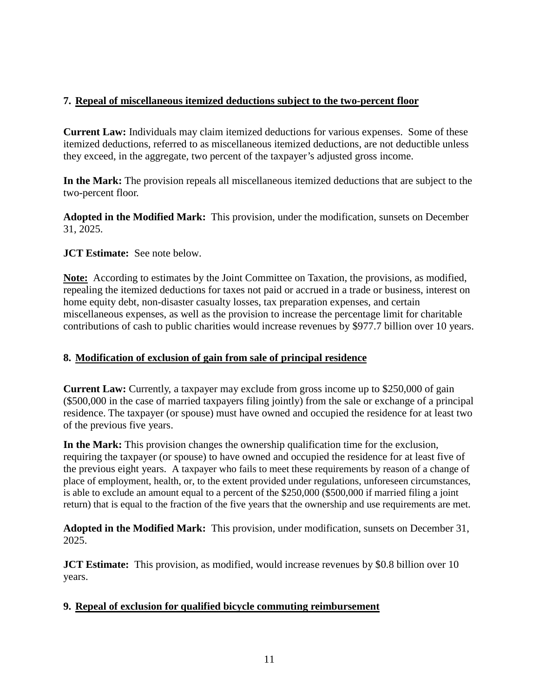#### **7. Repeal of miscellaneous itemized deductions subject to the two-percent floor**

**Current Law:** Individuals may claim itemized deductions for various expenses. Some of these itemized deductions, referred to as miscellaneous itemized deductions, are not deductible unless they exceed, in the aggregate, two percent of the taxpayer's adjusted gross income.

**In the Mark:** The provision repeals all miscellaneous itemized deductions that are subject to the two-percent floor.

**Adopted in the Modified Mark:** This provision, under the modification, sunsets on December 31, 2025.

#### **JCT Estimate:** See note below.

**Note:** According to estimates by the Joint Committee on Taxation, the provisions, as modified, repealing the itemized deductions for taxes not paid or accrued in a trade or business, interest on home equity debt, non-disaster casualty losses, tax preparation expenses, and certain miscellaneous expenses, as well as the provision to increase the percentage limit for charitable contributions of cash to public charities would increase revenues by \$977.7 billion over 10 years.

#### **8. Modification of exclusion of gain from sale of principal residence**

**Current Law:** Currently, a taxpayer may exclude from gross income up to \$250,000 of gain (\$500,000 in the case of married taxpayers filing jointly) from the sale or exchange of a principal residence. The taxpayer (or spouse) must have owned and occupied the residence for at least two of the previous five years.

**In the Mark:** This provision changes the ownership qualification time for the exclusion, requiring the taxpayer (or spouse) to have owned and occupied the residence for at least five of the previous eight years. A taxpayer who fails to meet these requirements by reason of a change of place of employment, health, or, to the extent provided under regulations, unforeseen circumstances, is able to exclude an amount equal to a percent of the \$250,000 (\$500,000 if married filing a joint return) that is equal to the fraction of the five years that the ownership and use requirements are met.

**Adopted in the Modified Mark:** This provision, under modification, sunsets on December 31, 2025.

**JCT Estimate:** This provision, as modified, would increase revenues by \$0.8 billion over 10 years.

#### **9. Repeal of exclusion for qualified bicycle commuting reimbursement**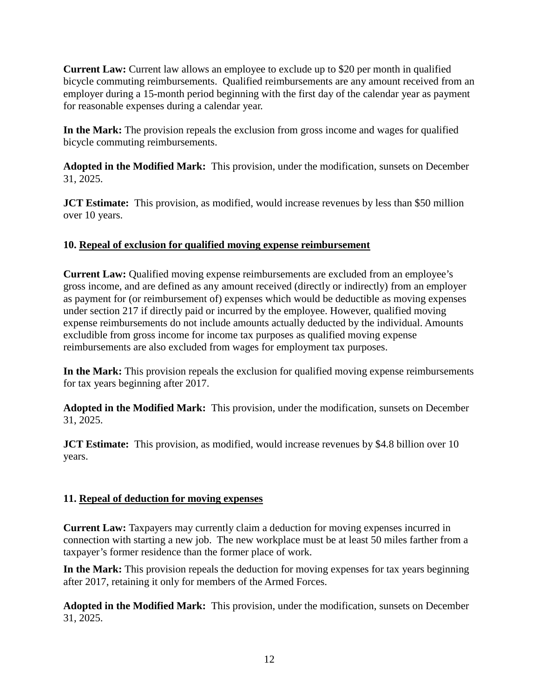**Current Law:** Current law allows an employee to exclude up to \$20 per month in qualified bicycle commuting reimbursements. Qualified reimbursements are any amount received from an employer during a 15-month period beginning with the first day of the calendar year as payment for reasonable expenses during a calendar year.

**In the Mark:** The provision repeals the exclusion from gross income and wages for qualified bicycle commuting reimbursements.

**Adopted in the Modified Mark:** This provision, under the modification, sunsets on December 31, 2025.

**JCT Estimate:** This provision, as modified, would increase revenues by less than \$50 million over 10 years.

#### **10. Repeal of exclusion for qualified moving expense reimbursement**

**Current Law:** Qualified moving expense reimbursements are excluded from an employee's gross income, and are defined as any amount received (directly or indirectly) from an employer as payment for (or reimbursement of) expenses which would be deductible as moving expenses under section 217 if directly paid or incurred by the employee. However, qualified moving expense reimbursements do not include amounts actually deducted by the individual. Amounts excludible from gross income for income tax purposes as qualified moving expense reimbursements are also excluded from wages for employment tax purposes.

**In the Mark:** This provision repeals the exclusion for qualified moving expense reimbursements for tax years beginning after 2017.

**Adopted in the Modified Mark:** This provision, under the modification, sunsets on December 31, 2025.

**JCT Estimate:** This provision, as modified, would increase revenues by \$4.8 billion over 10 years.

# **11. Repeal of deduction for moving expenses**

**Current Law:** Taxpayers may currently claim a deduction for moving expenses incurred in connection with starting a new job. The new workplace must be at least 50 miles farther from a taxpayer's former residence than the former place of work.

**In the Mark:** This provision repeals the deduction for moving expenses for tax years beginning after 2017, retaining it only for members of the Armed Forces.

**Adopted in the Modified Mark:** This provision, under the modification, sunsets on December 31, 2025.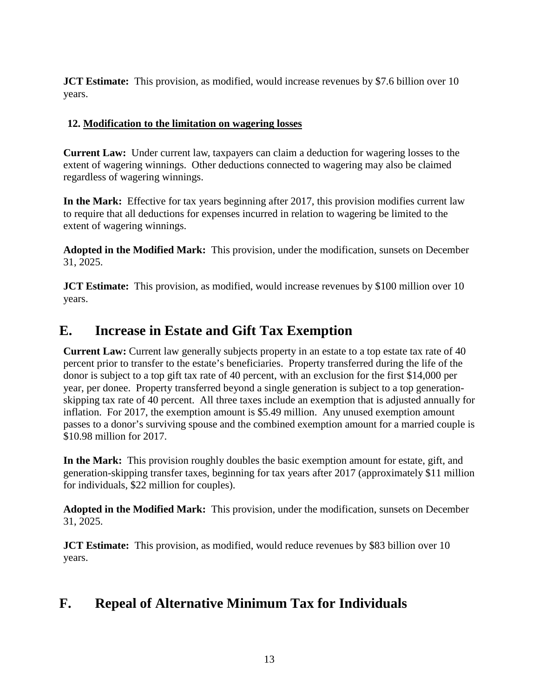**JCT Estimate:** This provision, as modified, would increase revenues by \$7.6 billion over 10 years.

# **12. Modification to the limitation on wagering losses**

**Current Law:** Under current law, taxpayers can claim a deduction for wagering losses to the extent of wagering winnings. Other deductions connected to wagering may also be claimed regardless of wagering winnings.

**In the Mark:** Effective for tax years beginning after 2017, this provision modifies current law to require that all deductions for expenses incurred in relation to wagering be limited to the extent of wagering winnings.

**Adopted in the Modified Mark:** This provision, under the modification, sunsets on December 31, 2025.

**JCT Estimate:** This provision, as modified, would increase revenues by \$100 million over 10 years.

# **E. Increase in Estate and Gift Tax Exemption**

**Current Law:** Current law generally subjects property in an estate to a top estate tax rate of 40 percent prior to transfer to the estate's beneficiaries. Property transferred during the life of the donor is subject to a top gift tax rate of 40 percent, with an exclusion for the first \$14,000 per year, per donee. Property transferred beyond a single generation is subject to a top generationskipping tax rate of 40 percent. All three taxes include an exemption that is adjusted annually for inflation. For 2017, the exemption amount is \$5.49 million. Any unused exemption amount passes to a donor's surviving spouse and the combined exemption amount for a married couple is \$10.98 million for 2017.

**In the Mark:** This provision roughly doubles the basic exemption amount for estate, gift, and generation-skipping transfer taxes, beginning for tax years after 2017 (approximately \$11 million for individuals, \$22 million for couples).

**Adopted in the Modified Mark:** This provision, under the modification, sunsets on December 31, 2025.

**JCT Estimate:** This provision, as modified, would reduce revenues by \$83 billion over 10 years.

# **F. Repeal of Alternative Minimum Tax for Individuals**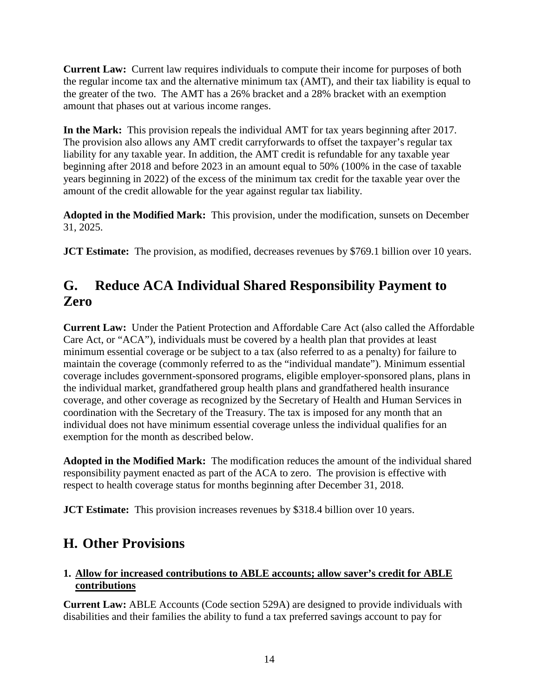**Current Law:** Current law requires individuals to compute their income for purposes of both the regular income tax and the alternative minimum tax (AMT), and their tax liability is equal to the greater of the two. The AMT has a 26% bracket and a 28% bracket with an exemption amount that phases out at various income ranges.

**In the Mark:** This provision repeals the individual AMT for tax years beginning after 2017. The provision also allows any AMT credit carryforwards to offset the taxpayer's regular tax liability for any taxable year. In addition, the AMT credit is refundable for any taxable year beginning after 2018 and before 2023 in an amount equal to 50% (100% in the case of taxable years beginning in 2022) of the excess of the minimum tax credit for the taxable year over the amount of the credit allowable for the year against regular tax liability.

**Adopted in the Modified Mark:** This provision, under the modification, sunsets on December 31, 2025.

**JCT Estimate:** The provision, as modified, decreases revenues by \$769.1 billion over 10 years.

# **G. Reduce ACA Individual Shared Responsibility Payment to Zero**

**Current Law:** Under the Patient Protection and Affordable Care Act (also called the Affordable Care Act, or "ACA"), individuals must be covered by a health plan that provides at least minimum essential coverage or be subject to a tax (also referred to as a penalty) for failure to maintain the coverage (commonly referred to as the "individual mandate"). Minimum essential coverage includes government-sponsored programs, eligible employer-sponsored plans, plans in the individual market, grandfathered group health plans and grandfathered health insurance coverage, and other coverage as recognized by the Secretary of Health and Human Services in coordination with the Secretary of the Treasury. The tax is imposed for any month that an individual does not have minimum essential coverage unless the individual qualifies for an exemption for the month as described below.

**Adopted in the Modified Mark:** The modification reduces the amount of the individual shared responsibility payment enacted as part of the ACA to zero. The provision is effective with respect to health coverage status for months beginning after December 31, 2018.

**JCT Estimate:** This provision increases revenues by \$318.4 billion over 10 years.

# **H. Other Provisions**

# **1. Allow for increased contributions to ABLE accounts; allow saver's credit for ABLE contributions**

**Current Law:** ABLE Accounts (Code section 529A) are designed to provide individuals with disabilities and their families the ability to fund a tax preferred savings account to pay for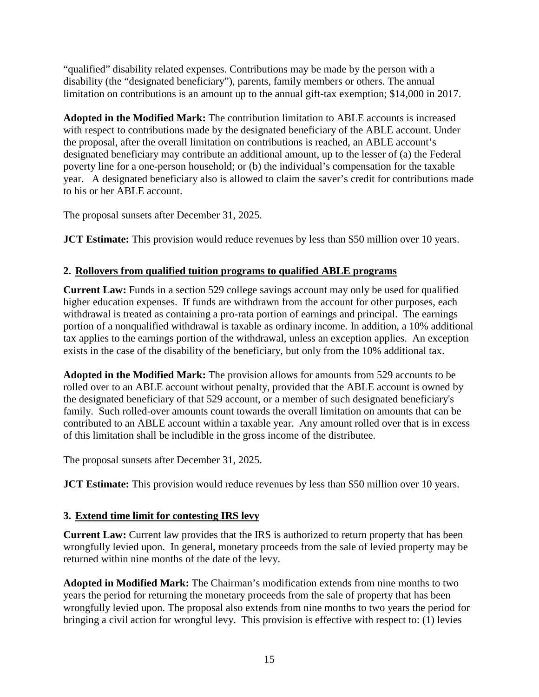"qualified" disability related expenses. Contributions may be made by the person with a disability (the "designated beneficiary"), parents, family members or others. The annual limitation on contributions is an amount up to the annual gift-tax exemption; \$14,000 in 2017.

**Adopted in the Modified Mark:** The contribution limitation to ABLE accounts is increased with respect to contributions made by the designated beneficiary of the ABLE account. Under the proposal, after the overall limitation on contributions is reached, an ABLE account's designated beneficiary may contribute an additional amount, up to the lesser of (a) the Federal poverty line for a one-person household; or (b) the individual's compensation for the taxable year. A designated beneficiary also is allowed to claim the saver's credit for contributions made to his or her ABLE account.

The proposal sunsets after December 31, 2025.

**JCT Estimate:** This provision would reduce revenues by less than \$50 million over 10 years.

# **2. Rollovers from qualified tuition programs to qualified ABLE programs**

**Current Law:** Funds in a section 529 college savings account may only be used for qualified higher education expenses. If funds are withdrawn from the account for other purposes, each withdrawal is treated as containing a pro-rata portion of earnings and principal. The earnings portion of a nonqualified withdrawal is taxable as ordinary income. In addition, a 10% additional tax applies to the earnings portion of the withdrawal, unless an exception applies. An exception exists in the case of the disability of the beneficiary, but only from the 10% additional tax.

**Adopted in the Modified Mark:** The provision allows for amounts from 529 accounts to be rolled over to an ABLE account without penalty, provided that the ABLE account is owned by the designated beneficiary of that 529 account, or a member of such designated beneficiary's family. Such rolled-over amounts count towards the overall limitation on amounts that can be contributed to an ABLE account within a taxable year. Any amount rolled over that is in excess of this limitation shall be includible in the gross income of the distributee.

The proposal sunsets after December 31, 2025.

**JCT Estimate:** This provision would reduce revenues by less than \$50 million over 10 years.

# **3. Extend time limit for contesting IRS levy**

**Current Law:** Current law provides that the IRS is authorized to return property that has been wrongfully levied upon. In general, monetary proceeds from the sale of levied property may be returned within nine months of the date of the levy.

**Adopted in Modified Mark:** The Chairman's modification extends from nine months to two years the period for returning the monetary proceeds from the sale of property that has been wrongfully levied upon. The proposal also extends from nine months to two years the period for bringing a civil action for wrongful levy. This provision is effective with respect to: (1) levies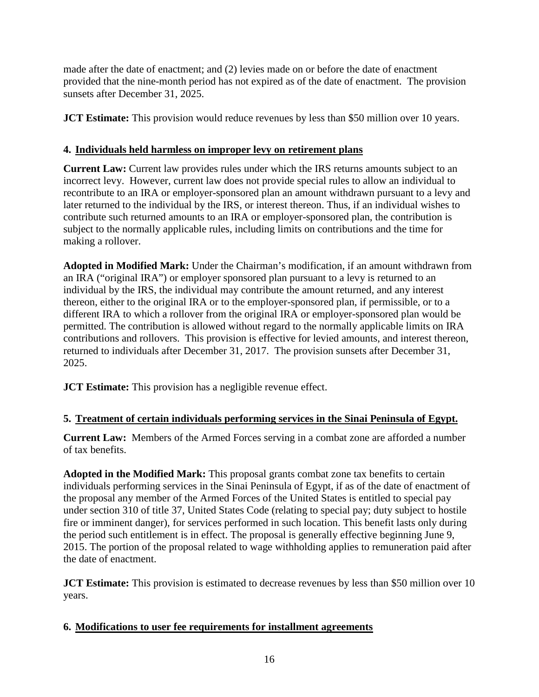made after the date of enactment; and (2) levies made on or before the date of enactment provided that the nine-month period has not expired as of the date of enactment. The provision sunsets after December 31, 2025.

**JCT Estimate:** This provision would reduce revenues by less than \$50 million over 10 years.

# **4. Individuals held harmless on improper levy on retirement plans**

**Current Law:** Current law provides rules under which the IRS returns amounts subject to an incorrect levy. However, current law does not provide special rules to allow an individual to recontribute to an IRA or employer-sponsored plan an amount withdrawn pursuant to a levy and later returned to the individual by the IRS, or interest thereon. Thus, if an individual wishes to contribute such returned amounts to an IRA or employer-sponsored plan, the contribution is subject to the normally applicable rules, including limits on contributions and the time for making a rollover.

**Adopted in Modified Mark:** Under the Chairman's modification, if an amount withdrawn from an IRA ("original IRA") or employer sponsored plan pursuant to a levy is returned to an individual by the IRS, the individual may contribute the amount returned, and any interest thereon, either to the original IRA or to the employer-sponsored plan, if permissible, or to a different IRA to which a rollover from the original IRA or employer-sponsored plan would be permitted. The contribution is allowed without regard to the normally applicable limits on IRA contributions and rollovers. This provision is effective for levied amounts, and interest thereon, returned to individuals after December 31, 2017. The provision sunsets after December 31, 2025.

**JCT Estimate:** This provision has a negligible revenue effect.

# **5. Treatment of certain individuals performing services in the Sinai Peninsula of Egypt.**

**Current Law:** Members of the Armed Forces serving in a combat zone are afforded a number of tax benefits.

**Adopted in the Modified Mark:** This proposal grants combat zone tax benefits to certain individuals performing services in the Sinai Peninsula of Egypt, if as of the date of enactment of the proposal any member of the Armed Forces of the United States is entitled to special pay under section 310 of title 37, United States Code (relating to special pay; duty subject to hostile fire or imminent danger), for services performed in such location. This benefit lasts only during the period such entitlement is in effect. The proposal is generally effective beginning June 9, 2015. The portion of the proposal related to wage withholding applies to remuneration paid after the date of enactment.

**JCT Estimate:** This provision is estimated to decrease revenues by less than \$50 million over 10 years.

# **6. Modifications to user fee requirements for installment agreements**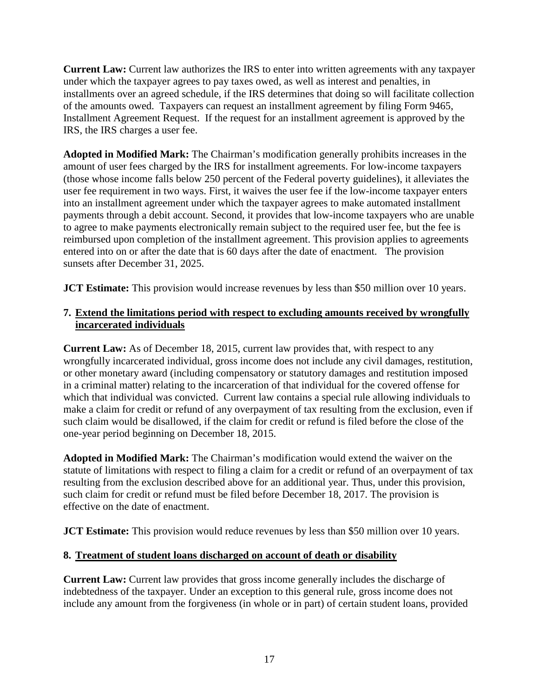**Current Law:** Current law authorizes the IRS to enter into written agreements with any taxpayer under which the taxpayer agrees to pay taxes owed, as well as interest and penalties, in installments over an agreed schedule, if the IRS determines that doing so will facilitate collection of the amounts owed.Taxpayers can request an installment agreement by filing Form 9465, Installment Agreement Request. If the request for an installment agreement is approved by the IRS, the IRS charges a user fee.

**Adopted in Modified Mark:** The Chairman's modification generally prohibits increases in the amount of user fees charged by the IRS for installment agreements. For low-income taxpayers (those whose income falls below 250 percent of the Federal poverty guidelines), it alleviates the user fee requirement in two ways. First, it waives the user fee if the low-income taxpayer enters into an installment agreement under which the taxpayer agrees to make automated installment payments through a debit account. Second, it provides that low-income taxpayers who are unable to agree to make payments electronically remain subject to the required user fee, but the fee is reimbursed upon completion of the installment agreement. This provision applies to agreements entered into on or after the date that is 60 days after the date of enactment. The provision sunsets after December 31, 2025.

**JCT Estimate:** This provision would increase revenues by less than \$50 million over 10 years.

### **7. Extend the limitations period with respect to excluding amounts received by wrongfully incarcerated individuals**

**Current Law:** As of December 18, 2015, current law provides that, with respect to any wrongfully incarcerated individual, gross income does not include any civil damages, restitution, or other monetary award (including compensatory or statutory damages and restitution imposed in a criminal matter) relating to the incarceration of that individual for the covered offense for which that individual was convicted. Current law contains a special rule allowing individuals to make a claim for credit or refund of any overpayment of tax resulting from the exclusion, even if such claim would be disallowed, if the claim for credit or refund is filed before the close of the one-year period beginning on December 18, 2015.

**Adopted in Modified Mark:** The Chairman's modification would extend the waiver on the statute of limitations with respect to filing a claim for a credit or refund of an overpayment of tax resulting from the exclusion described above for an additional year. Thus, under this provision, such claim for credit or refund must be filed before December 18, 2017. The provision is effective on the date of enactment.

**JCT Estimate:** This provision would reduce revenues by less than \$50 million over 10 years.

# **8. Treatment of student loans discharged on account of death or disability**

**Current Law:** Current law provides that gross income generally includes the discharge of indebtedness of the taxpayer. Under an exception to this general rule, gross income does not include any amount from the forgiveness (in whole or in part) of certain student loans, provided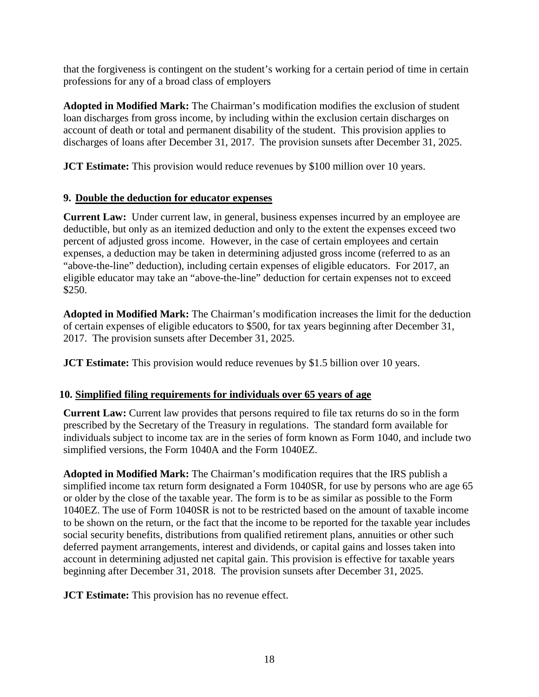that the forgiveness is contingent on the student's working for a certain period of time in certain professions for any of a broad class of employers

**Adopted in Modified Mark:** The Chairman's modification modifies the exclusion of student loan discharges from gross income, by including within the exclusion certain discharges on account of death or total and permanent disability of the student. This provision applies to discharges of loans after December 31, 2017. The provision sunsets after December 31, 2025.

**JCT Estimate:** This provision would reduce revenues by \$100 million over 10 years.

#### **9. Double the deduction for educator expenses**

**Current Law:** Under current law, in general, business expenses incurred by an employee are deductible, but only as an itemized deduction and only to the extent the expenses exceed two percent of adjusted gross income. However, in the case of certain employees and certain expenses, a deduction may be taken in determining adjusted gross income (referred to as an "above-the-line" deduction), including certain expenses of eligible educators. For 2017, an eligible educator may take an "above-the-line" deduction for certain expenses not to exceed \$250.

**Adopted in Modified Mark:** The Chairman's modification increases the limit for the deduction of certain expenses of eligible educators to \$500, for tax years beginning after December 31, 2017. The provision sunsets after December 31, 2025.

**JCT Estimate:** This provision would reduce revenues by \$1.5 billion over 10 years.

# **10. Simplified filing requirements for individuals over 65 years of age**

**Current Law:** Current law provides that persons required to file tax returns do so in the form prescribed by the Secretary of the Treasury in regulations. The standard form available for individuals subject to income tax are in the series of form known as Form 1040, and include two simplified versions, the Form 1040A and the Form 1040EZ.

**Adopted in Modified Mark:** The Chairman's modification requires that the IRS publish a simplified income tax return form designated a Form 1040SR, for use by persons who are age 65 or older by the close of the taxable year. The form is to be as similar as possible to the Form 1040EZ. The use of Form 1040SR is not to be restricted based on the amount of taxable income to be shown on the return, or the fact that the income to be reported for the taxable year includes social security benefits, distributions from qualified retirement plans, annuities or other such deferred payment arrangements, interest and dividends, or capital gains and losses taken into account in determining adjusted net capital gain. This provision is effective for taxable years beginning after December 31, 2018. The provision sunsets after December 31, 2025.

**JCT Estimate:** This provision has no revenue effect.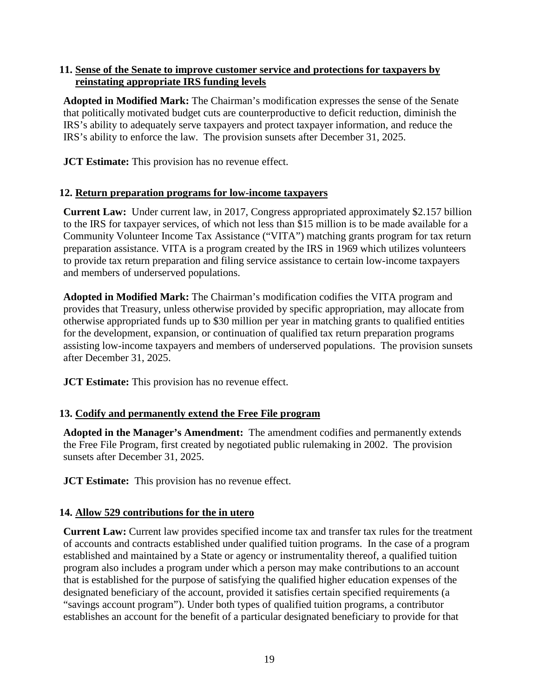#### **11. Sense of the Senate to improve customer service and protections for taxpayers by reinstating appropriate IRS funding levels**

**Adopted in Modified Mark:** The Chairman's modification expresses the sense of the Senate that politically motivated budget cuts are counterproductive to deficit reduction, diminish the IRS's ability to adequately serve taxpayers and protect taxpayer information, and reduce the IRS's ability to enforce the law. The provision sunsets after December 31, 2025.

**JCT Estimate:** This provision has no revenue effect.

#### **12. Return preparation programs for low-income taxpayers**

**Current Law:** Under current law, in 2017, Congress appropriated approximately \$2.157 billion to the IRS for taxpayer services, of which not less than \$15 million is to be made available for a Community Volunteer Income Tax Assistance ("VITA") matching grants program for tax return preparation assistance. VITA is a program created by the IRS in 1969 which utilizes volunteers to provide tax return preparation and filing service assistance to certain low-income taxpayers and members of underserved populations.

**Adopted in Modified Mark:** The Chairman's modification codifies the VITA program and provides that Treasury, unless otherwise provided by specific appropriation, may allocate from otherwise appropriated funds up to \$30 million per year in matching grants to qualified entities for the development, expansion, or continuation of qualified tax return preparation programs assisting low-income taxpayers and members of underserved populations. The provision sunsets after December 31, 2025.

**JCT Estimate:** This provision has no revenue effect.

# **13. Codify and permanently extend the Free File program**

**Adopted in the Manager's Amendment:** The amendment codifies and permanently extends the Free File Program, first created by negotiated public rulemaking in 2002. The provision sunsets after December 31, 2025.

**JCT Estimate:** This provision has no revenue effect.

# **14. Allow 529 contributions for the in utero**

**Current Law:** Current law provides specified income tax and transfer tax rules for the treatment of accounts and contracts established under qualified tuition programs. In the case of a program established and maintained by a State or agency or instrumentality thereof, a qualified tuition program also includes a program under which a person may make contributions to an account that is established for the purpose of satisfying the qualified higher education expenses of the designated beneficiary of the account, provided it satisfies certain specified requirements (a "savings account program"). Under both types of qualified tuition programs, a contributor establishes an account for the benefit of a particular designated beneficiary to provide for that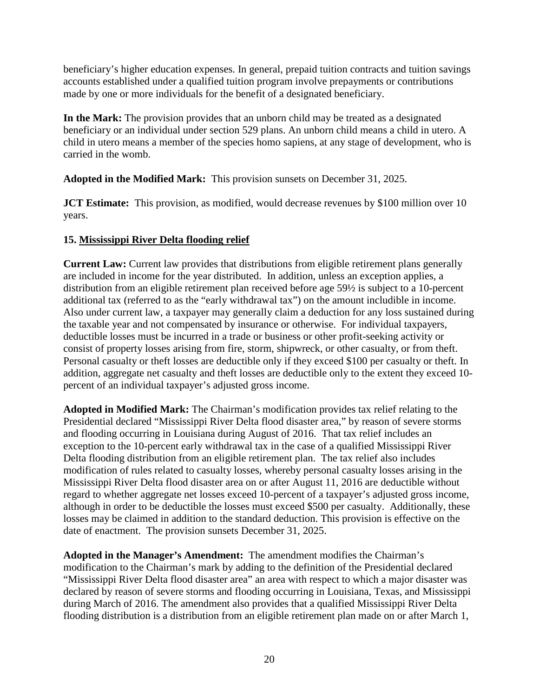beneficiary's higher education expenses. In general, prepaid tuition contracts and tuition savings accounts established under a qualified tuition program involve prepayments or contributions made by one or more individuals for the benefit of a designated beneficiary.

**In the Mark:** The provision provides that an unborn child may be treated as a designated beneficiary or an individual under section 529 plans. An unborn child means a child in utero. A child in utero means a member of the species homo sapiens, at any stage of development, who is carried in the womb.

**Adopted in the Modified Mark:** This provision sunsets on December 31, 2025.

**JCT Estimate:** This provision, as modified, would decrease revenues by \$100 million over 10 years.

# **15. Mississippi River Delta flooding relief**

**Current Law:** Current law provides that distributions from eligible retirement plans generally are included in income for the year distributed. In addition, unless an exception applies, a distribution from an eligible retirement plan received before age 59½ is subject to a 10-percent additional tax (referred to as the "early withdrawal tax") on the amount includible in income. Also under current law, a taxpayer may generally claim a deduction for any loss sustained during the taxable year and not compensated by insurance or otherwise. For individual taxpayers, deductible losses must be incurred in a trade or business or other profit-seeking activity or consist of property losses arising from fire, storm, shipwreck, or other casualty, or from theft. Personal casualty or theft losses are deductible only if they exceed \$100 per casualty or theft. In addition, aggregate net casualty and theft losses are deductible only to the extent they exceed 10 percent of an individual taxpayer's adjusted gross income.

**Adopted in Modified Mark:** The Chairman's modification provides tax relief relating to the Presidential declared "Mississippi River Delta flood disaster area," by reason of severe storms and flooding occurring in Louisiana during August of 2016.That tax relief includes an exception to the 10-percent early withdrawal tax in the case of a qualified Mississippi River Delta flooding distribution from an eligible retirement plan. The tax relief also includes modification of rules related to casualty losses, whereby personal casualty losses arising in the Mississippi River Delta flood disaster area on or after August 11, 2016 are deductible without regard to whether aggregate net losses exceed 10-percent of a taxpayer's adjusted gross income, although in order to be deductible the losses must exceed \$500 per casualty. Additionally, these losses may be claimed in addition to the standard deduction. This provision is effective on the date of enactment. The provision sunsets December 31, 2025.

**Adopted in the Manager's Amendment:** The amendment modifies the Chairman's modification to the Chairman's mark by adding to the definition of the Presidential declared "Mississippi River Delta flood disaster area" an area with respect to which a major disaster was declared by reason of severe storms and flooding occurring in Louisiana, Texas, and Mississippi during March of 2016. The amendment also provides that a qualified Mississippi River Delta flooding distribution is a distribution from an eligible retirement plan made on or after March 1,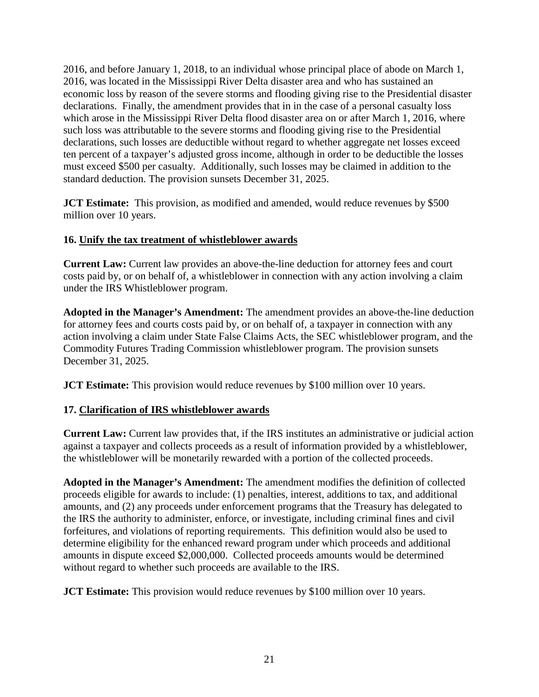2016, and before January 1, 2018, to an individual whose principal place of abode on March 1, 2016, was located in the Mississippi River Delta disaster area and who has sustained an economic loss by reason of the severe storms and flooding giving rise to the Presidential disaster declarations. Finally, the amendment provides that in in the case of a personal casualty loss which arose in the Mississippi River Delta flood disaster area on or after March 1, 2016, where such loss was attributable to the severe storms and flooding giving rise to the Presidential declarations, such losses are deductible without regard to whether aggregate net losses exceed ten percent of a taxpayer's adjusted gross income, although in order to be deductible the losses must exceed \$500 per casualty. Additionally, such losses may be claimed in addition to the standard deduction. The provision sunsets December 31, 2025.

**JCT Estimate:** This provision, as modified and amended, would reduce revenues by \$500 million over 10 years.

#### **16. Unify the tax treatment of whistleblower awards**

**Current Law:** Current law provides an above-the-line deduction for attorney fees and court costs paid by, or on behalf of, a whistleblower in connection with any action involving a claim under the IRS Whistleblower program.

**Adopted in the Manager's Amendment:** The amendment provides an above-the-line deduction for attorney fees and courts costs paid by, or on behalf of, a taxpayer in connection with any action involving a claim under State False Claims Acts, the SEC whistleblower program, and the Commodity Futures Trading Commission whistleblower program. The provision sunsets December 31, 2025.

**JCT Estimate:** This provision would reduce revenues by \$100 million over 10 years.

# **17. Clarification of IRS whistleblower awards**

**Current Law:** Current law provides that, if the IRS institutes an administrative or judicial action against a taxpayer and collects proceeds as a result of information provided by a whistleblower, the whistleblower will be monetarily rewarded with a portion of the collected proceeds.

**Adopted in the Manager's Amendment:** The amendment modifies the definition of collected proceeds eligible for awards to include: (1) penalties, interest, additions to tax, and additional amounts, and (2) any proceeds under enforcement programs that the Treasury has delegated to the IRS the authority to administer, enforce, or investigate, including criminal fines and civil forfeitures, and violations of reporting requirements. This definition would also be used to determine eligibility for the enhanced reward program under which proceeds and additional amounts in dispute exceed \$2,000,000. Collected proceeds amounts would be determined without regard to whether such proceeds are available to the IRS.

**JCT Estimate:** This provision would reduce revenues by \$100 million over 10 years.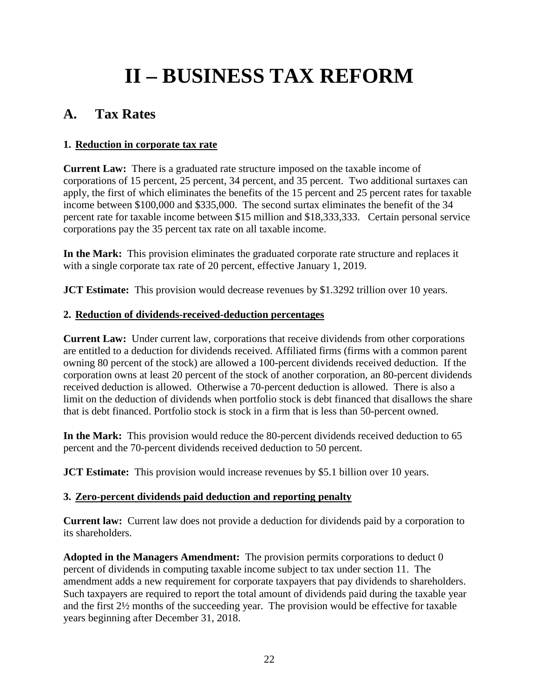# **II – BUSINESS TAX REFORM**

# **A. Tax Rates**

# **1. Reduction in corporate tax rate**

**Current Law:** There is a graduated rate structure imposed on the taxable income of corporations of 15 percent, 25 percent, 34 percent, and 35 percent. Two additional surtaxes can apply, the first of which eliminates the benefits of the 15 percent and 25 percent rates for taxable income between \$100,000 and \$335,000. The second surtax eliminates the benefit of the 34 percent rate for taxable income between \$15 million and \$18,333,333. Certain personal service corporations pay the 35 percent tax rate on all taxable income.

**In the Mark:** This provision eliminates the graduated corporate rate structure and replaces it with a single corporate tax rate of 20 percent, effective January 1, 2019.

**JCT Estimate:** This provision would decrease revenues by \$1.3292 trillion over 10 years.

# **2. Reduction of dividends-received-deduction percentages**

**Current Law:** Under current law, corporations that receive dividends from other corporations are entitled to a deduction for dividends received. Affiliated firms (firms with a common parent owning 80 percent of the stock) are allowed a 100-percent dividends received deduction. If the corporation owns at least 20 percent of the stock of another corporation, an 80-percent dividends received deduction is allowed. Otherwise a 70-percent deduction is allowed. There is also a limit on the deduction of dividends when portfolio stock is debt financed that disallows the share that is debt financed. Portfolio stock is stock in a firm that is less than 50-percent owned.

**In the Mark:** This provision would reduce the 80-percent dividends received deduction to 65 percent and the 70-percent dividends received deduction to 50 percent.

**JCT Estimate:** This provision would increase revenues by \$5.1 billion over 10 years.

# **3. Zero-percent dividends paid deduction and reporting penalty**

**Current law:** Current law does not provide a deduction for dividends paid by a corporation to its shareholders.

**Adopted in the Managers Amendment:** The provision permits corporations to deduct 0 percent of dividends in computing taxable income subject to tax under section 11. The amendment adds a new requirement for corporate taxpayers that pay dividends to shareholders. Such taxpayers are required to report the total amount of dividends paid during the taxable year and the first 2½ months of the succeeding year. The provision would be effective for taxable years beginning after December 31, 2018.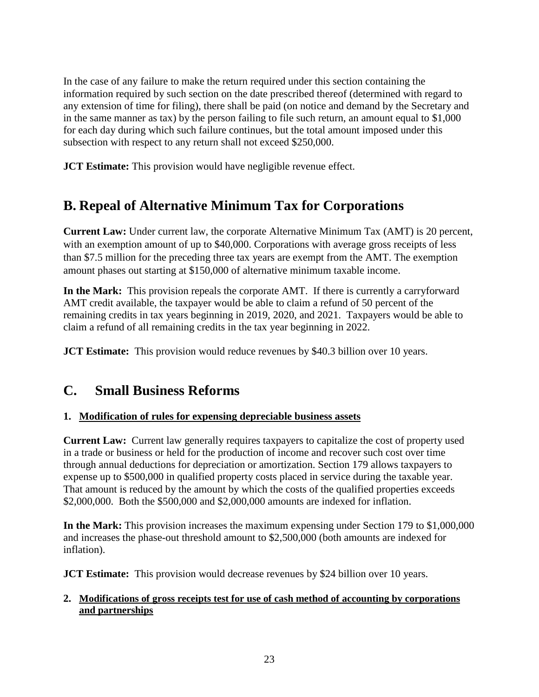In the case of any failure to make the return required under this section containing the information required by such section on the date prescribed thereof (determined with regard to any extension of time for filing), there shall be paid (on notice and demand by the Secretary and in the same manner as tax) by the person failing to file such return, an amount equal to \$1,000 for each day during which such failure continues, but the total amount imposed under this subsection with respect to any return shall not exceed \$250,000.

**JCT Estimate:** This provision would have negligible revenue effect.

# **B. Repeal of Alternative Minimum Tax for Corporations**

**Current Law:** Under current law, the corporate Alternative Minimum Tax (AMT) is 20 percent, with an exemption amount of up to \$40,000. Corporations with average gross receipts of less than \$7.5 million for the preceding three tax years are exempt from the AMT. The exemption amount phases out starting at \$150,000 of alternative minimum taxable income.

**In the Mark:** This provision repeals the corporate AMT. If there is currently a carryforward AMT credit available, the taxpayer would be able to claim a refund of 50 percent of the remaining credits in tax years beginning in 2019, 2020, and 2021. Taxpayers would be able to claim a refund of all remaining credits in the tax year beginning in 2022.

**JCT Estimate:** This provision would reduce revenues by \$40.3 billion over 10 years.

# **C. Small Business Reforms**

# **1. Modification of rules for expensing depreciable business assets**

**Current Law:** Current law generally requires taxpayers to capitalize the cost of property used in a trade or business or held for the production of income and recover such cost over time through annual deductions for depreciation or amortization. Section 179 allows taxpayers to expense up to \$500,000 in qualified property costs placed in service during the taxable year. That amount is reduced by the amount by which the costs of the qualified properties exceeds \$2,000,000. Both the \$500,000 and \$2,000,000 amounts are indexed for inflation.

**In the Mark:** This provision increases the maximum expensing under Section 179 to \$1,000,000 and increases the phase-out threshold amount to \$2,500,000 (both amounts are indexed for inflation).

**JCT Estimate:** This provision would decrease revenues by \$24 billion over 10 years.

#### **2. Modifications of gross receipts test for use of cash method of accounting by corporations and partnerships**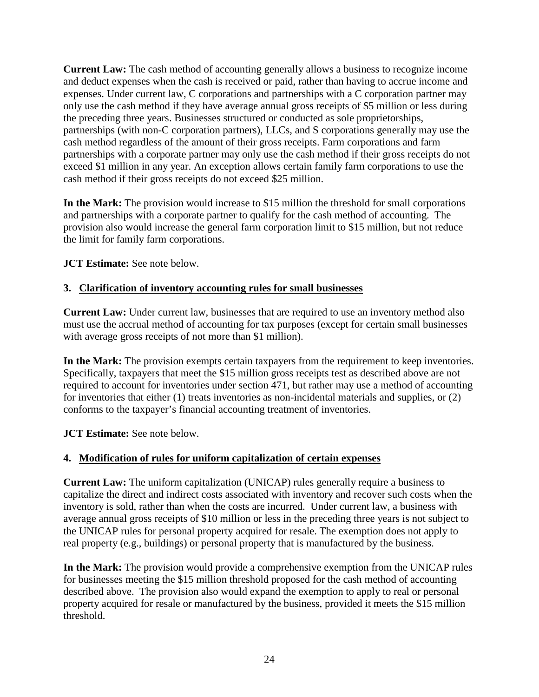**Current Law:** The cash method of accounting generally allows a business to recognize income and deduct expenses when the cash is received or paid, rather than having to accrue income and expenses. Under current law, C corporations and partnerships with a C corporation partner may only use the cash method if they have average annual gross receipts of \$5 million or less during the preceding three years. Businesses structured or conducted as sole proprietorships, partnerships (with non-C corporation partners), LLCs, and S corporations generally may use the cash method regardless of the amount of their gross receipts. Farm corporations and farm partnerships with a corporate partner may only use the cash method if their gross receipts do not exceed \$1 million in any year. An exception allows certain family farm corporations to use the cash method if their gross receipts do not exceed \$25 million.

**In the Mark:** The provision would increase to \$15 million the threshold for small corporations and partnerships with a corporate partner to qualify for the cash method of accounting. The provision also would increase the general farm corporation limit to \$15 million, but not reduce the limit for family farm corporations.

**JCT Estimate:** See note below.

#### **3. Clarification of inventory accounting rules for small businesses**

**Current Law:** Under current law, businesses that are required to use an inventory method also must use the accrual method of accounting for tax purposes (except for certain small businesses with average gross receipts of not more than \$1 million).

**In the Mark:** The provision exempts certain taxpayers from the requirement to keep inventories. Specifically, taxpayers that meet the \$15 million gross receipts test as described above are not required to account for inventories under section 471, but rather may use a method of accounting for inventories that either (1) treats inventories as non-incidental materials and supplies, or (2) conforms to the taxpayer's financial accounting treatment of inventories.

**JCT Estimate:** See note below.

# **4. Modification of rules for uniform capitalization of certain expenses**

**Current Law:** The uniform capitalization (UNICAP) rules generally require a business to capitalize the direct and indirect costs associated with inventory and recover such costs when the inventory is sold, rather than when the costs are incurred. Under current law, a business with average annual gross receipts of \$10 million or less in the preceding three years is not subject to the UNICAP rules for personal property acquired for resale. The exemption does not apply to real property (e.g., buildings) or personal property that is manufactured by the business.

**In the Mark:** The provision would provide a comprehensive exemption from the UNICAP rules for businesses meeting the \$15 million threshold proposed for the cash method of accounting described above. The provision also would expand the exemption to apply to real or personal property acquired for resale or manufactured by the business, provided it meets the \$15 million threshold.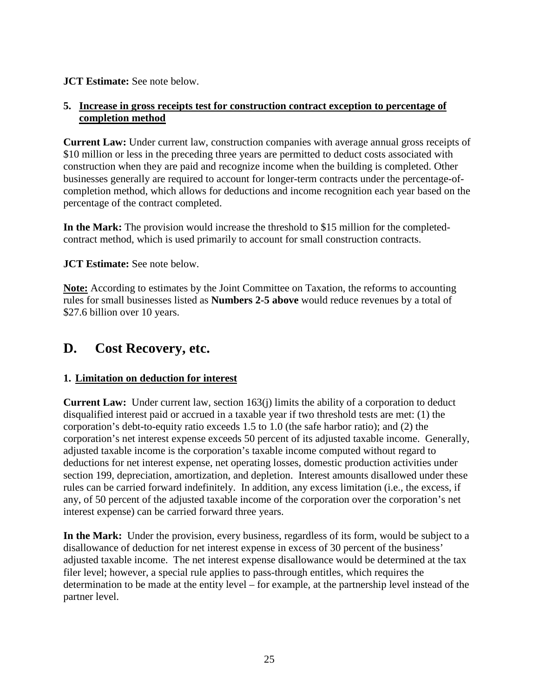#### **JCT Estimate:** See note below.

#### **5. Increase in gross receipts test for construction contract exception to percentage of completion method**

**Current Law:** Under current law, construction companies with average annual gross receipts of \$10 million or less in the preceding three years are permitted to deduct costs associated with construction when they are paid and recognize income when the building is completed. Other businesses generally are required to account for longer-term contracts under the percentage-ofcompletion method, which allows for deductions and income recognition each year based on the percentage of the contract completed.

**In the Mark:** The provision would increase the threshold to \$15 million for the completedcontract method, which is used primarily to account for small construction contracts.

**JCT Estimate:** See note below.

**Note:** According to estimates by the Joint Committee on Taxation, the reforms to accounting rules for small businesses listed as **Numbers 2-5 above** would reduce revenues by a total of \$27.6 billion over 10 years.

# **D. Cost Recovery, etc.**

# **1. Limitation on deduction for interest**

**Current Law:** Under current law, section 163(j) limits the ability of a corporation to deduct disqualified interest paid or accrued in a taxable year if two threshold tests are met: (1) the corporation's debt-to-equity ratio exceeds 1.5 to 1.0 (the safe harbor ratio); and (2) the corporation's net interest expense exceeds 50 percent of its adjusted taxable income. Generally, adjusted taxable income is the corporation's taxable income computed without regard to deductions for net interest expense, net operating losses, domestic production activities under section 199, depreciation, amortization, and depletion. Interest amounts disallowed under these rules can be carried forward indefinitely. In addition, any excess limitation (i.e., the excess, if any, of 50 percent of the adjusted taxable income of the corporation over the corporation's net interest expense) can be carried forward three years.

**In the Mark:** Under the provision, every business, regardless of its form, would be subject to a disallowance of deduction for net interest expense in excess of 30 percent of the business' adjusted taxable income. The net interest expense disallowance would be determined at the tax filer level; however, a special rule applies to pass-through entitles, which requires the determination to be made at the entity level – for example, at the partnership level instead of the partner level.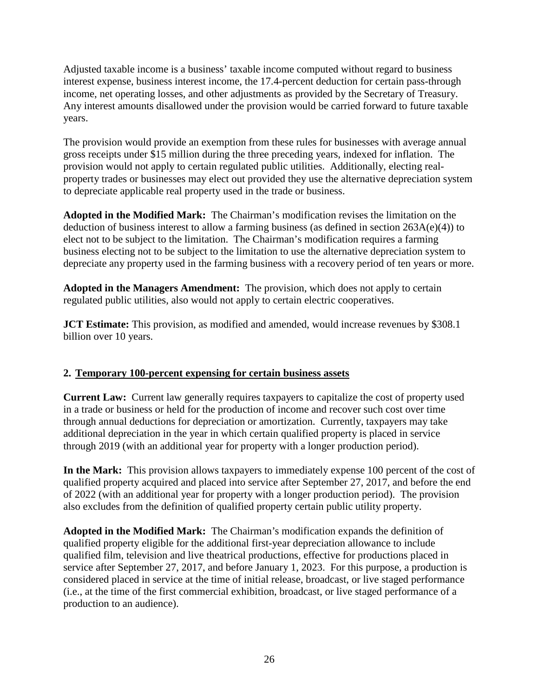Adjusted taxable income is a business' taxable income computed without regard to business interest expense, business interest income, the 17.4-percent deduction for certain pass-through income, net operating losses, and other adjustments as provided by the Secretary of Treasury. Any interest amounts disallowed under the provision would be carried forward to future taxable years.

The provision would provide an exemption from these rules for businesses with average annual gross receipts under \$15 million during the three preceding years, indexed for inflation. The provision would not apply to certain regulated public utilities. Additionally, electing realproperty trades or businesses may elect out provided they use the alternative depreciation system to depreciate applicable real property used in the trade or business.

**Adopted in the Modified Mark:** The Chairman's modification revises the limitation on the deduction of business interest to allow a farming business (as defined in section 263A(e)(4)) to elect not to be subject to the limitation. The Chairman's modification requires a farming business electing not to be subject to the limitation to use the alternative depreciation system to depreciate any property used in the farming business with a recovery period of ten years or more.

**Adopted in the Managers Amendment:** The provision, which does not apply to certain regulated public utilities, also would not apply to certain electric cooperatives.

**JCT Estimate:** This provision, as modified and amended, would increase revenues by \$308.1 billion over 10 years.

#### **2. Temporary 100-percent expensing for certain business assets**

**Current Law:** Current law generally requires taxpayers to capitalize the cost of property used in a trade or business or held for the production of income and recover such cost over time through annual deductions for depreciation or amortization. Currently, taxpayers may take additional depreciation in the year in which certain qualified property is placed in service through 2019 (with an additional year for property with a longer production period).

**In the Mark:** This provision allows taxpayers to immediately expense 100 percent of the cost of qualified property acquired and placed into service after September 27, 2017, and before the end of 2022 (with an additional year for property with a longer production period). The provision also excludes from the definition of qualified property certain public utility property.

**Adopted in the Modified Mark:** The Chairman's modification expands the definition of qualified property eligible for the additional first-year depreciation allowance to include qualified film, television and live theatrical productions, effective for productions placed in service after September 27, 2017, and before January 1, 2023. For this purpose, a production is considered placed in service at the time of initial release, broadcast, or live staged performance (i.e., at the time of the first commercial exhibition, broadcast, or live staged performance of a production to an audience).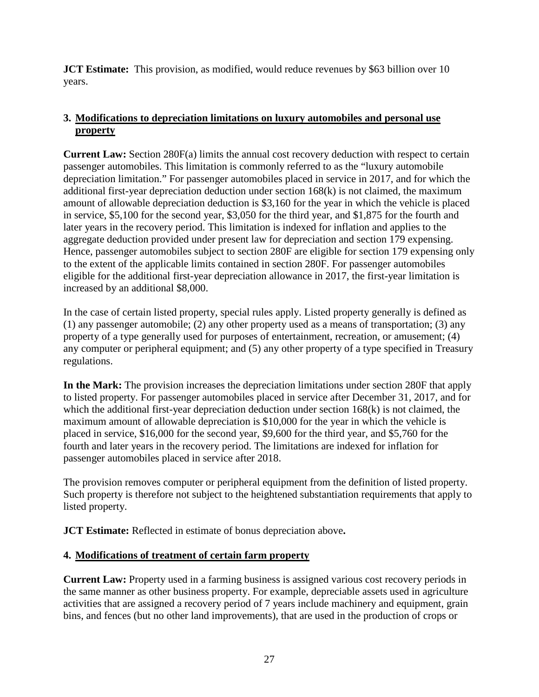**JCT Estimate:** This provision, as modified, would reduce revenues by \$63 billion over 10 years.

# **3. Modifications to depreciation limitations on luxury automobiles and personal use property**

**Current Law:** Section 280F(a) limits the annual cost recovery deduction with respect to certain passenger automobiles. This limitation is commonly referred to as the "luxury automobile depreciation limitation." For passenger automobiles placed in service in 2017, and for which the additional first-year depreciation deduction under section 168(k) is not claimed, the maximum amount of allowable depreciation deduction is \$3,160 for the year in which the vehicle is placed in service, \$5,100 for the second year, \$3,050 for the third year, and \$1,875 for the fourth and later years in the recovery period. This limitation is indexed for inflation and applies to the aggregate deduction provided under present law for depreciation and section 179 expensing. Hence, passenger automobiles subject to section 280F are eligible for section 179 expensing only to the extent of the applicable limits contained in section 280F. For passenger automobiles eligible for the additional first-year depreciation allowance in 2017, the first-year limitation is increased by an additional \$8,000.

In the case of certain listed property, special rules apply. Listed property generally is defined as (1) any passenger automobile; (2) any other property used as a means of transportation; (3) any property of a type generally used for purposes of entertainment, recreation, or amusement; (4) any computer or peripheral equipment; and (5) any other property of a type specified in Treasury regulations.

**In the Mark:** The provision increases the depreciation limitations under section 280F that apply to listed property. For passenger automobiles placed in service after December 31, 2017, and for which the additional first-year depreciation deduction under section 168(k) is not claimed, the maximum amount of allowable depreciation is \$10,000 for the year in which the vehicle is placed in service, \$16,000 for the second year, \$9,600 for the third year, and \$5,760 for the fourth and later years in the recovery period. The limitations are indexed for inflation for passenger automobiles placed in service after 2018.

The provision removes computer or peripheral equipment from the definition of listed property. Such property is therefore not subject to the heightened substantiation requirements that apply to listed property.

**JCT Estimate:** Reflected in estimate of bonus depreciation above**.**

# **4. Modifications of treatment of certain farm property**

**Current Law:** Property used in a farming business is assigned various cost recovery periods in the same manner as other business property. For example, depreciable assets used in agriculture activities that are assigned a recovery period of 7 years include machinery and equipment, grain bins, and fences (but no other land improvements), that are used in the production of crops or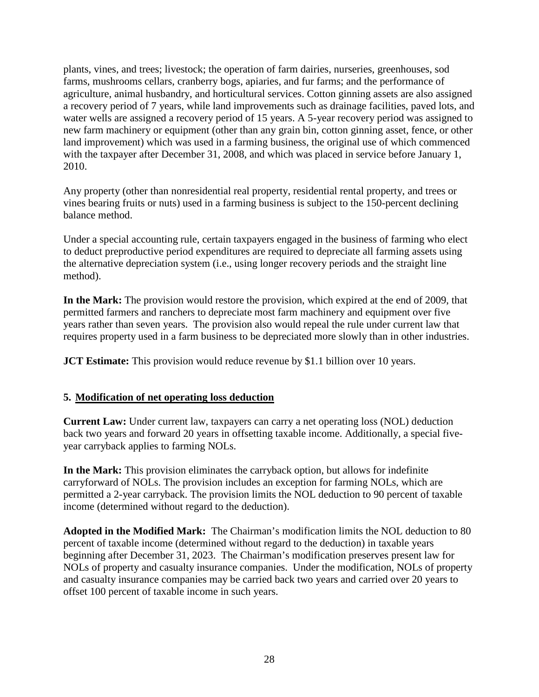plants, vines, and trees; livestock; the operation of farm dairies, nurseries, greenhouses, sod farms, mushrooms cellars, cranberry bogs, apiaries, and fur farms; and the performance of agriculture, animal husbandry, and horticultural services. Cotton ginning assets are also assigned a recovery period of 7 years, while land improvements such as drainage facilities, paved lots, and water wells are assigned a recovery period of 15 years. A 5-year recovery period was assigned to new farm machinery or equipment (other than any grain bin, cotton ginning asset, fence, or other land improvement) which was used in a farming business, the original use of which commenced with the taxpayer after December 31, 2008, and which was placed in service before January 1, 2010.

Any property (other than nonresidential real property, residential rental property, and trees or vines bearing fruits or nuts) used in a farming business is subject to the 150-percent declining balance method.

Under a special accounting rule, certain taxpayers engaged in the business of farming who elect to deduct preproductive period expenditures are required to depreciate all farming assets using the alternative depreciation system (i.e., using longer recovery periods and the straight line method).

**In the Mark:** The provision would restore the provision, which expired at the end of 2009, that permitted farmers and ranchers to depreciate most farm machinery and equipment over five years rather than seven years. The provision also would repeal the rule under current law that requires property used in a farm business to be depreciated more slowly than in other industries.

**JCT Estimate:** This provision would reduce revenue by \$1.1 billion over 10 years.

#### **5. Modification of net operating loss deduction**

**Current Law:** Under current law, taxpayers can carry a net operating loss (NOL) deduction back two years and forward 20 years in offsetting taxable income. Additionally, a special fiveyear carryback applies to farming NOLs.

**In the Mark:** This provision eliminates the carryback option, but allows for indefinite carryforward of NOLs. The provision includes an exception for farming NOLs, which are permitted a 2-year carryback. The provision limits the NOL deduction to 90 percent of taxable income (determined without regard to the deduction).

**Adopted in the Modified Mark:** The Chairman's modification limits the NOL deduction to 80 percent of taxable income (determined without regard to the deduction) in taxable years beginning after December 31, 2023. The Chairman's modification preserves present law for NOLs of property and casualty insurance companies. Under the modification, NOLs of property and casualty insurance companies may be carried back two years and carried over 20 years to offset 100 percent of taxable income in such years.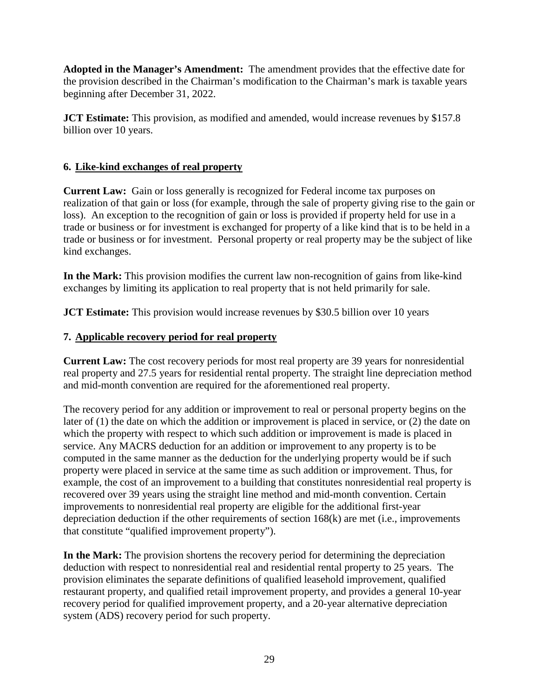**Adopted in the Manager's Amendment:** The amendment provides that the effective date for the provision described in the Chairman's modification to the Chairman's mark is taxable years beginning after December 31, 2022.

**JCT Estimate:** This provision, as modified and amended, would increase revenues by \$157.8 billion over 10 years.

#### **6. Like-kind exchanges of real property**

**Current Law:** Gain or loss generally is recognized for Federal income tax purposes on realization of that gain or loss (for example, through the sale of property giving rise to the gain or loss). An exception to the recognition of gain or loss is provided if property held for use in a trade or business or for investment is exchanged for property of a like kind that is to be held in a trade or business or for investment. Personal property or real property may be the subject of like kind exchanges.

**In the Mark:** This provision modifies the current law non-recognition of gains from like-kind exchanges by limiting its application to real property that is not held primarily for sale.

**JCT Estimate:** This provision would increase revenues by \$30.5 billion over 10 years

#### **7. Applicable recovery period for real property**

**Current Law:** The cost recovery periods for most real property are 39 years for nonresidential real property and 27.5 years for residential rental property. The straight line depreciation method and mid-month convention are required for the aforementioned real property.

The recovery period for any addition or improvement to real or personal property begins on the later of (1) the date on which the addition or improvement is placed in service, or (2) the date on which the property with respect to which such addition or improvement is made is placed in service. Any MACRS deduction for an addition or improvement to any property is to be computed in the same manner as the deduction for the underlying property would be if such property were placed in service at the same time as such addition or improvement. Thus, for example, the cost of an improvement to a building that constitutes nonresidential real property is recovered over 39 years using the straight line method and mid-month convention. Certain improvements to nonresidential real property are eligible for the additional first-year depreciation deduction if the other requirements of section 168(k) are met (i.e., improvements that constitute "qualified improvement property").

**In the Mark:** The provision shortens the recovery period for determining the depreciation deduction with respect to nonresidential real and residential rental property to 25 years. The provision eliminates the separate definitions of qualified leasehold improvement, qualified restaurant property, and qualified retail improvement property, and provides a general 10-year recovery period for qualified improvement property, and a 20-year alternative depreciation system (ADS) recovery period for such property.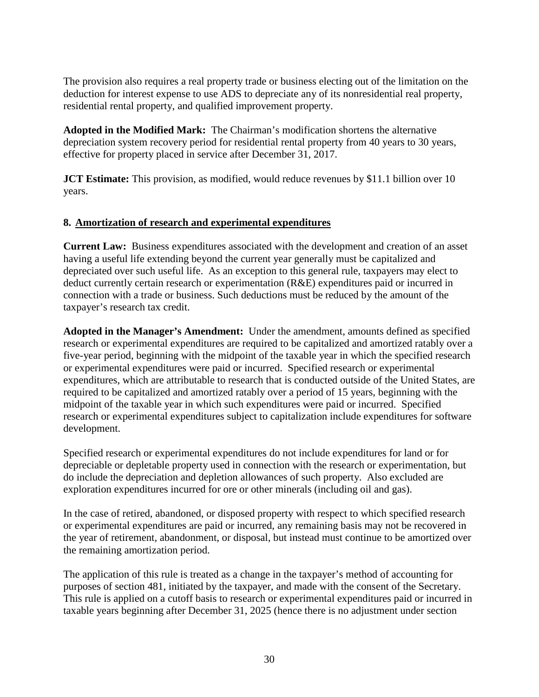The provision also requires a real property trade or business electing out of the limitation on the deduction for interest expense to use ADS to depreciate any of its nonresidential real property, residential rental property, and qualified improvement property.

**Adopted in the Modified Mark:** The Chairman's modification shortens the alternative depreciation system recovery period for residential rental property from 40 years to 30 years, effective for property placed in service after December 31, 2017.

**JCT Estimate:** This provision, as modified, would reduce revenues by \$11.1 billion over 10 years.

#### **8. Amortization of research and experimental expenditures**

**Current Law:** Business expenditures associated with the development and creation of an asset having a useful life extending beyond the current year generally must be capitalized and depreciated over such useful life. As an exception to this general rule, taxpayers may elect to deduct currently certain research or experimentation (R&E) expenditures paid or incurred in connection with a trade or business. Such deductions must be reduced by the amount of the taxpayer's research tax credit.

**Adopted in the Manager's Amendment:** Under the amendment, amounts defined as specified research or experimental expenditures are required to be capitalized and amortized ratably over a five-year period, beginning with the midpoint of the taxable year in which the specified research or experimental expenditures were paid or incurred. Specified research or experimental expenditures, which are attributable to research that is conducted outside of the United States, are required to be capitalized and amortized ratably over a period of 15 years, beginning with the midpoint of the taxable year in which such expenditures were paid or incurred. Specified research or experimental expenditures subject to capitalization include expenditures for software development.

Specified research or experimental expenditures do not include expenditures for land or for depreciable or depletable property used in connection with the research or experimentation, but do include the depreciation and depletion allowances of such property. Also excluded are exploration expenditures incurred for ore or other minerals (including oil and gas).

In the case of retired, abandoned, or disposed property with respect to which specified research or experimental expenditures are paid or incurred, any remaining basis may not be recovered in the year of retirement, abandonment, or disposal, but instead must continue to be amortized over the remaining amortization period.

The application of this rule is treated as a change in the taxpayer's method of accounting for purposes of section 481, initiated by the taxpayer, and made with the consent of the Secretary. This rule is applied on a cutoff basis to research or experimental expenditures paid or incurred in taxable years beginning after December 31, 2025 (hence there is no adjustment under section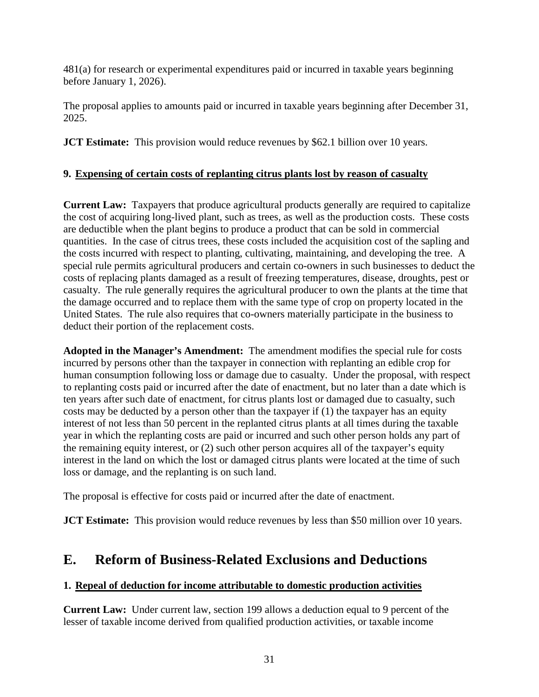481(a) for research or experimental expenditures paid or incurred in taxable years beginning before January 1, 2026).

The proposal applies to amounts paid or incurred in taxable years beginning after December 31, 2025.

**JCT Estimate:** This provision would reduce revenues by \$62.1 billion over 10 years.

# **9. Expensing of certain costs of replanting citrus plants lost by reason of casualty**

**Current Law:** Taxpayers that produce agricultural products generally are required to capitalize the cost of acquiring long-lived plant, such as trees, as well as the production costs. These costs are deductible when the plant begins to produce a product that can be sold in commercial quantities. In the case of citrus trees, these costs included the acquisition cost of the sapling and the costs incurred with respect to planting, cultivating, maintaining, and developing the tree. A special rule permits agricultural producers and certain co-owners in such businesses to deduct the costs of replacing plants damaged as a result of freezing temperatures, disease, droughts, pest or casualty. The rule generally requires the agricultural producer to own the plants at the time that the damage occurred and to replace them with the same type of crop on property located in the United States. The rule also requires that co-owners materially participate in the business to deduct their portion of the replacement costs.

**Adopted in the Manager's Amendment:** The amendment modifies the special rule for costs incurred by persons other than the taxpayer in connection with replanting an edible crop for human consumption following loss or damage due to casualty. Under the proposal, with respect to replanting costs paid or incurred after the date of enactment, but no later than a date which is ten years after such date of enactment, for citrus plants lost or damaged due to casualty, such costs may be deducted by a person other than the taxpayer if (1) the taxpayer has an equity interest of not less than 50 percent in the replanted citrus plants at all times during the taxable year in which the replanting costs are paid or incurred and such other person holds any part of the remaining equity interest, or (2) such other person acquires all of the taxpayer's equity interest in the land on which the lost or damaged citrus plants were located at the time of such loss or damage, and the replanting is on such land.

The proposal is effective for costs paid or incurred after the date of enactment.

**JCT Estimate:** This provision would reduce revenues by less than \$50 million over 10 years.

# **E. Reform of Business-Related Exclusions and Deductions**

# **1. Repeal of deduction for income attributable to domestic production activities**

**Current Law:** Under current law, section 199 allows a deduction equal to 9 percent of the lesser of taxable income derived from qualified production activities, or taxable income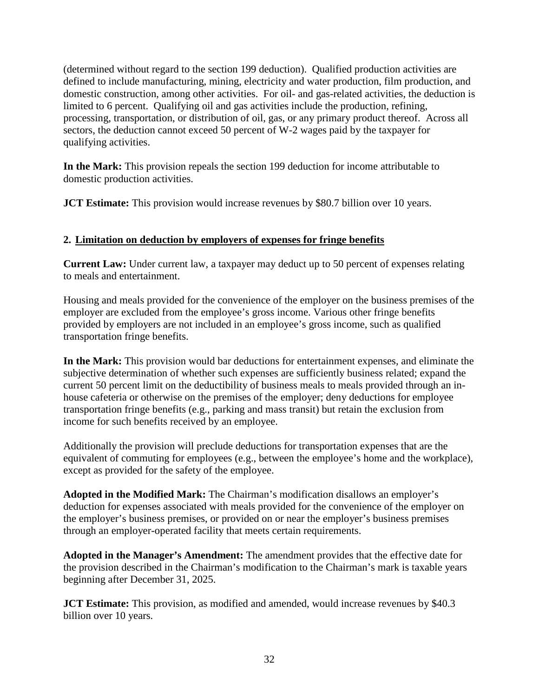(determined without regard to the section 199 deduction). Qualified production activities are defined to include manufacturing, mining, electricity and water production, film production, and domestic construction, among other activities. For oil- and gas-related activities, the deduction is limited to 6 percent. Qualifying oil and gas activities include the production, refining, processing, transportation, or distribution of oil, gas, or any primary product thereof. Across all sectors, the deduction cannot exceed 50 percent of W-2 wages paid by the taxpayer for qualifying activities.

**In the Mark:** This provision repeals the section 199 deduction for income attributable to domestic production activities.

**JCT Estimate:** This provision would increase revenues by \$80.7 billion over 10 years.

# **2. Limitation on deduction by employers of expenses for fringe benefits**

**Current Law:** Under current law, a taxpayer may deduct up to 50 percent of expenses relating to meals and entertainment.

Housing and meals provided for the convenience of the employer on the business premises of the employer are excluded from the employee's gross income. Various other fringe benefits provided by employers are not included in an employee's gross income, such as qualified transportation fringe benefits.

**In the Mark:** This provision would bar deductions for entertainment expenses, and eliminate the subjective determination of whether such expenses are sufficiently business related; expand the current 50 percent limit on the deductibility of business meals to meals provided through an inhouse cafeteria or otherwise on the premises of the employer; deny deductions for employee transportation fringe benefits (e.g., parking and mass transit) but retain the exclusion from income for such benefits received by an employee.

Additionally the provision will preclude deductions for transportation expenses that are the equivalent of commuting for employees (e.g., between the employee's home and the workplace), except as provided for the safety of the employee.

**Adopted in the Modified Mark:** The Chairman's modification disallows an employer's deduction for expenses associated with meals provided for the convenience of the employer on the employer's business premises, or provided on or near the employer's business premises through an employer-operated facility that meets certain requirements.

**Adopted in the Manager's Amendment:** The amendment provides that the effective date for the provision described in the Chairman's modification to the Chairman's mark is taxable years beginning after December 31, 2025.

**JCT Estimate:** This provision, as modified and amended, would increase revenues by \$40.3 billion over 10 years.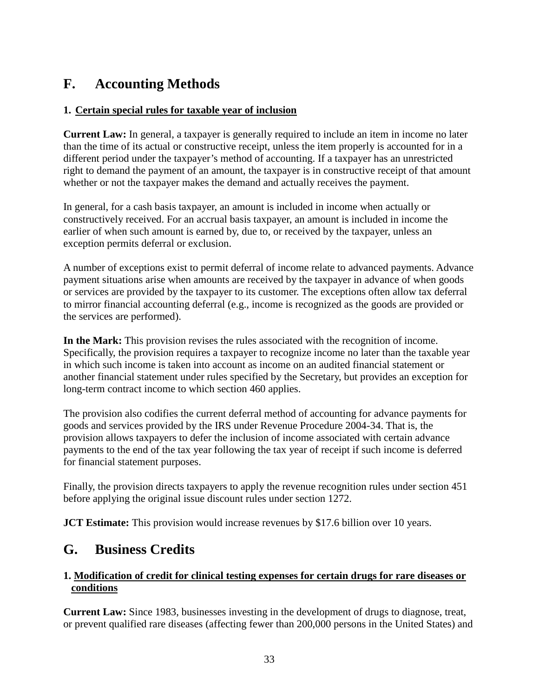# **F. Accounting Methods**

#### **1. Certain special rules for taxable year of inclusion**

**Current Law:** In general, a taxpayer is generally required to include an item in income no later than the time of its actual or constructive receipt, unless the item properly is accounted for in a different period under the taxpayer's method of accounting. If a taxpayer has an unrestricted right to demand the payment of an amount, the taxpayer is in constructive receipt of that amount whether or not the taxpayer makes the demand and actually receives the payment.

In general, for a cash basis taxpayer, an amount is included in income when actually or constructively received. For an accrual basis taxpayer, an amount is included in income the earlier of when such amount is earned by, due to, or received by the taxpayer, unless an exception permits deferral or exclusion.

A number of exceptions exist to permit deferral of income relate to advanced payments. Advance payment situations arise when amounts are received by the taxpayer in advance of when goods or services are provided by the taxpayer to its customer. The exceptions often allow tax deferral to mirror financial accounting deferral (e.g., income is recognized as the goods are provided or the services are performed).

**In the Mark:** This provision revises the rules associated with the recognition of income. Specifically, the provision requires a taxpayer to recognize income no later than the taxable year in which such income is taken into account as income on an audited financial statement or another financial statement under rules specified by the Secretary, but provides an exception for long-term contract income to which section 460 applies.

The provision also codifies the current deferral method of accounting for advance payments for goods and services provided by the IRS under Revenue Procedure 2004-34. That is, the provision allows taxpayers to defer the inclusion of income associated with certain advance payments to the end of the tax year following the tax year of receipt if such income is deferred for financial statement purposes.

Finally, the provision directs taxpayers to apply the revenue recognition rules under section 451 before applying the original issue discount rules under section 1272.

**JCT Estimate:** This provision would increase revenues by \$17.6 billion over 10 years.

# **G. Business Credits**

#### **1. Modification of credit for clinical testing expenses for certain drugs for rare diseases or conditions**

**Current Law:** Since 1983, businesses investing in the development of drugs to diagnose, treat, or prevent qualified rare diseases (affecting fewer than 200,000 persons in the United States) and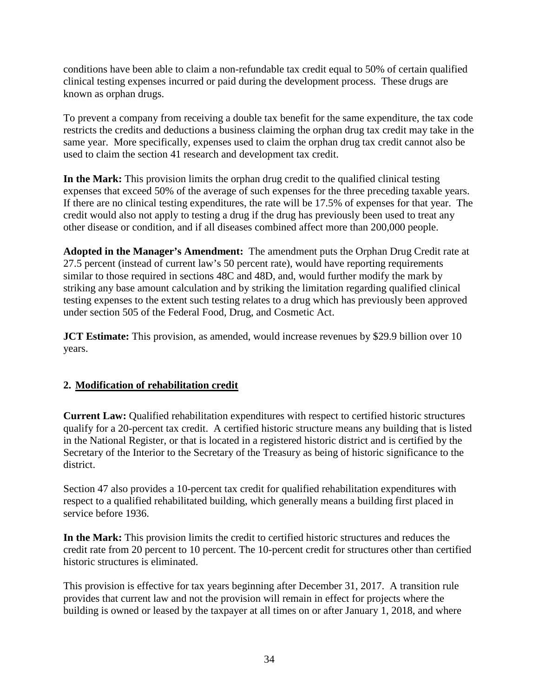conditions have been able to claim a non-refundable tax credit equal to 50% of certain qualified clinical testing expenses incurred or paid during the development process. These drugs are known as orphan drugs.

To prevent a company from receiving a double tax benefit for the same expenditure, the tax code restricts the credits and deductions a business claiming the orphan drug tax credit may take in the same year. More specifically, expenses used to claim the orphan drug tax credit cannot also be used to claim the section 41 research and development tax credit.

**In the Mark:** This provision limits the orphan drug credit to the qualified clinical testing expenses that exceed 50% of the average of such expenses for the three preceding taxable years. If there are no clinical testing expenditures, the rate will be 17.5% of expenses for that year. The credit would also not apply to testing a drug if the drug has previously been used to treat any other disease or condition, and if all diseases combined affect more than 200,000 people.

**Adopted in the Manager's Amendment:** The amendment puts the Orphan Drug Credit rate at 27.5 percent (instead of current law's 50 percent rate), would have reporting requirements similar to those required in sections 48C and 48D, and, would further modify the mark by striking any base amount calculation and by striking the limitation regarding qualified clinical testing expenses to the extent such testing relates to a drug which has previously been approved under section 505 of the Federal Food, Drug, and Cosmetic Act.

**JCT Estimate:** This provision, as amended, would increase revenues by \$29.9 billion over 10 years.

# **2. Modification of rehabilitation credit**

**Current Law:** Qualified rehabilitation expenditures with respect to certified historic structures qualify for a 20-percent tax credit. A certified historic structure means any building that is listed in the National Register, or that is located in a registered historic district and is certified by the Secretary of the Interior to the Secretary of the Treasury as being of historic significance to the district.

Section 47 also provides a 10-percent tax credit for qualified rehabilitation expenditures with respect to a qualified rehabilitated building, which generally means a building first placed in service before 1936.

**In the Mark:** This provision limits the credit to certified historic structures and reduces the credit rate from 20 percent to 10 percent. The 10-percent credit for structures other than certified historic structures is eliminated.

This provision is effective for tax years beginning after December 31, 2017. A transition rule provides that current law and not the provision will remain in effect for projects where the building is owned or leased by the taxpayer at all times on or after January 1, 2018, and where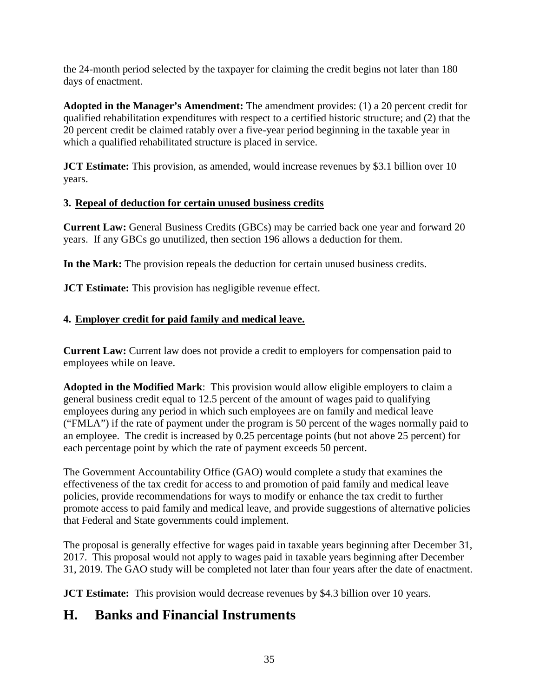the 24-month period selected by the taxpayer for claiming the credit begins not later than 180 days of enactment.

**Adopted in the Manager's Amendment:** The amendment provides: (1) a 20 percent credit for qualified rehabilitation expenditures with respect to a certified historic structure; and (2) that the 20 percent credit be claimed ratably over a five-year period beginning in the taxable year in which a qualified rehabilitated structure is placed in service.

**JCT Estimate:** This provision, as amended, would increase revenues by \$3.1 billion over 10 years.

# **3. Repeal of deduction for certain unused business credits**

**Current Law:** General Business Credits (GBCs) may be carried back one year and forward 20 years. If any GBCs go unutilized, then section 196 allows a deduction for them.

**In the Mark:** The provision repeals the deduction for certain unused business credits.

**JCT Estimate:** This provision has negligible revenue effect.

# **4. Employer credit for paid family and medical leave.**

**Current Law:** Current law does not provide a credit to employers for compensation paid to employees while on leave.

**Adopted in the Modified Mark**: This provision would allow eligible employers to claim a general business credit equal to 12.5 percent of the amount of wages paid to qualifying employees during any period in which such employees are on family and medical leave ("FMLA") if the rate of payment under the program is 50 percent of the wages normally paid to an employee. The credit is increased by 0.25 percentage points (but not above 25 percent) for each percentage point by which the rate of payment exceeds 50 percent.

The Government Accountability Office (GAO) would complete a study that examines the effectiveness of the tax credit for access to and promotion of paid family and medical leave policies, provide recommendations for ways to modify or enhance the tax credit to further promote access to paid family and medical leave, and provide suggestions of alternative policies that Federal and State governments could implement.

The proposal is generally effective for wages paid in taxable years beginning after December 31, 2017. This proposal would not apply to wages paid in taxable years beginning after December 31, 2019. The GAO study will be completed not later than four years after the date of enactment.

**JCT Estimate:** This provision would decrease revenues by \$4.3 billion over 10 years.

# **H. Banks and Financial Instruments**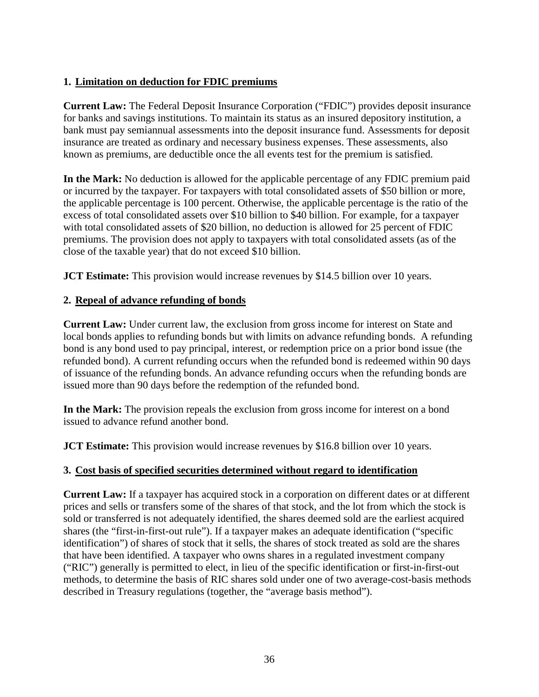#### **1. Limitation on deduction for FDIC premiums**

**Current Law:** The Federal Deposit Insurance Corporation ("FDIC") provides deposit insurance for banks and savings institutions. To maintain its status as an insured depository institution, a bank must pay semiannual assessments into the deposit insurance fund. Assessments for deposit insurance are treated as ordinary and necessary business expenses. These assessments, also known as premiums, are deductible once the all events test for the premium is satisfied.

**In the Mark:** No deduction is allowed for the applicable percentage of any FDIC premium paid or incurred by the taxpayer. For taxpayers with total consolidated assets of \$50 billion or more, the applicable percentage is 100 percent. Otherwise, the applicable percentage is the ratio of the excess of total consolidated assets over \$10 billion to \$40 billion. For example, for a taxpayer with total consolidated assets of \$20 billion, no deduction is allowed for 25 percent of FDIC premiums. The provision does not apply to taxpayers with total consolidated assets (as of the close of the taxable year) that do not exceed \$10 billion.

**JCT Estimate:** This provision would increase revenues by \$14.5 billion over 10 years.

#### **2. Repeal of advance refunding of bonds**

**Current Law:** Under current law, the exclusion from gross income for interest on State and local bonds applies to refunding bonds but with limits on advance refunding bonds. A refunding bond is any bond used to pay principal, interest, or redemption price on a prior bond issue (the refunded bond). A current refunding occurs when the refunded bond is redeemed within 90 days of issuance of the refunding bonds. An advance refunding occurs when the refunding bonds are issued more than 90 days before the redemption of the refunded bond.

**In the Mark:** The provision repeals the exclusion from gross income for interest on a bond issued to advance refund another bond.

**JCT Estimate:** This provision would increase revenues by \$16.8 billion over 10 years.

#### **3. Cost basis of specified securities determined without regard to identification**

**Current Law:** If a taxpayer has acquired stock in a corporation on different dates or at different prices and sells or transfers some of the shares of that stock, and the lot from which the stock is sold or transferred is not adequately identified, the shares deemed sold are the earliest acquired shares (the "first-in-first-out rule"). If a taxpayer makes an adequate identification ("specific identification") of shares of stock that it sells, the shares of stock treated as sold are the shares that have been identified. A taxpayer who owns shares in a regulated investment company ("RIC") generally is permitted to elect, in lieu of the specific identification or first-in-first-out methods, to determine the basis of RIC shares sold under one of two average-cost-basis methods described in Treasury regulations (together, the "average basis method").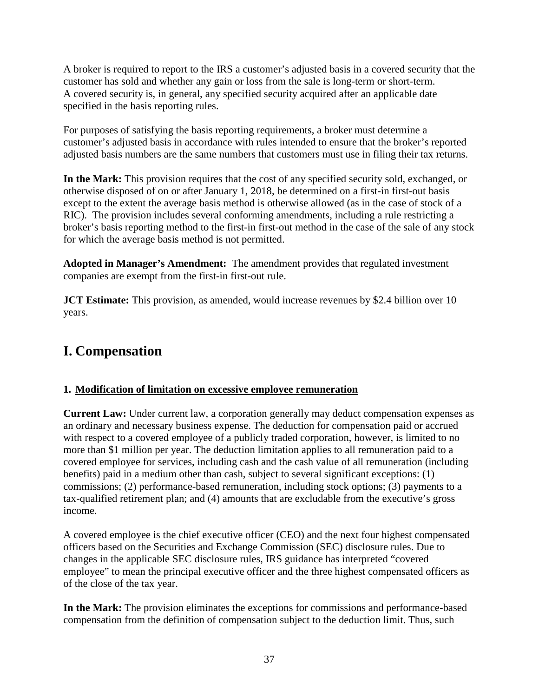A broker is required to report to the IRS a customer's adjusted basis in a covered security that the customer has sold and whether any gain or loss from the sale is long-term or short-term. A covered security is, in general, any specified security acquired after an applicable date specified in the basis reporting rules.

For purposes of satisfying the basis reporting requirements, a broker must determine a customer's adjusted basis in accordance with rules intended to ensure that the broker's reported adjusted basis numbers are the same numbers that customers must use in filing their tax returns.

**In the Mark:** This provision requires that the cost of any specified security sold, exchanged, or otherwise disposed of on or after January 1, 2018, be determined on a first-in first-out basis except to the extent the average basis method is otherwise allowed (as in the case of stock of a RIC). The provision includes several conforming amendments, including a rule restricting a broker's basis reporting method to the first-in first-out method in the case of the sale of any stock for which the average basis method is not permitted.

**Adopted in Manager's Amendment:** The amendment provides that regulated investment companies are exempt from the first-in first-out rule.

**JCT Estimate:** This provision, as amended, would increase revenues by \$2.4 billion over 10 years.

# **I. Compensation**

# **1. Modification of limitation on excessive employee remuneration**

**Current Law:** Under current law, a corporation generally may deduct compensation expenses as an ordinary and necessary business expense. The deduction for compensation paid or accrued with respect to a covered employee of a publicly traded corporation, however, is limited to no more than \$1 million per year. The deduction limitation applies to all remuneration paid to a covered employee for services, including cash and the cash value of all remuneration (including benefits) paid in a medium other than cash, subject to several significant exceptions: (1) commissions; (2) performance-based remuneration, including stock options; (3) payments to a tax-qualified retirement plan; and (4) amounts that are excludable from the executive's gross income.

A covered employee is the chief executive officer (CEO) and the next four highest compensated officers based on the Securities and Exchange Commission (SEC) disclosure rules. Due to changes in the applicable SEC disclosure rules, IRS guidance has interpreted "covered employee" to mean the principal executive officer and the three highest compensated officers as of the close of the tax year.

**In the Mark:** The provision eliminates the exceptions for commissions and performance-based compensation from the definition of compensation subject to the deduction limit. Thus, such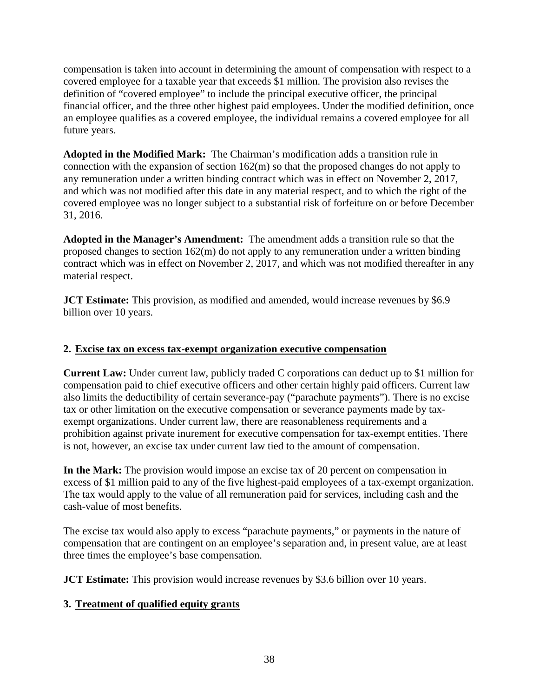compensation is taken into account in determining the amount of compensation with respect to a covered employee for a taxable year that exceeds \$1 million. The provision also revises the definition of "covered employee" to include the principal executive officer, the principal financial officer, and the three other highest paid employees. Under the modified definition, once an employee qualifies as a covered employee, the individual remains a covered employee for all future years.

**Adopted in the Modified Mark:** The Chairman's modification adds a transition rule in connection with the expansion of section 162(m) so that the proposed changes do not apply to any remuneration under a written binding contract which was in effect on November 2, 2017, and which was not modified after this date in any material respect, and to which the right of the covered employee was no longer subject to a substantial risk of forfeiture on or before December 31, 2016.

**Adopted in the Manager's Amendment:** The amendment adds a transition rule so that the proposed changes to section 162(m) do not apply to any remuneration under a written binding contract which was in effect on November 2, 2017, and which was not modified thereafter in any material respect.

**JCT Estimate:** This provision, as modified and amended, would increase revenues by \$6.9 billion over 10 years.

#### **2. Excise tax on excess tax-exempt organization executive compensation**

**Current Law:** Under current law, publicly traded C corporations can deduct up to \$1 million for compensation paid to chief executive officers and other certain highly paid officers. Current law also limits the deductibility of certain severance-pay ("parachute payments"). There is no excise tax or other limitation on the executive compensation or severance payments made by taxexempt organizations. Under current law, there are reasonableness requirements and a prohibition against private inurement for executive compensation for tax-exempt entities. There is not, however, an excise tax under current law tied to the amount of compensation.

**In the Mark:** The provision would impose an excise tax of 20 percent on compensation in excess of \$1 million paid to any of the five highest-paid employees of a tax-exempt organization. The tax would apply to the value of all remuneration paid for services, including cash and the cash-value of most benefits.

The excise tax would also apply to excess "parachute payments," or payments in the nature of compensation that are contingent on an employee's separation and, in present value, are at least three times the employee's base compensation.

**JCT Estimate:** This provision would increase revenues by \$3.6 billion over 10 years.

# **3. Treatment of qualified equity grants**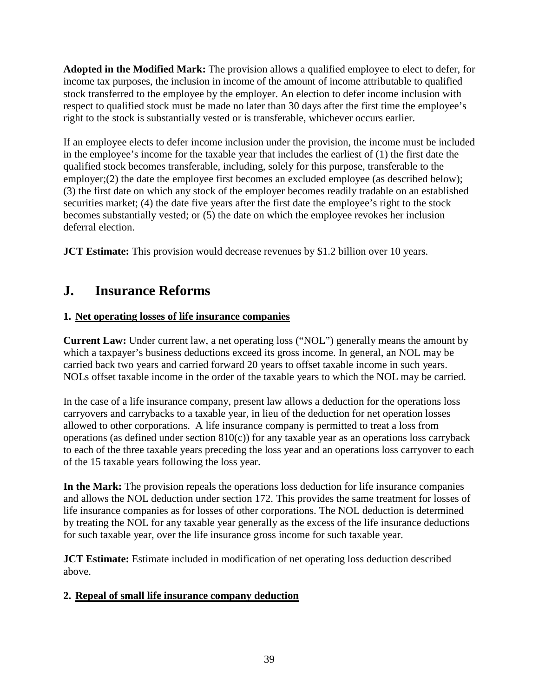**Adopted in the Modified Mark:** The provision allows a qualified employee to elect to defer, for income tax purposes, the inclusion in income of the amount of income attributable to qualified stock transferred to the employee by the employer. An election to defer income inclusion with respect to qualified stock must be made no later than 30 days after the first time the employee's right to the stock is substantially vested or is transferable, whichever occurs earlier.

If an employee elects to defer income inclusion under the provision, the income must be included in the employee's income for the taxable year that includes the earliest of (1) the first date the qualified stock becomes transferable, including, solely for this purpose, transferable to the employer;(2) the date the employee first becomes an excluded employee (as described below); (3) the first date on which any stock of the employer becomes readily tradable on an established securities market; (4) the date five years after the first date the employee's right to the stock becomes substantially vested; or (5) the date on which the employee revokes her inclusion deferral election.

**JCT Estimate:** This provision would decrease revenues by \$1.2 billion over 10 years.

# **J. Insurance Reforms**

# **1. Net operating losses of life insurance companies**

**Current Law:** Under current law, a net operating loss ("NOL") generally means the amount by which a taxpayer's business deductions exceed its gross income. In general, an NOL may be carried back two years and carried forward 20 years to offset taxable income in such years. NOLs offset taxable income in the order of the taxable years to which the NOL may be carried.

In the case of a life insurance company, present law allows a deduction for the operations loss carryovers and carrybacks to a taxable year, in lieu of the deduction for net operation losses allowed to other corporations. A life insurance company is permitted to treat a loss from operations (as defined under section  $810(c)$ ) for any taxable year as an operations loss carryback to each of the three taxable years preceding the loss year and an operations loss carryover to each of the 15 taxable years following the loss year.

**In the Mark:** The provision repeals the operations loss deduction for life insurance companies and allows the NOL deduction under section 172. This provides the same treatment for losses of life insurance companies as for losses of other corporations. The NOL deduction is determined by treating the NOL for any taxable year generally as the excess of the life insurance deductions for such taxable year, over the life insurance gross income for such taxable year.

**JCT Estimate:** Estimate included in modification of net operating loss deduction described above.

# **2. Repeal of small life insurance company deduction**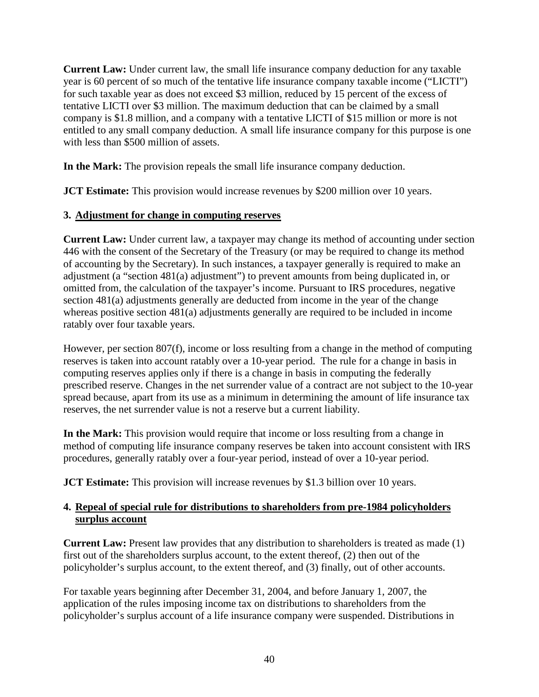**Current Law:** Under current law, the small life insurance company deduction for any taxable year is 60 percent of so much of the tentative life insurance company taxable income ("LICTI") for such taxable year as does not exceed \$3 million, reduced by 15 percent of the excess of tentative LICTI over \$3 million. The maximum deduction that can be claimed by a small company is \$1.8 million, and a company with a tentative LICTI of \$15 million or more is not entitled to any small company deduction. A small life insurance company for this purpose is one with less than \$500 million of assets.

**In the Mark:** The provision repeals the small life insurance company deduction.

**JCT Estimate:** This provision would increase revenues by \$200 million over 10 years.

#### **3. Adjustment for change in computing reserves**

**Current Law:** Under current law, a taxpayer may change its method of accounting under section 446 with the consent of the Secretary of the Treasury (or may be required to change its method of accounting by the Secretary). In such instances, a taxpayer generally is required to make an adjustment (a "section 481(a) adjustment") to prevent amounts from being duplicated in, or omitted from, the calculation of the taxpayer's income. Pursuant to IRS procedures, negative section 481(a) adjustments generally are deducted from income in the year of the change whereas positive section 481(a) adjustments generally are required to be included in income ratably over four taxable years.

However, per section 807(f), income or loss resulting from a change in the method of computing reserves is taken into account ratably over a 10-year period. The rule for a change in basis in computing reserves applies only if there is a change in basis in computing the federally prescribed reserve. Changes in the net surrender value of a contract are not subject to the 10-year spread because, apart from its use as a minimum in determining the amount of life insurance tax reserves, the net surrender value is not a reserve but a current liability.

**In the Mark:** This provision would require that income or loss resulting from a change in method of computing life insurance company reserves be taken into account consistent with IRS procedures, generally ratably over a four-year period, instead of over a 10-year period.

**JCT Estimate:** This provision will increase revenues by \$1.3 billion over 10 years.

#### **4. Repeal of special rule for distributions to shareholders from pre-1984 policyholders surplus account**

**Current Law:** Present law provides that any distribution to shareholders is treated as made (1) first out of the shareholders surplus account, to the extent thereof, (2) then out of the policyholder's surplus account, to the extent thereof, and (3) finally, out of other accounts.

For taxable years beginning after December 31, 2004, and before January 1, 2007, the application of the rules imposing income tax on distributions to shareholders from the policyholder's surplus account of a life insurance company were suspended. Distributions in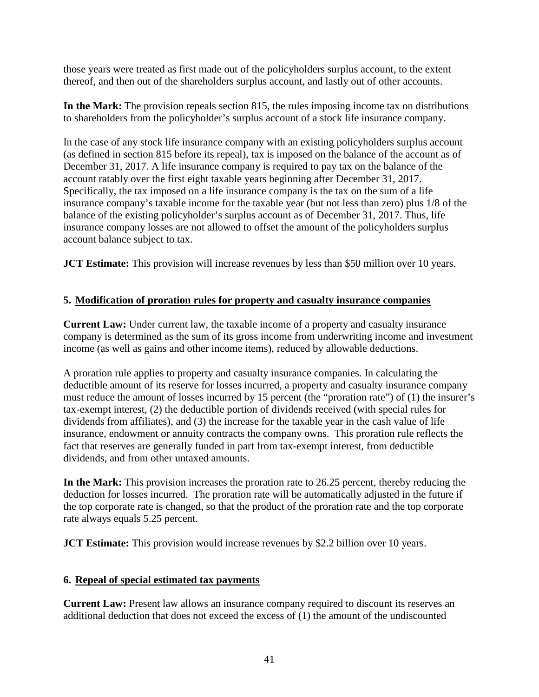those years were treated as first made out of the policyholders surplus account, to the extent thereof, and then out of the shareholders surplus account, and lastly out of other accounts.

**In the Mark:** The provision repeals section 815, the rules imposing income tax on distributions to shareholders from the policyholder's surplus account of a stock life insurance company.

In the case of any stock life insurance company with an existing policyholders surplus account (as defined in section 815 before its repeal), tax is imposed on the balance of the account as of December 31, 2017. A life insurance company is required to pay tax on the balance of the account ratably over the first eight taxable years beginning after December 31, 2017. Specifically, the tax imposed on a life insurance company is the tax on the sum of a life insurance company's taxable income for the taxable year (but not less than zero) plus 1/8 of the balance of the existing policyholder's surplus account as of December 31, 2017. Thus, life insurance company losses are not allowed to offset the amount of the policyholders surplus account balance subject to tax.

**JCT Estimate:** This provision will increase revenues by less than \$50 million over 10 years.

# **5. Modification of proration rules for property and casualty insurance companies**

**Current Law:** Under current law, the taxable income of a property and casualty insurance company is determined as the sum of its gross income from underwriting income and investment income (as well as gains and other income items), reduced by allowable deductions.

A proration rule applies to property and casualty insurance companies. In calculating the deductible amount of its reserve for losses incurred, a property and casualty insurance company must reduce the amount of losses incurred by 15 percent (the "proration rate") of (1) the insurer's tax-exempt interest, (2) the deductible portion of dividends received (with special rules for dividends from affiliates), and (3) the increase for the taxable year in the cash value of life insurance, endowment or annuity contracts the company owns. This proration rule reflects the fact that reserves are generally funded in part from tax-exempt interest, from deductible dividends, and from other untaxed amounts.

**In the Mark:** This provision increases the proration rate to 26.25 percent, thereby reducing the deduction for losses incurred. The proration rate will be automatically adjusted in the future if the top corporate rate is changed, so that the product of the proration rate and the top corporate rate always equals 5.25 percent.

**JCT Estimate:** This provision would increase revenues by \$2.2 billion over 10 years.

#### **6. Repeal of special estimated tax payments**

**Current Law:** Present law allows an insurance company required to discount its reserves an additional deduction that does not exceed the excess of (1) the amount of the undiscounted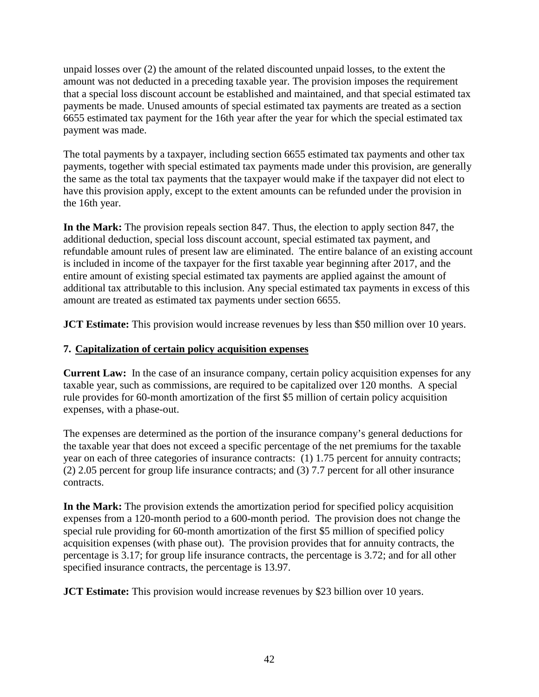unpaid losses over (2) the amount of the related discounted unpaid losses, to the extent the amount was not deducted in a preceding taxable year. The provision imposes the requirement that a special loss discount account be established and maintained, and that special estimated tax payments be made. Unused amounts of special estimated tax payments are treated as a section 6655 estimated tax payment for the 16th year after the year for which the special estimated tax payment was made.

The total payments by a taxpayer, including section 6655 estimated tax payments and other tax payments, together with special estimated tax payments made under this provision, are generally the same as the total tax payments that the taxpayer would make if the taxpayer did not elect to have this provision apply, except to the extent amounts can be refunded under the provision in the 16th year.

**In the Mark:** The provision repeals section 847. Thus, the election to apply section 847, the additional deduction, special loss discount account, special estimated tax payment, and refundable amount rules of present law are eliminated. The entire balance of an existing account is included in income of the taxpayer for the first taxable year beginning after 2017, and the entire amount of existing special estimated tax payments are applied against the amount of additional tax attributable to this inclusion. Any special estimated tax payments in excess of this amount are treated as estimated tax payments under section 6655.

**JCT Estimate:** This provision would increase revenues by less than \$50 million over 10 years.

## **7. Capitalization of certain policy acquisition expenses**

**Current Law:** In the case of an insurance company, certain policy acquisition expenses for any taxable year, such as commissions, are required to be capitalized over 120 months. A special rule provides for 60-month amortization of the first \$5 million of certain policy acquisition expenses, with a phase-out.

The expenses are determined as the portion of the insurance company's general deductions for the taxable year that does not exceed a specific percentage of the net premiums for the taxable year on each of three categories of insurance contracts: (1) 1.75 percent for annuity contracts; (2) 2.05 percent for group life insurance contracts; and (3) 7.7 percent for all other insurance contracts.

**In the Mark:** The provision extends the amortization period for specified policy acquisition expenses from a 120-month period to a 600-month period. The provision does not change the special rule providing for 60-month amortization of the first \$5 million of specified policy acquisition expenses (with phase out). The provision provides that for annuity contracts, the percentage is 3.17; for group life insurance contracts, the percentage is 3.72; and for all other specified insurance contracts, the percentage is 13.97.

**JCT Estimate:** This provision would increase revenues by \$23 billion over 10 years.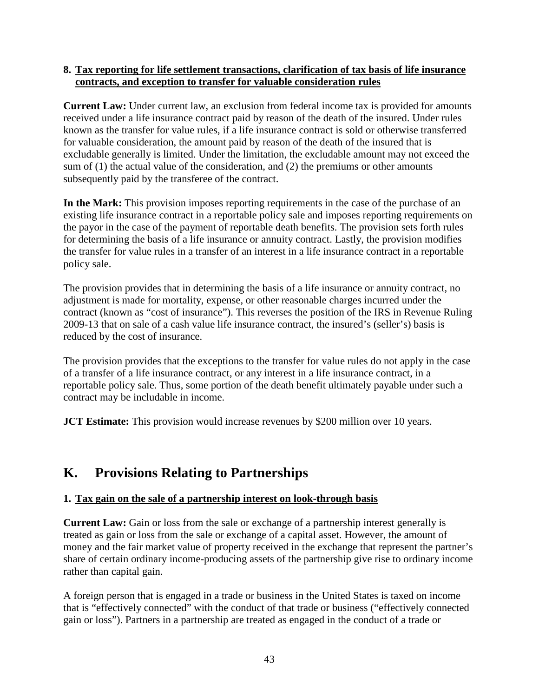#### **8. Tax reporting for life settlement transactions, clarification of tax basis of life insurance contracts, and exception to transfer for valuable consideration rules**

**Current Law:** Under current law, an exclusion from federal income tax is provided for amounts received under a life insurance contract paid by reason of the death of the insured. Under rules known as the transfer for value rules, if a life insurance contract is sold or otherwise transferred for valuable consideration, the amount paid by reason of the death of the insured that is excludable generally is limited. Under the limitation, the excludable amount may not exceed the sum of (1) the actual value of the consideration, and (2) the premiums or other amounts subsequently paid by the transferee of the contract.

**In the Mark:** This provision imposes reporting requirements in the case of the purchase of an existing life insurance contract in a reportable policy sale and imposes reporting requirements on the payor in the case of the payment of reportable death benefits. The provision sets forth rules for determining the basis of a life insurance or annuity contract. Lastly, the provision modifies the transfer for value rules in a transfer of an interest in a life insurance contract in a reportable policy sale.

The provision provides that in determining the basis of a life insurance or annuity contract, no adjustment is made for mortality, expense, or other reasonable charges incurred under the contract (known as "cost of insurance"). This reverses the position of the IRS in Revenue Ruling 2009-13 that on sale of a cash value life insurance contract, the insured's (seller's) basis is reduced by the cost of insurance.

The provision provides that the exceptions to the transfer for value rules do not apply in the case of a transfer of a life insurance contract, or any interest in a life insurance contract, in a reportable policy sale. Thus, some portion of the death benefit ultimately payable under such a contract may be includable in income.

**JCT Estimate:** This provision would increase revenues by \$200 million over 10 years.

# **K. Provisions Relating to Partnerships**

#### **1. Tax gain on the sale of a partnership interest on look-through basis**

**Current Law:** Gain or loss from the sale or exchange of a partnership interest generally is treated as gain or loss from the sale or exchange of a capital asset. However, the amount of money and the fair market value of property received in the exchange that represent the partner's share of certain ordinary income-producing assets of the partnership give rise to ordinary income rather than capital gain.

A foreign person that is engaged in a trade or business in the United States is taxed on income that is "effectively connected" with the conduct of that trade or business ("effectively connected gain or loss"). Partners in a partnership are treated as engaged in the conduct of a trade or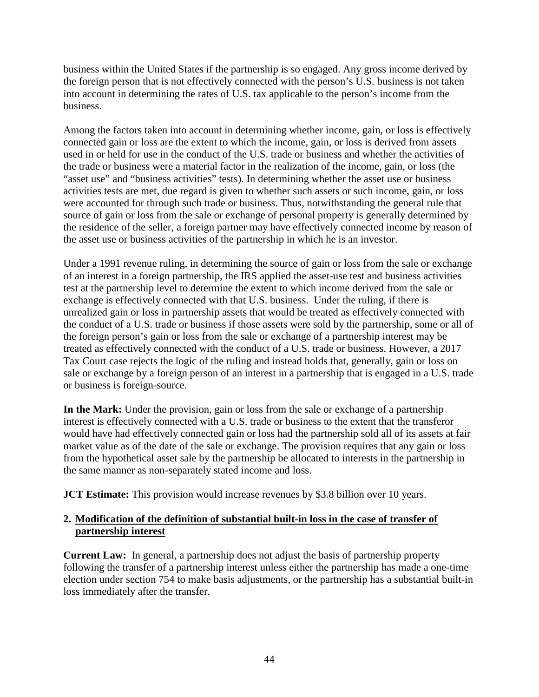business within the United States if the partnership is so engaged. Any gross income derived by the foreign person that is not effectively connected with the person's U.S. business is not taken into account in determining the rates of U.S. tax applicable to the person's income from the business.

Among the factors taken into account in determining whether income, gain, or loss is effectively connected gain or loss are the extent to which the income, gain, or loss is derived from assets used in or held for use in the conduct of the U.S. trade or business and whether the activities of the trade or business were a material factor in the realization of the income, gain, or loss (the "asset use" and "business activities" tests). In determining whether the asset use or business activities tests are met, due regard is given to whether such assets or such income, gain, or loss were accounted for through such trade or business. Thus, notwithstanding the general rule that source of gain or loss from the sale or exchange of personal property is generally determined by the residence of the seller, a foreign partner may have effectively connected income by reason of the asset use or business activities of the partnership in which he is an investor.

Under a 1991 revenue ruling, in determining the source of gain or loss from the sale or exchange of an interest in a foreign partnership, the IRS applied the asset-use test and business activities test at the partnership level to determine the extent to which income derived from the sale or exchange is effectively connected with that U.S. business. Under the ruling, if there is unrealized gain or loss in partnership assets that would be treated as effectively connected with the conduct of a U.S. trade or business if those assets were sold by the partnership, some or all of the foreign person's gain or loss from the sale or exchange of a partnership interest may be treated as effectively connected with the conduct of a U.S. trade or business. However, a 2017 Tax Court case rejects the logic of the ruling and instead holds that, generally, gain or loss on sale or exchange by a foreign person of an interest in a partnership that is engaged in a U.S. trade or business is foreign-source.

**In the Mark:** Under the provision, gain or loss from the sale or exchange of a partnership interest is effectively connected with a U.S. trade or business to the extent that the transferor would have had effectively connected gain or loss had the partnership sold all of its assets at fair market value as of the date of the sale or exchange. The provision requires that any gain or loss from the hypothetical asset sale by the partnership be allocated to interests in the partnership in the same manner as non-separately stated income and loss.

**JCT Estimate:** This provision would increase revenues by \$3.8 billion over 10 years.

#### **2. Modification of the definition of substantial built-in loss in the case of transfer of partnership interest**

**Current Law:** In general, a partnership does not adjust the basis of partnership property following the transfer of a partnership interest unless either the partnership has made a one-time election under section 754 to make basis adjustments, or the partnership has a substantial built-in loss immediately after the transfer.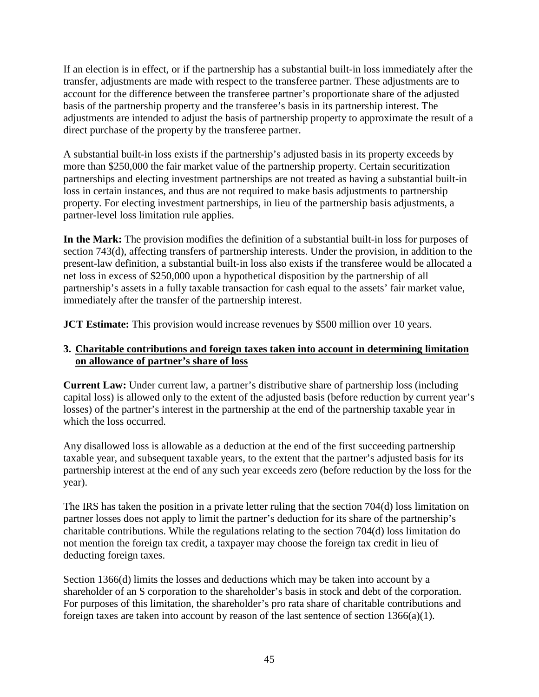If an election is in effect, or if the partnership has a substantial built-in loss immediately after the transfer, adjustments are made with respect to the transferee partner. These adjustments are to account for the difference between the transferee partner's proportionate share of the adjusted basis of the partnership property and the transferee's basis in its partnership interest. The adjustments are intended to adjust the basis of partnership property to approximate the result of a direct purchase of the property by the transferee partner.

A substantial built-in loss exists if the partnership's adjusted basis in its property exceeds by more than \$250,000 the fair market value of the partnership property. Certain securitization partnerships and electing investment partnerships are not treated as having a substantial built-in loss in certain instances, and thus are not required to make basis adjustments to partnership property. For electing investment partnerships, in lieu of the partnership basis adjustments, a partner-level loss limitation rule applies.

**In the Mark:** The provision modifies the definition of a substantial built-in loss for purposes of section 743(d), affecting transfers of partnership interests. Under the provision, in addition to the present-law definition, a substantial built-in loss also exists if the transferee would be allocated a net loss in excess of \$250,000 upon a hypothetical disposition by the partnership of all partnership's assets in a fully taxable transaction for cash equal to the assets' fair market value, immediately after the transfer of the partnership interest.

**JCT Estimate:** This provision would increase revenues by \$500 million over 10 years.

#### **3. Charitable contributions and foreign taxes taken into account in determining limitation on allowance of partner's share of loss**

**Current Law:** Under current law, a partner's distributive share of partnership loss (including capital loss) is allowed only to the extent of the adjusted basis (before reduction by current year's losses) of the partner's interest in the partnership at the end of the partnership taxable year in which the loss occurred.

Any disallowed loss is allowable as a deduction at the end of the first succeeding partnership taxable year, and subsequent taxable years, to the extent that the partner's adjusted basis for its partnership interest at the end of any such year exceeds zero (before reduction by the loss for the year).

The IRS has taken the position in a private letter ruling that the section 704(d) loss limitation on partner losses does not apply to limit the partner's deduction for its share of the partnership's charitable contributions. While the regulations relating to the section 704(d) loss limitation do not mention the foreign tax credit, a taxpayer may choose the foreign tax credit in lieu of deducting foreign taxes.

Section 1366(d) limits the losses and deductions which may be taken into account by a shareholder of an S corporation to the shareholder's basis in stock and debt of the corporation. For purposes of this limitation, the shareholder's pro rata share of charitable contributions and foreign taxes are taken into account by reason of the last sentence of section 1366(a)(1).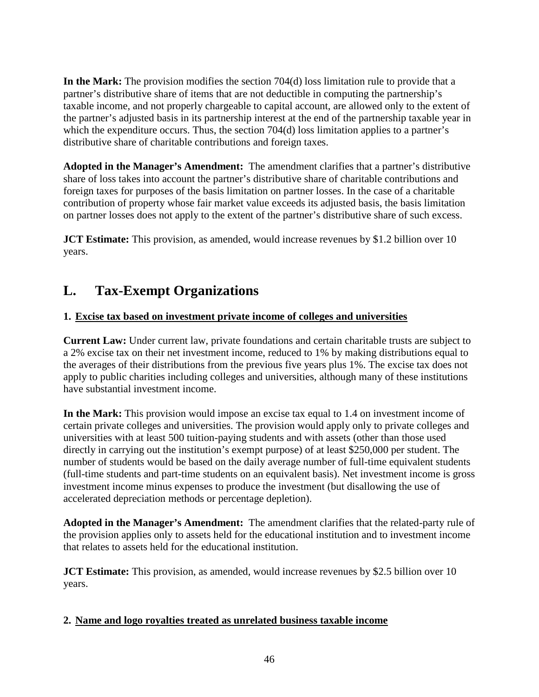**In the Mark:** The provision modifies the section 704(d) loss limitation rule to provide that a partner's distributive share of items that are not deductible in computing the partnership's taxable income, and not properly chargeable to capital account, are allowed only to the extent of the partner's adjusted basis in its partnership interest at the end of the partnership taxable year in which the expenditure occurs. Thus, the section 704(d) loss limitation applies to a partner's distributive share of charitable contributions and foreign taxes.

**Adopted in the Manager's Amendment:** The amendment clarifies that a partner's distributive share of loss takes into account the partner's distributive share of charitable contributions and foreign taxes for purposes of the basis limitation on partner losses. In the case of a charitable contribution of property whose fair market value exceeds its adjusted basis, the basis limitation on partner losses does not apply to the extent of the partner's distributive share of such excess.

**JCT Estimate:** This provision, as amended, would increase revenues by \$1.2 billion over 10 years.

# **L. Tax-Exempt Organizations**

# **1. Excise tax based on investment private income of colleges and universities**

**Current Law:** Under current law, private foundations and certain charitable trusts are subject to a 2% excise tax on their net investment income, reduced to 1% by making distributions equal to the averages of their distributions from the previous five years plus 1%. The excise tax does not apply to public charities including colleges and universities, although many of these institutions have substantial investment income.

**In the Mark:** This provision would impose an excise tax equal to 1.4 on investment income of certain private colleges and universities. The provision would apply only to private colleges and universities with at least 500 tuition-paying students and with assets (other than those used directly in carrying out the institution's exempt purpose) of at least \$250,000 per student. The number of students would be based on the daily average number of full-time equivalent students (full-time students and part-time students on an equivalent basis). Net investment income is gross investment income minus expenses to produce the investment (but disallowing the use of accelerated depreciation methods or percentage depletion).

**Adopted in the Manager's Amendment:** The amendment clarifies that the related-party rule of the provision applies only to assets held for the educational institution and to investment income that relates to assets held for the educational institution.

**JCT Estimate:** This provision, as amended, would increase revenues by \$2.5 billion over 10 years.

#### **2. Name and logo royalties treated as unrelated business taxable income**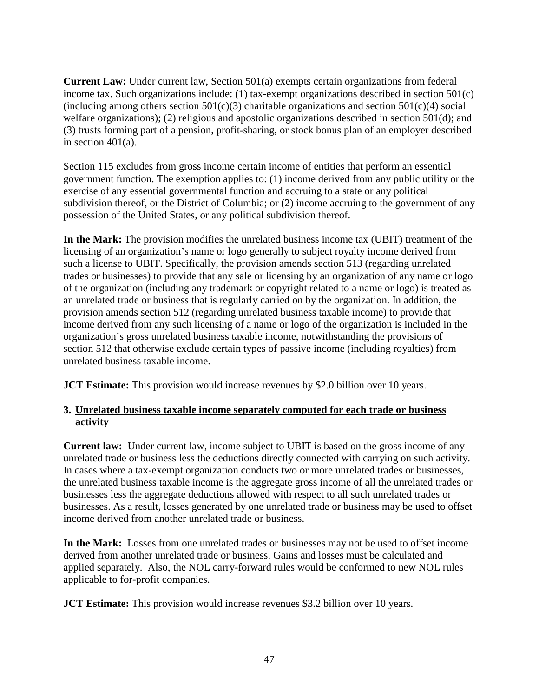**Current Law:** Under current law, Section 501(a) exempts certain organizations from federal income tax. Such organizations include: (1) tax-exempt organizations described in section 501(c) (including among others section  $501(c)(3)$  charitable organizations and section  $501(c)(4)$  social welfare organizations); (2) religious and apostolic organizations described in section 501(d); and (3) trusts forming part of a pension, profit-sharing, or stock bonus plan of an employer described in section  $401(a)$ .

Section 115 excludes from gross income certain income of entities that perform an essential government function. The exemption applies to: (1) income derived from any public utility or the exercise of any essential governmental function and accruing to a state or any political subdivision thereof, or the District of Columbia; or (2) income accruing to the government of any possession of the United States, or any political subdivision thereof.

**In the Mark:** The provision modifies the unrelated business income tax (UBIT) treatment of the licensing of an organization's name or logo generally to subject royalty income derived from such a license to UBIT. Specifically, the provision amends section 513 (regarding unrelated trades or businesses) to provide that any sale or licensing by an organization of any name or logo of the organization (including any trademark or copyright related to a name or logo) is treated as an unrelated trade or business that is regularly carried on by the organization. In addition, the provision amends section 512 (regarding unrelated business taxable income) to provide that income derived from any such licensing of a name or logo of the organization is included in the organization's gross unrelated business taxable income, notwithstanding the provisions of section 512 that otherwise exclude certain types of passive income (including royalties) from unrelated business taxable income.

**JCT Estimate:** This provision would increase revenues by \$2.0 billion over 10 years.

#### **3. Unrelated business taxable income separately computed for each trade or business activity**

**Current law:** Under current law, income subject to UBIT is based on the gross income of any unrelated trade or business less the deductions directly connected with carrying on such activity. In cases where a tax-exempt organization conducts two or more unrelated trades or businesses, the unrelated business taxable income is the aggregate gross income of all the unrelated trades or businesses less the aggregate deductions allowed with respect to all such unrelated trades or businesses. As a result, losses generated by one unrelated trade or business may be used to offset income derived from another unrelated trade or business.

**In the Mark:** Losses from one unrelated trades or businesses may not be used to offset income derived from another unrelated trade or business. Gains and losses must be calculated and applied separately. Also, the NOL carry-forward rules would be conformed to new NOL rules applicable to for-profit companies.

**JCT Estimate:** This provision would increase revenues \$3.2 billion over 10 years.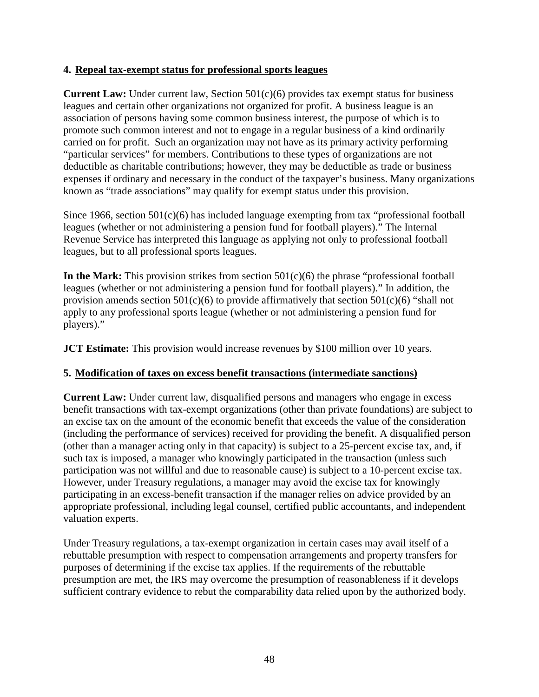#### **4. Repeal tax-exempt status for professional sports leagues**

**Current Law:** Under current law, Section 501(c)(6) provides tax exempt status for business leagues and certain other organizations not organized for profit. A business league is an association of persons having some common business interest, the purpose of which is to promote such common interest and not to engage in a regular business of a kind ordinarily carried on for profit. Such an organization may not have as its primary activity performing "particular services" for members. Contributions to these types of organizations are not deductible as charitable contributions; however, they may be deductible as trade or business expenses if ordinary and necessary in the conduct of the taxpayer's business. Many organizations known as "trade associations" may qualify for exempt status under this provision.

Since 1966, section  $501(c)(6)$  has included language exempting from tax "professional football leagues (whether or not administering a pension fund for football players)." The Internal Revenue Service has interpreted this language as applying not only to professional football leagues, but to all professional sports leagues.

**In the Mark:** This provision strikes from section 501(c)(6) the phrase "professional football leagues (whether or not administering a pension fund for football players)." In addition, the provision amends section  $501(c)(6)$  to provide affirmatively that section  $501(c)(6)$  "shall not apply to any professional sports league (whether or not administering a pension fund for players)."

**JCT Estimate:** This provision would increase revenues by \$100 million over 10 years.

#### **5. Modification of taxes on excess benefit transactions (intermediate sanctions)**

**Current Law:** Under current law, disqualified persons and managers who engage in excess benefit transactions with tax-exempt organizations (other than private foundations) are subject to an excise tax on the amount of the economic benefit that exceeds the value of the consideration (including the performance of services) received for providing the benefit. A disqualified person (other than a manager acting only in that capacity) is subject to a 25-percent excise tax, and, if such tax is imposed, a manager who knowingly participated in the transaction (unless such participation was not willful and due to reasonable cause) is subject to a 10-percent excise tax. However, under Treasury regulations, a manager may avoid the excise tax for knowingly participating in an excess-benefit transaction if the manager relies on advice provided by an appropriate professional, including legal counsel, certified public accountants, and independent valuation experts.

Under Treasury regulations, a tax-exempt organization in certain cases may avail itself of a rebuttable presumption with respect to compensation arrangements and property transfers for purposes of determining if the excise tax applies. If the requirements of the rebuttable presumption are met, the IRS may overcome the presumption of reasonableness if it develops sufficient contrary evidence to rebut the comparability data relied upon by the authorized body.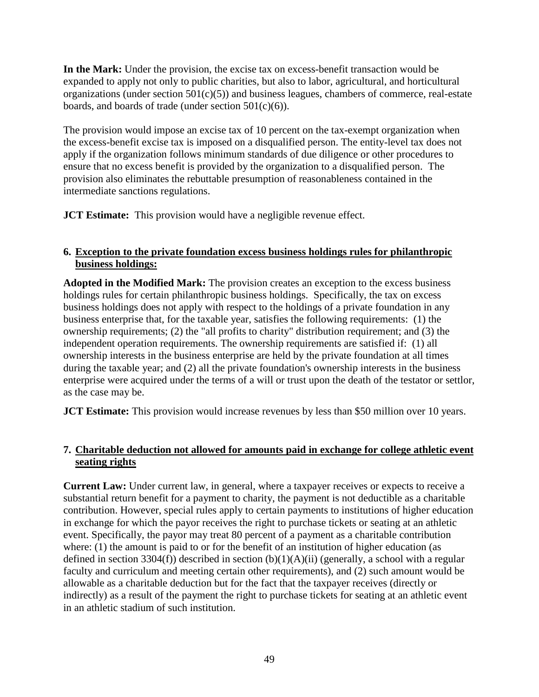**In the Mark:** Under the provision, the excise tax on excess-benefit transaction would be expanded to apply not only to public charities, but also to labor, agricultural, and horticultural organizations (under section  $501(c)(5)$ ) and business leagues, chambers of commerce, real-estate boards, and boards of trade (under section  $501(c)(6)$ ).

The provision would impose an excise tax of 10 percent on the tax-exempt organization when the excess-benefit excise tax is imposed on a disqualified person. The entity-level tax does not apply if the organization follows minimum standards of due diligence or other procedures to ensure that no excess benefit is provided by the organization to a disqualified person. The provision also eliminates the rebuttable presumption of reasonableness contained in the intermediate sanctions regulations.

**JCT Estimate:** This provision would have a negligible revenue effect.

#### **6. Exception to the private foundation excess business holdings rules for philanthropic business holdings:**

**Adopted in the Modified Mark:** The provision creates an exception to the excess business holdings rules for certain philanthropic business holdings. Specifically, the tax on excess business holdings does not apply with respect to the holdings of a private foundation in any business enterprise that, for the taxable year, satisfies the following requirements: (1) the ownership requirements; (2) the "all profits to charity" distribution requirement; and (3) the independent operation requirements. The ownership requirements are satisfied if: (1) all ownership interests in the business enterprise are held by the private foundation at all times during the taxable year; and (2) all the private foundation's ownership interests in the business enterprise were acquired under the terms of a will or trust upon the death of the testator or settlor, as the case may be.

**JCT Estimate:** This provision would increase revenues by less than \$50 million over 10 years.

#### **7. Charitable deduction not allowed for amounts paid in exchange for college athletic event seating rights**

**Current Law:** Under current law, in general, where a taxpayer receives or expects to receive a substantial return benefit for a payment to charity, the payment is not deductible as a charitable contribution. However, special rules apply to certain payments to institutions of higher education in exchange for which the payor receives the right to purchase tickets or seating at an athletic event. Specifically, the payor may treat 80 percent of a payment as a charitable contribution where: (1) the amount is paid to or for the benefit of an institution of higher education (as defined in section 3304(f)) described in section  $(b)(1)(A)(ii)$  (generally, a school with a regular faculty and curriculum and meeting certain other requirements), and (2) such amount would be allowable as a charitable deduction but for the fact that the taxpayer receives (directly or indirectly) as a result of the payment the right to purchase tickets for seating at an athletic event in an athletic stadium of such institution.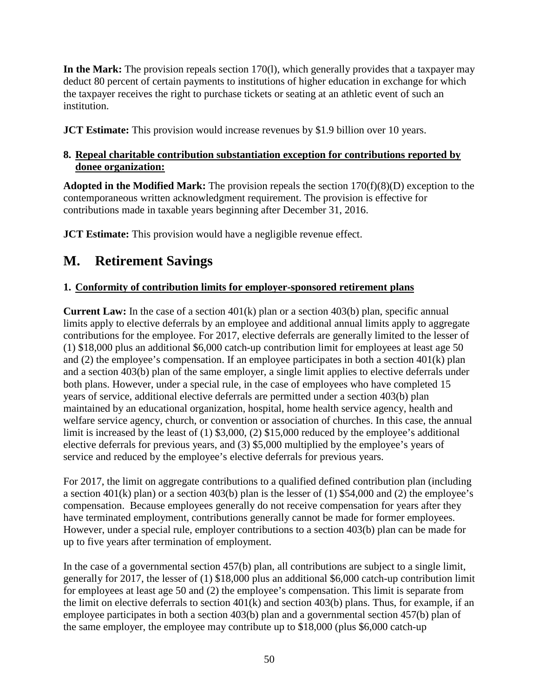**In the Mark:** The provision repeals section 170(l), which generally provides that a taxpayer may deduct 80 percent of certain payments to institutions of higher education in exchange for which the taxpayer receives the right to purchase tickets or seating at an athletic event of such an institution.

**JCT Estimate:** This provision would increase revenues by \$1.9 billion over 10 years.

# **8. Repeal charitable contribution substantiation exception for contributions reported by donee organization:**

**Adopted in the Modified Mark:** The provision repeals the section 170(f)(8)(D) exception to the contemporaneous written acknowledgment requirement. The provision is effective for contributions made in taxable years beginning after December 31, 2016.

**JCT Estimate:** This provision would have a negligible revenue effect.

# **M. Retirement Savings**

# **1. Conformity of contribution limits for employer-sponsored retirement plans**

**Current Law:** In the case of a section 401(k) plan or a section 403(b) plan, specific annual limits apply to elective deferrals by an employee and additional annual limits apply to aggregate contributions for the employee. For 2017, elective deferrals are generally limited to the lesser of (1) \$18,000 plus an additional \$6,000 catch-up contribution limit for employees at least age 50 and (2) the employee's compensation. If an employee participates in both a section 401(k) plan and a section 403(b) plan of the same employer, a single limit applies to elective deferrals under both plans. However, under a special rule, in the case of employees who have completed 15 years of service, additional elective deferrals are permitted under a section 403(b) plan maintained by an educational organization, hospital, home health service agency, health and welfare service agency, church, or convention or association of churches. In this case, the annual limit is increased by the least of (1) \$3,000, (2) \$15,000 reduced by the employee's additional elective deferrals for previous years, and (3) \$5,000 multiplied by the employee's years of service and reduced by the employee's elective deferrals for previous years.

For 2017, the limit on aggregate contributions to a qualified defined contribution plan (including a section 401(k) plan) or a section 403(b) plan is the lesser of (1) \$54,000 and (2) the employee's compensation. Because employees generally do not receive compensation for years after they have terminated employment, contributions generally cannot be made for former employees. However, under a special rule, employer contributions to a section 403(b) plan can be made for up to five years after termination of employment.

In the case of a governmental section 457(b) plan, all contributions are subject to a single limit, generally for 2017, the lesser of (1) \$18,000 plus an additional \$6,000 catch-up contribution limit for employees at least age 50 and (2) the employee's compensation. This limit is separate from the limit on elective deferrals to section 401(k) and section 403(b) plans. Thus, for example, if an employee participates in both a section 403(b) plan and a governmental section 457(b) plan of the same employer, the employee may contribute up to \$18,000 (plus \$6,000 catch-up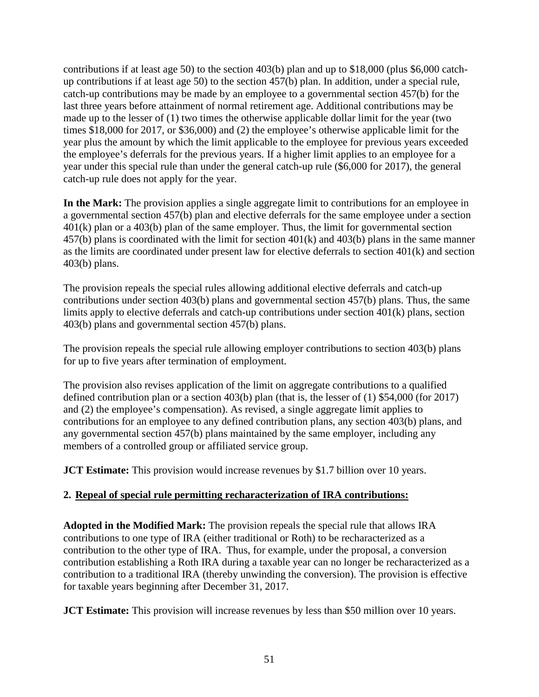contributions if at least age 50) to the section 403(b) plan and up to \$18,000 (plus \$6,000 catchup contributions if at least age 50) to the section 457(b) plan. In addition, under a special rule, catch-up contributions may be made by an employee to a governmental section 457(b) for the last three years before attainment of normal retirement age. Additional contributions may be made up to the lesser of (1) two times the otherwise applicable dollar limit for the year (two times \$18,000 for 2017, or \$36,000) and (2) the employee's otherwise applicable limit for the year plus the amount by which the limit applicable to the employee for previous years exceeded the employee's deferrals for the previous years. If a higher limit applies to an employee for a year under this special rule than under the general catch-up rule (\$6,000 for 2017), the general catch-up rule does not apply for the year.

**In the Mark:** The provision applies a single aggregate limit to contributions for an employee in a governmental section 457(b) plan and elective deferrals for the same employee under a section 401(k) plan or a 403(b) plan of the same employer. Thus, the limit for governmental section 457(b) plans is coordinated with the limit for section 401(k) and 403(b) plans in the same manner as the limits are coordinated under present law for elective deferrals to section 401(k) and section 403(b) plans.

The provision repeals the special rules allowing additional elective deferrals and catch-up contributions under section 403(b) plans and governmental section 457(b) plans. Thus, the same limits apply to elective deferrals and catch-up contributions under section 401(k) plans, section 403(b) plans and governmental section 457(b) plans.

The provision repeals the special rule allowing employer contributions to section 403(b) plans for up to five years after termination of employment.

The provision also revises application of the limit on aggregate contributions to a qualified defined contribution plan or a section 403(b) plan (that is, the lesser of (1) \$54,000 (for 2017) and (2) the employee's compensation). As revised, a single aggregate limit applies to contributions for an employee to any defined contribution plans, any section 403(b) plans, and any governmental section 457(b) plans maintained by the same employer, including any members of a controlled group or affiliated service group.

**JCT Estimate:** This provision would increase revenues by \$1.7 billion over 10 years.

# **2. Repeal of special rule permitting recharacterization of IRA contributions:**

**Adopted in the Modified Mark:** The provision repeals the special rule that allows IRA contributions to one type of IRA (either traditional or Roth) to be recharacterized as a contribution to the other type of IRA. Thus, for example, under the proposal, a conversion contribution establishing a Roth IRA during a taxable year can no longer be recharacterized as a contribution to a traditional IRA (thereby unwinding the conversion). The provision is effective for taxable years beginning after December 31, 2017.

**JCT Estimate:** This provision will increase revenues by less than \$50 million over 10 years.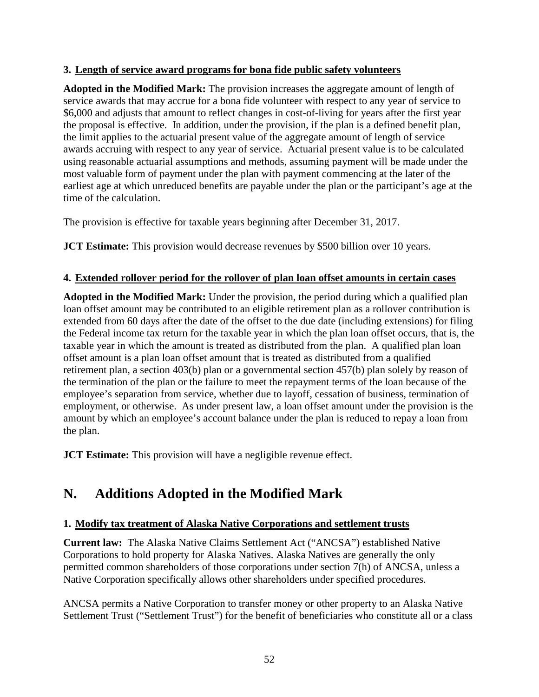#### **3. Length of service award programs for bona fide public safety volunteers**

**Adopted in the Modified Mark:** The provision increases the aggregate amount of length of service awards that may accrue for a bona fide volunteer with respect to any year of service to \$6,000 and adjusts that amount to reflect changes in cost-of-living for years after the first year the proposal is effective. In addition, under the provision, if the plan is a defined benefit plan, the limit applies to the actuarial present value of the aggregate amount of length of service awards accruing with respect to any year of service. Actuarial present value is to be calculated using reasonable actuarial assumptions and methods, assuming payment will be made under the most valuable form of payment under the plan with payment commencing at the later of the earliest age at which unreduced benefits are payable under the plan or the participant's age at the time of the calculation.

The provision is effective for taxable years beginning after December 31, 2017.

**JCT Estimate:** This provision would decrease revenues by \$500 billion over 10 years.

#### **4. Extended rollover period for the rollover of plan loan offset amounts in certain cases**

**Adopted in the Modified Mark:** Under the provision, the period during which a qualified plan loan offset amount may be contributed to an eligible retirement plan as a rollover contribution is extended from 60 days after the date of the offset to the due date (including extensions) for filing the Federal income tax return for the taxable year in which the plan loan offset occurs, that is, the taxable year in which the amount is treated as distributed from the plan. A qualified plan loan offset amount is a plan loan offset amount that is treated as distributed from a qualified retirement plan, a section 403(b) plan or a governmental section 457(b) plan solely by reason of the termination of the plan or the failure to meet the repayment terms of the loan because of the employee's separation from service, whether due to layoff, cessation of business, termination of employment, or otherwise. As under present law, a loan offset amount under the provision is the amount by which an employee's account balance under the plan is reduced to repay a loan from the plan.

**JCT Estimate:** This provision will have a negligible revenue effect.

# **N. Additions Adopted in the Modified Mark**

#### **1. Modify tax treatment of Alaska Native Corporations and settlement trusts**

**Current law:** The Alaska Native Claims Settlement Act ("ANCSA") established Native Corporations to hold property for Alaska Natives. Alaska Natives are generally the only permitted common shareholders of those corporations under section 7(h) of ANCSA, unless a Native Corporation specifically allows other shareholders under specified procedures.

ANCSA permits a Native Corporation to transfer money or other property to an Alaska Native Settlement Trust ("Settlement Trust") for the benefit of beneficiaries who constitute all or a class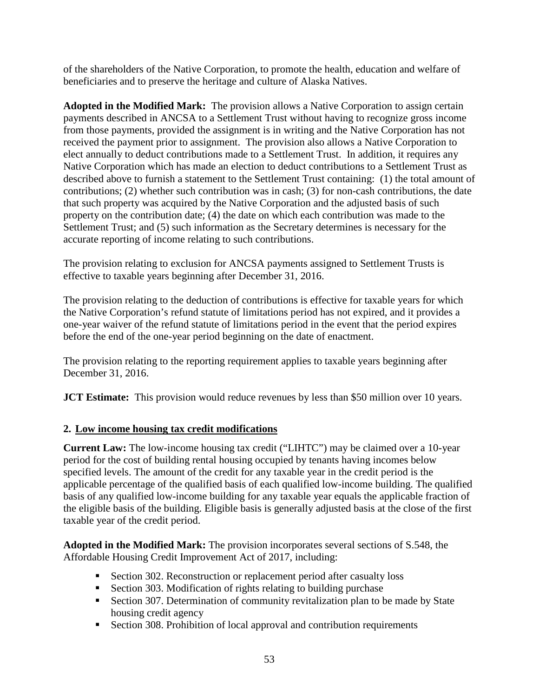of the shareholders of the Native Corporation, to promote the health, education and welfare of beneficiaries and to preserve the heritage and culture of Alaska Natives.

**Adopted in the Modified Mark:** The provision allows a Native Corporation to assign certain payments described in ANCSA to a Settlement Trust without having to recognize gross income from those payments, provided the assignment is in writing and the Native Corporation has not received the payment prior to assignment. The provision also allows a Native Corporation to elect annually to deduct contributions made to a Settlement Trust. In addition, it requires any Native Corporation which has made an election to deduct contributions to a Settlement Trust as described above to furnish a statement to the Settlement Trust containing: (1) the total amount of contributions; (2) whether such contribution was in cash; (3) for non-cash contributions, the date that such property was acquired by the Native Corporation and the adjusted basis of such property on the contribution date; (4) the date on which each contribution was made to the Settlement Trust; and (5) such information as the Secretary determines is necessary for the accurate reporting of income relating to such contributions.

The provision relating to exclusion for ANCSA payments assigned to Settlement Trusts is effective to taxable years beginning after December 31, 2016.

The provision relating to the deduction of contributions is effective for taxable years for which the Native Corporation's refund statute of limitations period has not expired, and it provides a one-year waiver of the refund statute of limitations period in the event that the period expires before the end of the one-year period beginning on the date of enactment.

The provision relating to the reporting requirement applies to taxable years beginning after December 31, 2016.

**JCT Estimate:** This provision would reduce revenues by less than \$50 million over 10 years.

# **2. Low income housing tax credit modifications**

**Current Law:** The low-income housing tax credit ("LIHTC") may be claimed over a 10-year period for the cost of building rental housing occupied by tenants having incomes below specified levels. The amount of the credit for any taxable year in the credit period is the applicable percentage of the qualified basis of each qualified low-income building. The qualified basis of any qualified low-income building for any taxable year equals the applicable fraction of the eligible basis of the building. Eligible basis is generally adjusted basis at the close of the first taxable year of the credit period.

**Adopted in the Modified Mark:** The provision incorporates several sections of S.548, the Affordable Housing Credit Improvement Act of 2017, including:

- Section 302. Reconstruction or replacement period after casualty loss
- Section 303. Modification of rights relating to building purchase
- Section 307. Determination of community revitalization plan to be made by State housing credit agency
- Section 308. Prohibition of local approval and contribution requirements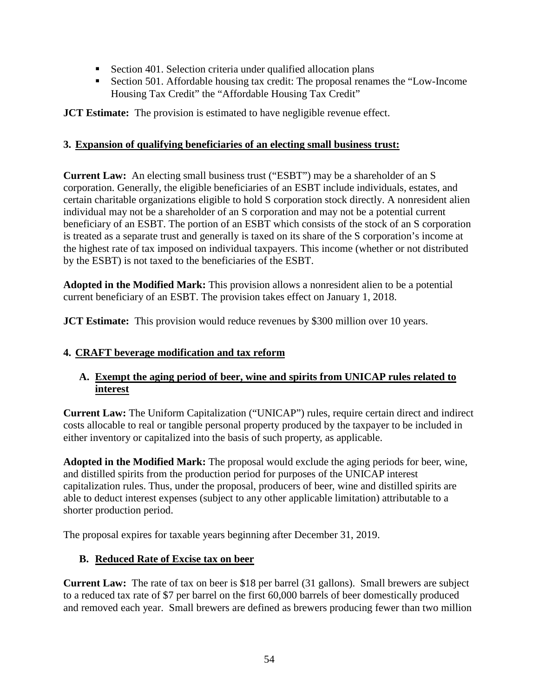- Section 401. Selection criteria under qualified allocation plans
- Section 501. Affordable housing tax credit: The proposal renames the "Low-Income Housing Tax Credit" the "Affordable Housing Tax Credit"

**JCT Estimate:** The provision is estimated to have negligible revenue effect.

#### **3. Expansion of qualifying beneficiaries of an electing small business trust:**

**Current Law:** An electing small business trust ("ESBT") may be a shareholder of an S corporation. Generally, the eligible beneficiaries of an ESBT include individuals, estates, and certain charitable organizations eligible to hold S corporation stock directly. A nonresident alien individual may not be a shareholder of an S corporation and may not be a potential current beneficiary of an ESBT. The portion of an ESBT which consists of the stock of an S corporation is treated as a separate trust and generally is taxed on its share of the S corporation's income at the highest rate of tax imposed on individual taxpayers. This income (whether or not distributed by the ESBT) is not taxed to the beneficiaries of the ESBT.

**Adopted in the Modified Mark:** This provision allows a nonresident alien to be a potential current beneficiary of an ESBT. The provision takes effect on January 1, 2018.

**JCT Estimate:** This provision would reduce revenues by \$300 million over 10 years.

# **4. CRAFT beverage modification and tax reform**

#### **A. Exempt the aging period of beer, wine and spirits from UNICAP rules related to interest**

**Current Law:** The Uniform Capitalization ("UNICAP") rules, require certain direct and indirect costs allocable to real or tangible personal property produced by the taxpayer to be included in either inventory or capitalized into the basis of such property, as applicable.

**Adopted in the Modified Mark:** The proposal would exclude the aging periods for beer, wine, and distilled spirits from the production period for purposes of the UNICAP interest capitalization rules. Thus, under the proposal, producers of beer, wine and distilled spirits are able to deduct interest expenses (subject to any other applicable limitation) attributable to a shorter production period.

The proposal expires for taxable years beginning after December 31, 2019.

# **B. Reduced Rate of Excise tax on beer**

**Current Law:** The rate of tax on beer is \$18 per barrel (31 gallons). Small brewers are subject to a reduced tax rate of \$7 per barrel on the first 60,000 barrels of beer domestically produced and removed each year. Small brewers are defined as brewers producing fewer than two million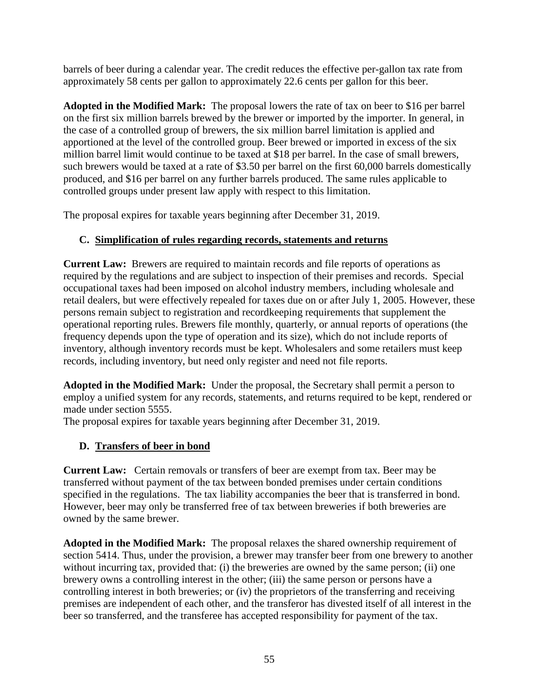barrels of beer during a calendar year. The credit reduces the effective per-gallon tax rate from approximately 58 cents per gallon to approximately 22.6 cents per gallon for this beer.

**Adopted in the Modified Mark:** The proposal lowers the rate of tax on beer to \$16 per barrel on the first six million barrels brewed by the brewer or imported by the importer. In general, in the case of a controlled group of brewers, the six million barrel limitation is applied and apportioned at the level of the controlled group. Beer brewed or imported in excess of the six million barrel limit would continue to be taxed at \$18 per barrel. In the case of small brewers, such brewers would be taxed at a rate of \$3.50 per barrel on the first 60,000 barrels domestically produced, and \$16 per barrel on any further barrels produced. The same rules applicable to controlled groups under present law apply with respect to this limitation.

The proposal expires for taxable years beginning after December 31, 2019.

# **C. Simplification of rules regarding records, statements and returns**

**Current Law:** Brewers are required to maintain records and file reports of operations as required by the regulations and are subject to inspection of their premises and records. Special occupational taxes had been imposed on alcohol industry members, including wholesale and retail dealers, but were effectively repealed for taxes due on or after July 1, 2005. However, these persons remain subject to registration and recordkeeping requirements that supplement the operational reporting rules. Brewers file monthly, quarterly, or annual reports of operations (the frequency depends upon the type of operation and its size), which do not include reports of inventory, although inventory records must be kept. Wholesalers and some retailers must keep records, including inventory, but need only register and need not file reports.

**Adopted in the Modified Mark:** Under the proposal, the Secretary shall permit a person to employ a unified system for any records, statements, and returns required to be kept, rendered or made under section 5555.

The proposal expires for taxable years beginning after December 31, 2019.

# **D. Transfers of beer in bond**

**Current Law:** Certain removals or transfers of beer are exempt from tax. Beer may be transferred without payment of the tax between bonded premises under certain conditions specified in the regulations. The tax liability accompanies the beer that is transferred in bond. However, beer may only be transferred free of tax between breweries if both breweries are owned by the same brewer.

**Adopted in the Modified Mark:** The proposal relaxes the shared ownership requirement of section 5414. Thus, under the provision, a brewer may transfer beer from one brewery to another without incurring tax, provided that: (i) the breweries are owned by the same person; (ii) one brewery owns a controlling interest in the other; (iii) the same person or persons have a controlling interest in both breweries; or (iv) the proprietors of the transferring and receiving premises are independent of each other, and the transferor has divested itself of all interest in the beer so transferred, and the transferee has accepted responsibility for payment of the tax.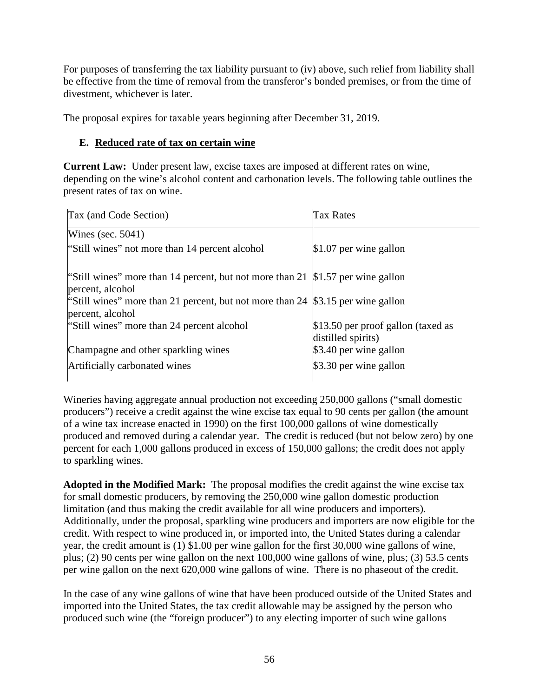For purposes of transferring the tax liability pursuant to (iv) above, such relief from liability shall be effective from the time of removal from the transferor's bonded premises, or from the time of divestment, whichever is later.

The proposal expires for taxable years beginning after December 31, 2019.

## **E. Reduced rate of tax on certain wine**

**Current Law:** Under present law, excise taxes are imposed at different rates on wine, depending on the wine's alcohol content and carbonation levels. The following table outlines the present rates of tax on wine.

| Tax (and Code Section)                                                                               | Tax Rates                                                |
|------------------------------------------------------------------------------------------------------|----------------------------------------------------------|
| Wines (sec. $5041$ )                                                                                 |                                                          |
| "Still wines" not more than 14 percent alcohol                                                       | $$1.07$ per wine gallon                                  |
| "Still wines" more than 14 percent, but not more than 21 $$1.57$ per wine gallon<br>percent, alcohol |                                                          |
| "Still wines" more than 21 percent, but not more than 24 $$3.15$ per wine gallon<br>percent, alcohol |                                                          |
| "Still wines" more than 24 percent alcohol                                                           | \$13.50 per proof gallon (taxed as<br>distilled spirits) |
| Champagne and other sparkling wines                                                                  | \$3.40 per wine gallon                                   |
| Artificially carbonated wines                                                                        | \$3.30 per wine gallon                                   |

Wineries having aggregate annual production not exceeding 250,000 gallons ("small domestic producers") receive a credit against the wine excise tax equal to 90 cents per gallon (the amount of a wine tax increase enacted in 1990) on the first 100,000 gallons of wine domestically produced and removed during a calendar year. The credit is reduced (but not below zero) by one percent for each 1,000 gallons produced in excess of 150,000 gallons; the credit does not apply to sparkling wines.

**Adopted in the Modified Mark:** The proposal modifies the credit against the wine excise tax for small domestic producers, by removing the 250,000 wine gallon domestic production limitation (and thus making the credit available for all wine producers and importers). Additionally, under the proposal, sparkling wine producers and importers are now eligible for the credit. With respect to wine produced in, or imported into, the United States during a calendar year, the credit amount is (1) \$1.00 per wine gallon for the first 30,000 wine gallons of wine, plus; (2) 90 cents per wine gallon on the next 100,000 wine gallons of wine, plus; (3) 53.5 cents per wine gallon on the next 620,000 wine gallons of wine. There is no phaseout of the credit.

In the case of any wine gallons of wine that have been produced outside of the United States and imported into the United States, the tax credit allowable may be assigned by the person who produced such wine (the "foreign producer") to any electing importer of such wine gallons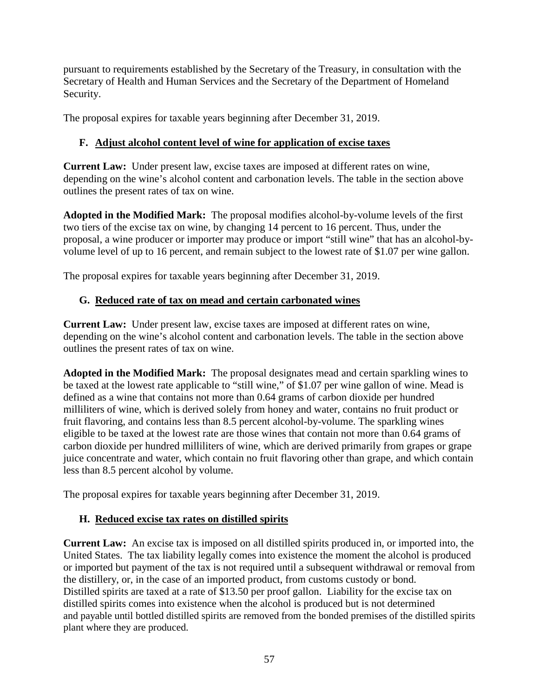pursuant to requirements established by the Secretary of the Treasury, in consultation with the Secretary of Health and Human Services and the Secretary of the Department of Homeland Security.

The proposal expires for taxable years beginning after December 31, 2019.

# **F. Adjust alcohol content level of wine for application of excise taxes**

**Current Law:** Under present law, excise taxes are imposed at different rates on wine, depending on the wine's alcohol content and carbonation levels. The table in the section above outlines the present rates of tax on wine.

**Adopted in the Modified Mark:** The proposal modifies alcohol-by-volume levels of the first two tiers of the excise tax on wine, by changing 14 percent to 16 percent. Thus, under the proposal, a wine producer or importer may produce or import "still wine" that has an alcohol-byvolume level of up to 16 percent, and remain subject to the lowest rate of \$1.07 per wine gallon.

The proposal expires for taxable years beginning after December 31, 2019.

# **G. Reduced rate of tax on mead and certain carbonated wines**

**Current Law:** Under present law, excise taxes are imposed at different rates on wine, depending on the wine's alcohol content and carbonation levels. The table in the section above outlines the present rates of tax on wine.

**Adopted in the Modified Mark:** The proposal designates mead and certain sparkling wines to be taxed at the lowest rate applicable to "still wine," of \$1.07 per wine gallon of wine. Mead is defined as a wine that contains not more than 0.64 grams of carbon dioxide per hundred milliliters of wine, which is derived solely from honey and water, contains no fruit product or fruit flavoring, and contains less than 8.5 percent alcohol-by-volume. The sparkling wines eligible to be taxed at the lowest rate are those wines that contain not more than 0.64 grams of carbon dioxide per hundred milliliters of wine, which are derived primarily from grapes or grape juice concentrate and water, which contain no fruit flavoring other than grape, and which contain less than 8.5 percent alcohol by volume.

The proposal expires for taxable years beginning after December 31, 2019.

# **H. Reduced excise tax rates on distilled spirits**

**Current Law:** An excise tax is imposed on all distilled spirits produced in, or imported into, the United States. The tax liability legally comes into existence the moment the alcohol is produced or imported but payment of the tax is not required until a subsequent withdrawal or removal from the distillery, or, in the case of an imported product, from customs custody or bond. Distilled spirits are taxed at a rate of \$13.50 per proof gallon. Liability for the excise tax on distilled spirits comes into existence when the alcohol is produced but is not determined and payable until bottled distilled spirits are removed from the bonded premises of the distilled spirits plant where they are produced.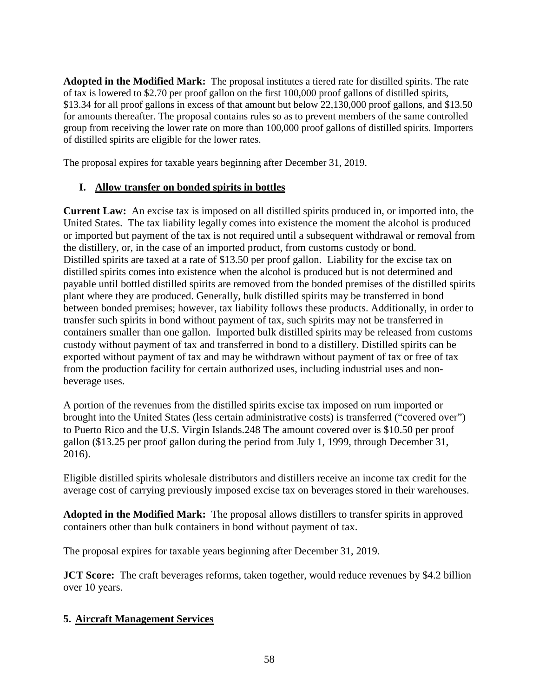**Adopted in the Modified Mark:** The proposal institutes a tiered rate for distilled spirits. The rate of tax is lowered to \$2.70 per proof gallon on the first 100,000 proof gallons of distilled spirits, \$13.34 for all proof gallons in excess of that amount but below 22,130,000 proof gallons, and \$13.50 for amounts thereafter. The proposal contains rules so as to prevent members of the same controlled group from receiving the lower rate on more than 100,000 proof gallons of distilled spirits. Importers of distilled spirits are eligible for the lower rates.

The proposal expires for taxable years beginning after December 31, 2019.

#### **I. Allow transfer on bonded spirits in bottles**

**Current Law:** An excise tax is imposed on all distilled spirits produced in, or imported into, the United States. The tax liability legally comes into existence the moment the alcohol is produced or imported but payment of the tax is not required until a subsequent withdrawal or removal from the distillery, or, in the case of an imported product, from customs custody or bond. Distilled spirits are taxed at a rate of \$13.50 per proof gallon. Liability for the excise tax on distilled spirits comes into existence when the alcohol is produced but is not determined and payable until bottled distilled spirits are removed from the bonded premises of the distilled spirits plant where they are produced. Generally, bulk distilled spirits may be transferred in bond between bonded premises; however, tax liability follows these products. Additionally, in order to transfer such spirits in bond without payment of tax, such spirits may not be transferred in containers smaller than one gallon. Imported bulk distilled spirits may be released from customs custody without payment of tax and transferred in bond to a distillery. Distilled spirits can be exported without payment of tax and may be withdrawn without payment of tax or free of tax from the production facility for certain authorized uses, including industrial uses and nonbeverage uses.

A portion of the revenues from the distilled spirits excise tax imposed on rum imported or brought into the United States (less certain administrative costs) is transferred ("covered over") to Puerto Rico and the U.S. Virgin Islands.248 The amount covered over is \$10.50 per proof gallon (\$13.25 per proof gallon during the period from July 1, 1999, through December 31, 2016).

Eligible distilled spirits wholesale distributors and distillers receive an income tax credit for the average cost of carrying previously imposed excise tax on beverages stored in their warehouses.

**Adopted in the Modified Mark:** The proposal allows distillers to transfer spirits in approved containers other than bulk containers in bond without payment of tax.

The proposal expires for taxable years beginning after December 31, 2019.

**JCT Score:** The craft beverages reforms, taken together, would reduce revenues by \$4.2 billion over 10 years.

#### **5. Aircraft Management Services**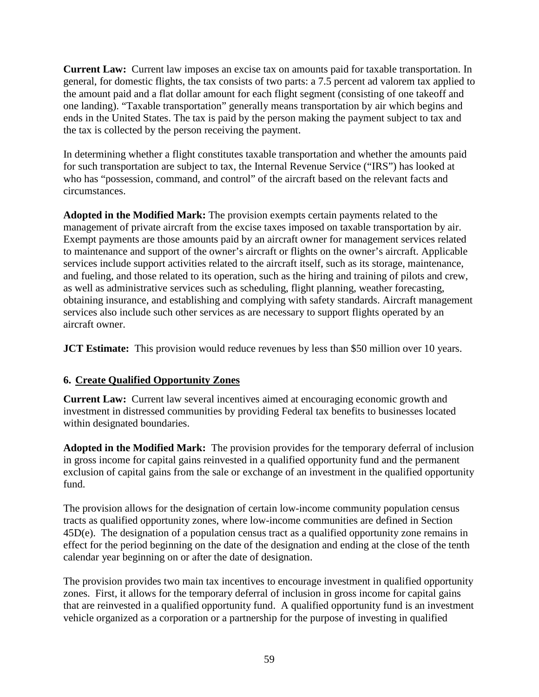**Current Law:** Current law imposes an excise tax on amounts paid for taxable transportation. In general, for domestic flights, the tax consists of two parts: a 7.5 percent ad valorem tax applied to the amount paid and a flat dollar amount for each flight segment (consisting of one takeoff and one landing). "Taxable transportation" generally means transportation by air which begins and ends in the United States. The tax is paid by the person making the payment subject to tax and the tax is collected by the person receiving the payment.

In determining whether a flight constitutes taxable transportation and whether the amounts paid for such transportation are subject to tax, the Internal Revenue Service ("IRS") has looked at who has "possession, command, and control" of the aircraft based on the relevant facts and circumstances.

**Adopted in the Modified Mark:** The provision exempts certain payments related to the management of private aircraft from the excise taxes imposed on taxable transportation by air. Exempt payments are those amounts paid by an aircraft owner for management services related to maintenance and support of the owner's aircraft or flights on the owner's aircraft. Applicable services include support activities related to the aircraft itself, such as its storage, maintenance, and fueling, and those related to its operation, such as the hiring and training of pilots and crew, as well as administrative services such as scheduling, flight planning, weather forecasting, obtaining insurance, and establishing and complying with safety standards. Aircraft management services also include such other services as are necessary to support flights operated by an aircraft owner.

**JCT Estimate:** This provision would reduce revenues by less than \$50 million over 10 years.

# **6. Create Qualified Opportunity Zones**

**Current Law:** Current law several incentives aimed at encouraging economic growth and investment in distressed communities by providing Federal tax benefits to businesses located within designated boundaries.

**Adopted in the Modified Mark:** The provision provides for the temporary deferral of inclusion in gross income for capital gains reinvested in a qualified opportunity fund and the permanent exclusion of capital gains from the sale or exchange of an investment in the qualified opportunity fund.

The provision allows for the designation of certain low-income community population census tracts as qualified opportunity zones, where low-income communities are defined in Section 45D(e). The designation of a population census tract as a qualified opportunity zone remains in effect for the period beginning on the date of the designation and ending at the close of the tenth calendar year beginning on or after the date of designation.

The provision provides two main tax incentives to encourage investment in qualified opportunity zones. First, it allows for the temporary deferral of inclusion in gross income for capital gains that are reinvested in a qualified opportunity fund. A qualified opportunity fund is an investment vehicle organized as a corporation or a partnership for the purpose of investing in qualified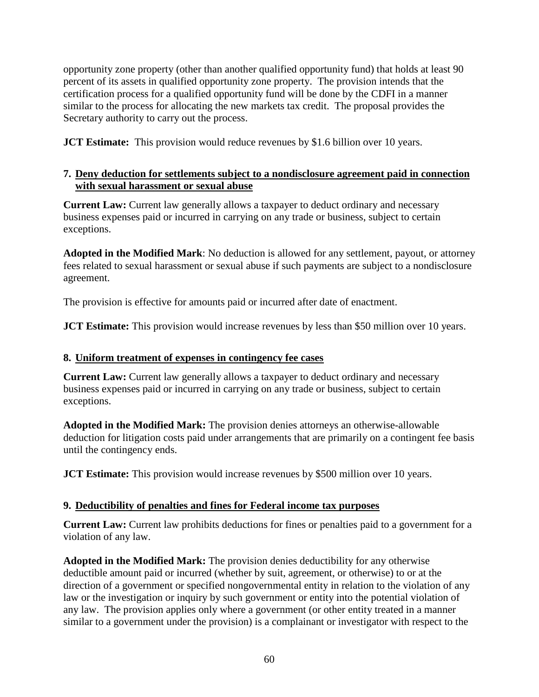opportunity zone property (other than another qualified opportunity fund) that holds at least 90 percent of its assets in qualified opportunity zone property. The provision intends that the certification process for a qualified opportunity fund will be done by the CDFI in a manner similar to the process for allocating the new markets tax credit. The proposal provides the Secretary authority to carry out the process.

**JCT Estimate:** This provision would reduce revenues by \$1.6 billion over 10 years.

#### **7. Deny deduction for settlements subject to a nondisclosure agreement paid in connection with sexual harassment or sexual abuse**

**Current Law:** Current law generally allows a taxpayer to deduct ordinary and necessary business expenses paid or incurred in carrying on any trade or business, subject to certain exceptions.

**Adopted in the Modified Mark**: No deduction is allowed for any settlement, payout, or attorney fees related to sexual harassment or sexual abuse if such payments are subject to a nondisclosure agreement.

The provision is effective for amounts paid or incurred after date of enactment.

**JCT Estimate:** This provision would increase revenues by less than \$50 million over 10 years.

#### **8. Uniform treatment of expenses in contingency fee cases**

**Current Law:** Current law generally allows a taxpayer to deduct ordinary and necessary business expenses paid or incurred in carrying on any trade or business, subject to certain exceptions.

**Adopted in the Modified Mark:** The provision denies attorneys an otherwise-allowable deduction for litigation costs paid under arrangements that are primarily on a contingent fee basis until the contingency ends.

**JCT Estimate:** This provision would increase revenues by \$500 million over 10 years.

#### **9. Deductibility of penalties and fines for Federal income tax purposes**

**Current Law:** Current law prohibits deductions for fines or penalties paid to a government for a violation of any law.

**Adopted in the Modified Mark:** The provision denies deductibility for any otherwise deductible amount paid or incurred (whether by suit, agreement, or otherwise) to or at the direction of a government or specified nongovernmental entity in relation to the violation of any law or the investigation or inquiry by such government or entity into the potential violation of any law. The provision applies only where a government (or other entity treated in a manner similar to a government under the provision) is a complainant or investigator with respect to the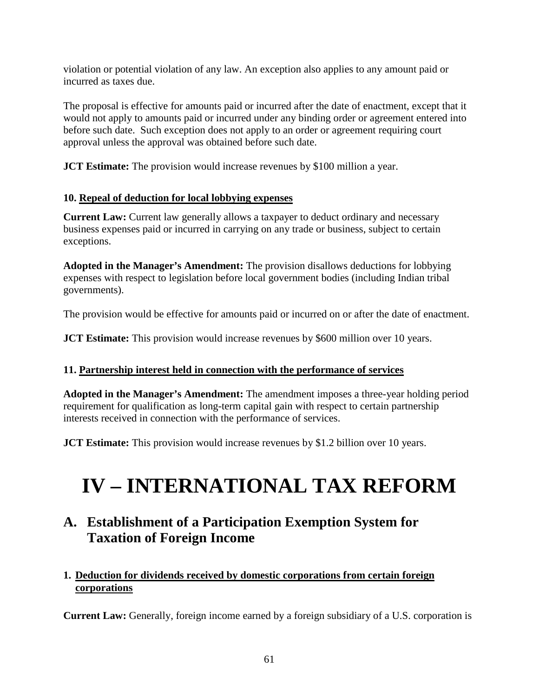violation or potential violation of any law. An exception also applies to any amount paid or incurred as taxes due.

The proposal is effective for amounts paid or incurred after the date of enactment, except that it would not apply to amounts paid or incurred under any binding order or agreement entered into before such date. Such exception does not apply to an order or agreement requiring court approval unless the approval was obtained before such date.

**JCT Estimate:** The provision would increase revenues by \$100 million a year.

# **10. Repeal of deduction for local lobbying expenses**

**Current Law:** Current law generally allows a taxpayer to deduct ordinary and necessary business expenses paid or incurred in carrying on any trade or business, subject to certain exceptions.

**Adopted in the Manager's Amendment:** The provision disallows deductions for lobbying expenses with respect to legislation before local government bodies (including Indian tribal governments).

The provision would be effective for amounts paid or incurred on or after the date of enactment.

**JCT Estimate:** This provision would increase revenues by \$600 million over 10 years.

# **11. Partnership interest held in connection with the performance of services**

**Adopted in the Manager's Amendment:** The amendment imposes a three-year holding period requirement for qualification as long-term capital gain with respect to certain partnership interests received in connection with the performance of services.

**JCT Estimate:** This provision would increase revenues by \$1.2 billion over 10 years.

# **IV – INTERNATIONAL TAX REFORM**

# **A. Establishment of a Participation Exemption System for Taxation of Foreign Income**

# **1. Deduction for dividends received by domestic corporations from certain foreign corporations**

**Current Law:** Generally, foreign income earned by a foreign subsidiary of a U.S. corporation is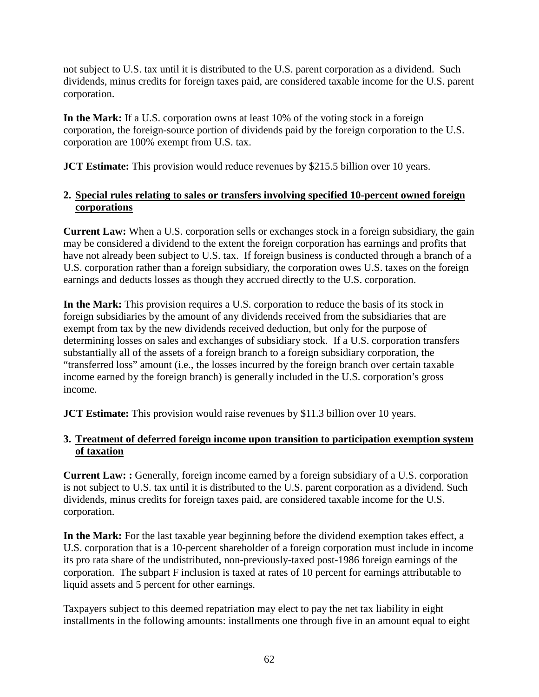not subject to U.S. tax until it is distributed to the U.S. parent corporation as a dividend. Such dividends, minus credits for foreign taxes paid, are considered taxable income for the U.S. parent corporation.

**In the Mark:** If a U.S. corporation owns at least 10% of the voting stock in a foreign corporation, the foreign-source portion of dividends paid by the foreign corporation to the U.S. corporation are 100% exempt from U.S. tax.

**JCT Estimate:** This provision would reduce revenues by \$215.5 billion over 10 years.

#### **2. Special rules relating to sales or transfers involving specified 10-percent owned foreign corporations**

**Current Law:** When a U.S. corporation sells or exchanges stock in a foreign subsidiary, the gain may be considered a dividend to the extent the foreign corporation has earnings and profits that have not already been subject to U.S. tax. If foreign business is conducted through a branch of a U.S. corporation rather than a foreign subsidiary, the corporation owes U.S. taxes on the foreign earnings and deducts losses as though they accrued directly to the U.S. corporation.

**In the Mark:** This provision requires a U.S. corporation to reduce the basis of its stock in foreign subsidiaries by the amount of any dividends received from the subsidiaries that are exempt from tax by the new dividends received deduction, but only for the purpose of determining losses on sales and exchanges of subsidiary stock. If a U.S. corporation transfers substantially all of the assets of a foreign branch to a foreign subsidiary corporation, the "transferred loss" amount (i.e., the losses incurred by the foreign branch over certain taxable income earned by the foreign branch) is generally included in the U.S. corporation's gross income.

**JCT Estimate:** This provision would raise revenues by \$11.3 billion over 10 years.

#### **3. Treatment of deferred foreign income upon transition to participation exemption system of taxation**

**Current Law: :** Generally, foreign income earned by a foreign subsidiary of a U.S. corporation is not subject to U.S. tax until it is distributed to the U.S. parent corporation as a dividend. Such dividends, minus credits for foreign taxes paid, are considered taxable income for the U.S. corporation.

**In the Mark:** For the last taxable year beginning before the dividend exemption takes effect, a U.S. corporation that is a 10-percent shareholder of a foreign corporation must include in income its pro rata share of the undistributed, non-previously-taxed post-1986 foreign earnings of the corporation. The subpart F inclusion is taxed at rates of 10 percent for earnings attributable to liquid assets and 5 percent for other earnings.

Taxpayers subject to this deemed repatriation may elect to pay the net tax liability in eight installments in the following amounts: installments one through five in an amount equal to eight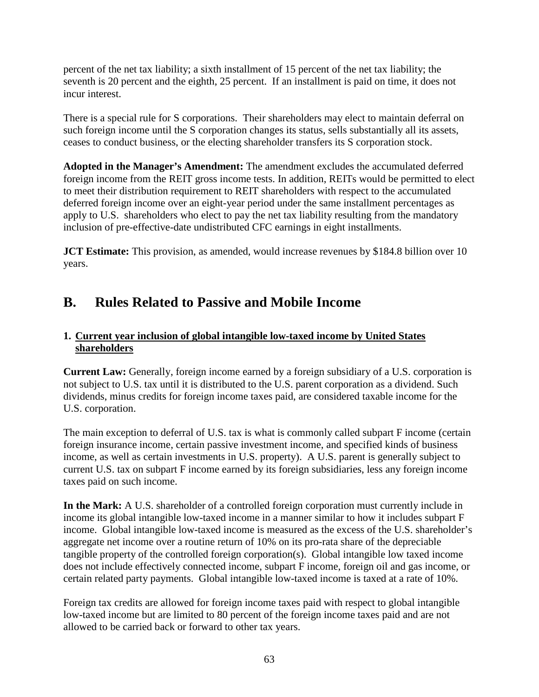percent of the net tax liability; a sixth installment of 15 percent of the net tax liability; the seventh is 20 percent and the eighth, 25 percent. If an installment is paid on time, it does not incur interest.

There is a special rule for S corporations. Their shareholders may elect to maintain deferral on such foreign income until the S corporation changes its status, sells substantially all its assets, ceases to conduct business, or the electing shareholder transfers its S corporation stock.

**Adopted in the Manager's Amendment:** The amendment excludes the accumulated deferred foreign income from the REIT gross income tests. In addition, REITs would be permitted to elect to meet their distribution requirement to REIT shareholders with respect to the accumulated deferred foreign income over an eight-year period under the same installment percentages as apply to U.S. shareholders who elect to pay the net tax liability resulting from the mandatory inclusion of pre-effective-date undistributed CFC earnings in eight installments.

**JCT Estimate:** This provision, as amended, would increase revenues by \$184.8 billion over 10 years.

# **B. Rules Related to Passive and Mobile Income**

# **1. Current year inclusion of global intangible low-taxed income by United States shareholders**

**Current Law:** Generally, foreign income earned by a foreign subsidiary of a U.S. corporation is not subject to U.S. tax until it is distributed to the U.S. parent corporation as a dividend. Such dividends, minus credits for foreign income taxes paid, are considered taxable income for the U.S. corporation.

The main exception to deferral of U.S. tax is what is commonly called subpart F income (certain foreign insurance income, certain passive investment income, and specified kinds of business income, as well as certain investments in U.S. property). A U.S. parent is generally subject to current U.S. tax on subpart F income earned by its foreign subsidiaries, less any foreign income taxes paid on such income.

**In the Mark:** A U.S. shareholder of a controlled foreign corporation must currently include in income its global intangible low-taxed income in a manner similar to how it includes subpart F income. Global intangible low-taxed income is measured as the excess of the U.S. shareholder's aggregate net income over a routine return of 10% on its pro-rata share of the depreciable tangible property of the controlled foreign corporation(s). Global intangible low taxed income does not include effectively connected income, subpart F income, foreign oil and gas income, or certain related party payments. Global intangible low-taxed income is taxed at a rate of 10%.

Foreign tax credits are allowed for foreign income taxes paid with respect to global intangible low-taxed income but are limited to 80 percent of the foreign income taxes paid and are not allowed to be carried back or forward to other tax years.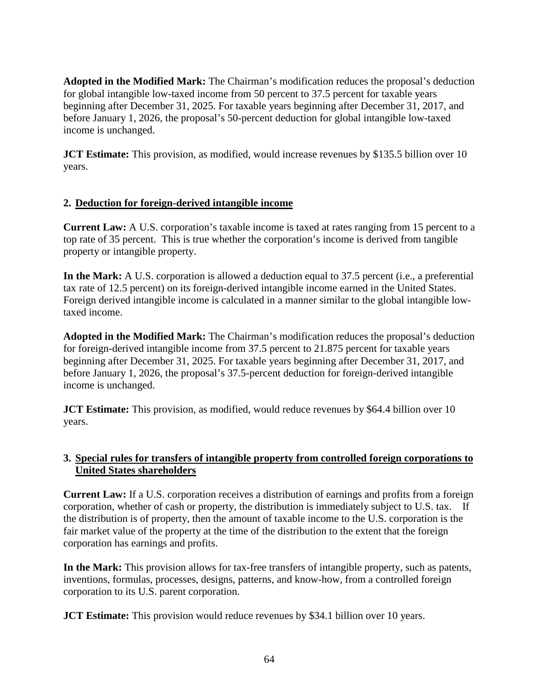**Adopted in the Modified Mark:** The Chairman's modification reduces the proposal's deduction for global intangible low-taxed income from 50 percent to 37.5 percent for taxable years beginning after December 31, 2025. For taxable years beginning after December 31, 2017, and before January 1, 2026, the proposal's 50-percent deduction for global intangible low-taxed income is unchanged.

**JCT Estimate:** This provision, as modified, would increase revenues by \$135.5 billion over 10 years.

#### **2. Deduction for foreign-derived intangible income**

**Current Law:** A U.S. corporation's taxable income is taxed at rates ranging from 15 percent to a top rate of 35 percent. This is true whether the corporation's income is derived from tangible property or intangible property.

**In the Mark:** A U.S. corporation is allowed a deduction equal to 37.5 percent (i.e., a preferential tax rate of 12.5 percent) on its foreign-derived intangible income earned in the United States. Foreign derived intangible income is calculated in a manner similar to the global intangible lowtaxed income.

**Adopted in the Modified Mark:** The Chairman's modification reduces the proposal's deduction for foreign-derived intangible income from 37.5 percent to 21.875 percent for taxable years beginning after December 31, 2025. For taxable years beginning after December 31, 2017, and before January 1, 2026, the proposal's 37.5-percent deduction for foreign-derived intangible income is unchanged.

**JCT Estimate:** This provision, as modified, would reduce revenues by \$64.4 billion over 10 years.

#### **3. Special rules for transfers of intangible property from controlled foreign corporations to United States shareholders**

**Current Law:** If a U.S. corporation receives a distribution of earnings and profits from a foreign corporation, whether of cash or property, the distribution is immediately subject to U.S. tax. If the distribution is of property, then the amount of taxable income to the U.S. corporation is the fair market value of the property at the time of the distribution to the extent that the foreign corporation has earnings and profits.

**In the Mark:** This provision allows for tax-free transfers of intangible property, such as patents, inventions, formulas, processes, designs, patterns, and know-how, from a controlled foreign corporation to its U.S. parent corporation.

**JCT Estimate:** This provision would reduce revenues by \$34.1 billion over 10 years.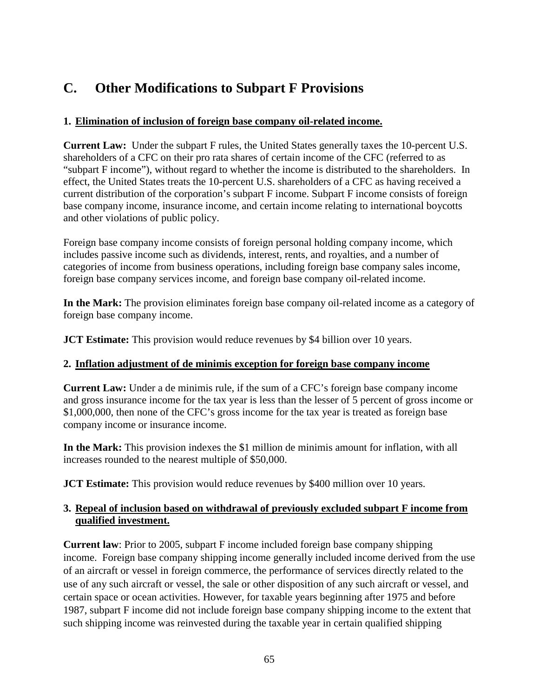# **C. Other Modifications to Subpart F Provisions**

## **1. Elimination of inclusion of foreign base company oil-related income.**

**Current Law:** Under the subpart F rules, the United States generally taxes the 10-percent U.S. shareholders of a CFC on their pro rata shares of certain income of the CFC (referred to as "subpart F income"), without regard to whether the income is distributed to the shareholders. In effect, the United States treats the 10-percent U.S. shareholders of a CFC as having received a current distribution of the corporation's subpart F income. Subpart F income consists of foreign base company income, insurance income, and certain income relating to international boycotts and other violations of public policy.

Foreign base company income consists of foreign personal holding company income, which includes passive income such as dividends, interest, rents, and royalties, and a number of categories of income from business operations, including foreign base company sales income, foreign base company services income, and foreign base company oil-related income.

**In the Mark:** The provision eliminates foreign base company oil-related income as a category of foreign base company income.

**JCT Estimate:** This provision would reduce revenues by \$4 billion over 10 years.

# **2. Inflation adjustment of de minimis exception for foreign base company income**

**Current Law:** Under a de minimis rule, if the sum of a CFC's foreign base company income and gross insurance income for the tax year is less than the lesser of 5 percent of gross income or \$1,000,000, then none of the CFC's gross income for the tax year is treated as foreign base company income or insurance income.

**In the Mark:** This provision indexes the \$1 million de minimis amount for inflation, with all increases rounded to the nearest multiple of \$50,000.

**JCT Estimate:** This provision would reduce revenues by \$400 million over 10 years.

# **3. Repeal of inclusion based on withdrawal of previously excluded subpart F income from qualified investment.**

**Current law**: Prior to 2005, subpart F income included foreign base company shipping income. Foreign base company shipping income generally included income derived from the use of an aircraft or vessel in foreign commerce, the performance of services directly related to the use of any such aircraft or vessel, the sale or other disposition of any such aircraft or vessel, and certain space or ocean activities. However, for taxable years beginning after 1975 and before 1987, subpart F income did not include foreign base company shipping income to the extent that such shipping income was reinvested during the taxable year in certain qualified shipping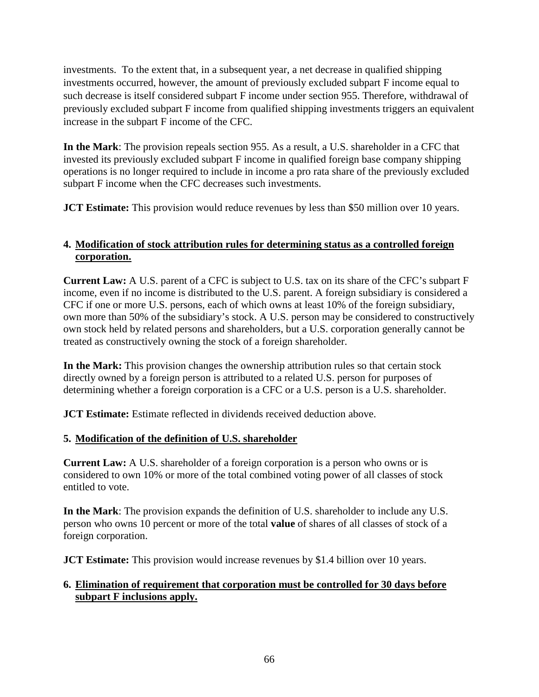investments. To the extent that, in a subsequent year, a net decrease in qualified shipping investments occurred, however, the amount of previously excluded subpart F income equal to such decrease is itself considered subpart F income under section 955. Therefore, withdrawal of previously excluded subpart F income from qualified shipping investments triggers an equivalent increase in the subpart F income of the CFC.

**In the Mark**: The provision repeals section 955. As a result, a U.S. shareholder in a CFC that invested its previously excluded subpart F income in qualified foreign base company shipping operations is no longer required to include in income a pro rata share of the previously excluded subpart F income when the CFC decreases such investments.

**JCT Estimate:** This provision would reduce revenues by less than \$50 million over 10 years.

#### **4. Modification of stock attribution rules for determining status as a controlled foreign corporation.**

**Current Law:** A U.S. parent of a CFC is subject to U.S. tax on its share of the CFC's subpart F income, even if no income is distributed to the U.S. parent. A foreign subsidiary is considered a CFC if one or more U.S. persons, each of which owns at least 10% of the foreign subsidiary, own more than 50% of the subsidiary's stock. A U.S. person may be considered to constructively own stock held by related persons and shareholders, but a U.S. corporation generally cannot be treated as constructively owning the stock of a foreign shareholder.

**In the Mark:** This provision changes the ownership attribution rules so that certain stock directly owned by a foreign person is attributed to a related U.S. person for purposes of determining whether a foreign corporation is a CFC or a U.S. person is a U.S. shareholder.

**JCT Estimate:** Estimate reflected in dividends received deduction above.

#### **5. Modification of the definition of U.S. shareholder**

**Current Law:** A U.S. shareholder of a foreign corporation is a person who owns or is considered to own 10% or more of the total combined voting power of all classes of stock entitled to vote.

**In the Mark**: The provision expands the definition of U.S. shareholder to include any U.S. person who owns 10 percent or more of the total **value** of shares of all classes of stock of a foreign corporation.

**JCT Estimate:** This provision would increase revenues by \$1.4 billion over 10 years.

#### **6. Elimination of requirement that corporation must be controlled for 30 days before subpart F inclusions apply.**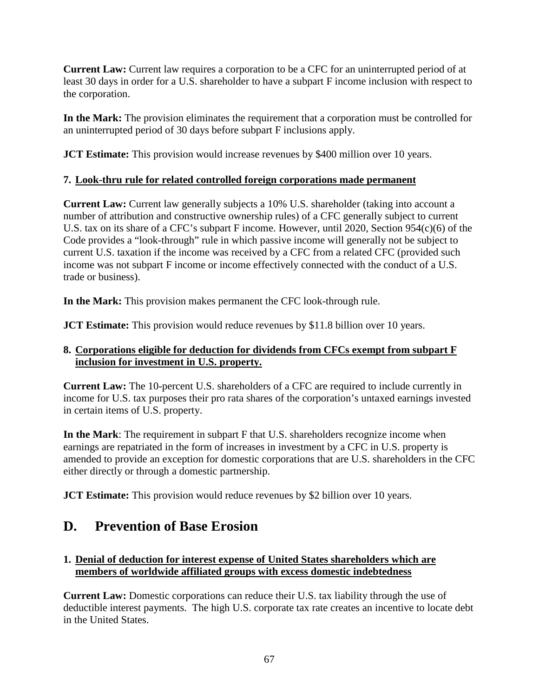**Current Law:** Current law requires a corporation to be a CFC for an uninterrupted period of at least 30 days in order for a U.S. shareholder to have a subpart F income inclusion with respect to the corporation.

**In the Mark:** The provision eliminates the requirement that a corporation must be controlled for an uninterrupted period of 30 days before subpart F inclusions apply.

**JCT Estimate:** This provision would increase revenues by \$400 million over 10 years.

#### **7. Look-thru rule for related controlled foreign corporations made permanent**

**Current Law:** Current law generally subjects a 10% U.S. shareholder (taking into account a number of attribution and constructive ownership rules) of a CFC generally subject to current U.S. tax on its share of a CFC's subpart F income. However, until 2020, Section 954(c)(6) of the Code provides a "look-through" rule in which passive income will generally not be subject to current U.S. taxation if the income was received by a CFC from a related CFC (provided such income was not subpart F income or income effectively connected with the conduct of a U.S. trade or business).

**In the Mark:** This provision makes permanent the CFC look-through rule.

**JCT Estimate:** This provision would reduce revenues by \$11.8 billion over 10 years.

#### **8. Corporations eligible for deduction for dividends from CFCs exempt from subpart F inclusion for investment in U.S. property.**

**Current Law:** The 10-percent U.S. shareholders of a CFC are required to include currently in income for U.S. tax purposes their pro rata shares of the corporation's untaxed earnings invested in certain items of U.S. property.

**In the Mark**: The requirement in subpart F that U.S. shareholders recognize income when earnings are repatriated in the form of increases in investment by a CFC in U.S. property is amended to provide an exception for domestic corporations that are U.S. shareholders in the CFC either directly or through a domestic partnership.

**JCT Estimate:** This provision would reduce revenues by \$2 billion over 10 years.

# **D. Prevention of Base Erosion**

#### **1. Denial of deduction for interest expense of United States shareholders which are members of worldwide affiliated groups with excess domestic indebtedness**

**Current Law:** Domestic corporations can reduce their U.S. tax liability through the use of deductible interest payments. The high U.S. corporate tax rate creates an incentive to locate debt in the United States.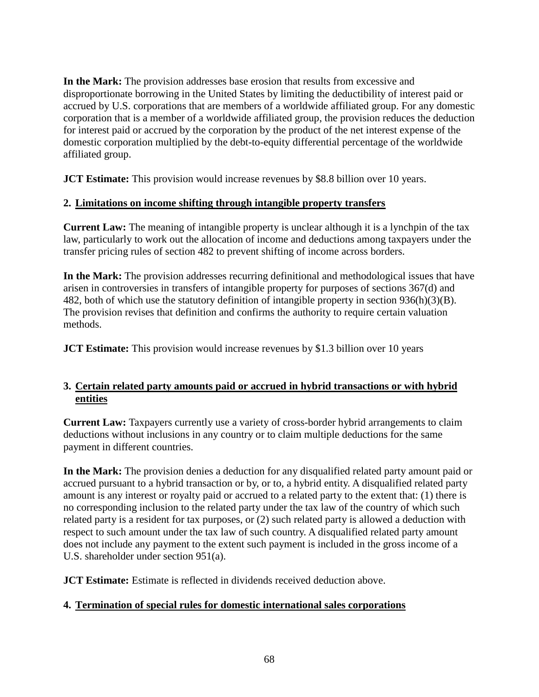**In the Mark:** The provision addresses base erosion that results from excessive and disproportionate borrowing in the United States by limiting the deductibility of interest paid or accrued by U.S. corporations that are members of a worldwide affiliated group. For any domestic corporation that is a member of a worldwide affiliated group, the provision reduces the deduction for interest paid or accrued by the corporation by the product of the net interest expense of the domestic corporation multiplied by the debt-to-equity differential percentage of the worldwide affiliated group.

**JCT Estimate:** This provision would increase revenues by \$8.8 billion over 10 years.

#### **2. Limitations on income shifting through intangible property transfers**

**Current Law:** The meaning of intangible property is unclear although it is a lynchpin of the tax law, particularly to work out the allocation of income and deductions among taxpayers under the transfer pricing rules of section 482 to prevent shifting of income across borders.

**In the Mark:** The provision addresses recurring definitional and methodological issues that have arisen in controversies in transfers of intangible property for purposes of sections 367(d) and 482, both of which use the statutory definition of intangible property in section 936(h)(3)(B). The provision revises that definition and confirms the authority to require certain valuation methods.

**JCT Estimate:** This provision would increase revenues by \$1.3 billion over 10 years

#### **3. Certain related party amounts paid or accrued in hybrid transactions or with hybrid entities**

**Current Law:** Taxpayers currently use a variety of cross-border hybrid arrangements to claim deductions without inclusions in any country or to claim multiple deductions for the same payment in different countries.

**In the Mark:** The provision denies a deduction for any disqualified related party amount paid or accrued pursuant to a hybrid transaction or by, or to, a hybrid entity. A disqualified related party amount is any interest or royalty paid or accrued to a related party to the extent that: (1) there is no corresponding inclusion to the related party under the tax law of the country of which such related party is a resident for tax purposes, or (2) such related party is allowed a deduction with respect to such amount under the tax law of such country. A disqualified related party amount does not include any payment to the extent such payment is included in the gross income of a U.S. shareholder under section 951(a).

**JCT Estimate:** Estimate is reflected in dividends received deduction above.

# **4. Termination of special rules for domestic international sales corporations**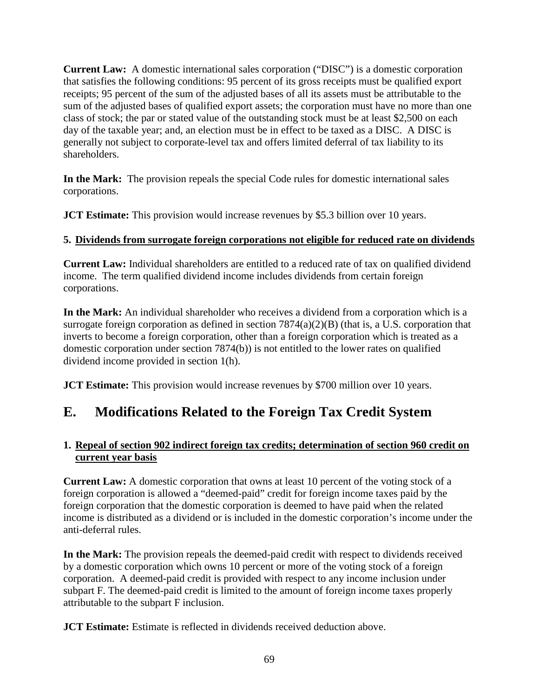**Current Law:** A domestic international sales corporation ("DISC") is a domestic corporation that satisfies the following conditions: 95 percent of its gross receipts must be qualified export receipts; 95 percent of the sum of the adjusted bases of all its assets must be attributable to the sum of the adjusted bases of qualified export assets; the corporation must have no more than one class of stock; the par or stated value of the outstanding stock must be at least \$2,500 on each day of the taxable year; and, an election must be in effect to be taxed as a DISC. A DISC is generally not subject to corporate-level tax and offers limited deferral of tax liability to its shareholders.

**In the Mark:** The provision repeals the special Code rules for domestic international sales corporations.

**JCT Estimate:** This provision would increase revenues by \$5.3 billion over 10 years.

#### **5. Dividends from surrogate foreign corporations not eligible for reduced rate on dividends**

**Current Law:** Individual shareholders are entitled to a reduced rate of tax on qualified dividend income. The term qualified dividend income includes dividends from certain foreign corporations.

**In the Mark:** An individual shareholder who receives a dividend from a corporation which is a surrogate foreign corporation as defined in section 7874(a)(2)(B) (that is, a U.S. corporation that inverts to become a foreign corporation, other than a foreign corporation which is treated as a domestic corporation under section 7874(b)) is not entitled to the lower rates on qualified dividend income provided in section 1(h).

**JCT Estimate:** This provision would increase revenues by \$700 million over 10 years.

# **E. Modifications Related to the Foreign Tax Credit System**

#### **1. Repeal of section 902 indirect foreign tax credits; determination of section 960 credit on current year basis**

**Current Law:** A domestic corporation that owns at least 10 percent of the voting stock of a foreign corporation is allowed a "deemed-paid" credit for foreign income taxes paid by the foreign corporation that the domestic corporation is deemed to have paid when the related income is distributed as a dividend or is included in the domestic corporation's income under the anti-deferral rules.

**In the Mark:** The provision repeals the deemed-paid credit with respect to dividends received by a domestic corporation which owns 10 percent or more of the voting stock of a foreign corporation. A deemed-paid credit is provided with respect to any income inclusion under subpart F. The deemed-paid credit is limited to the amount of foreign income taxes properly attributable to the subpart F inclusion.

**JCT Estimate:** Estimate is reflected in dividends received deduction above.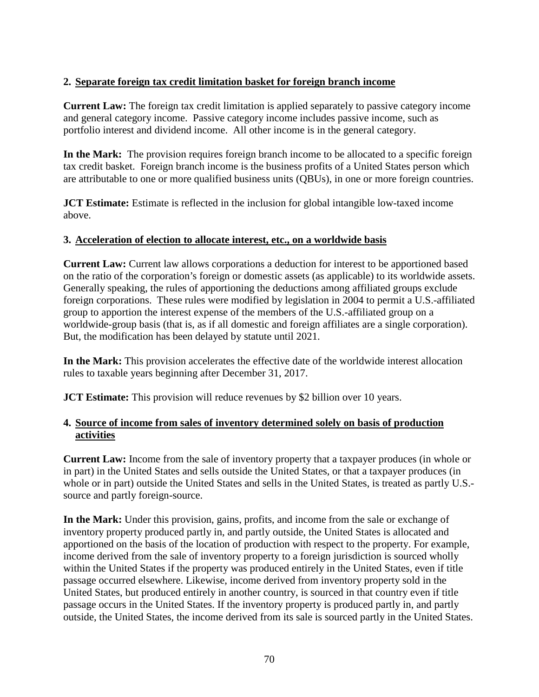#### **2. Separate foreign tax credit limitation basket for foreign branch income**

**Current Law:** The foreign tax credit limitation is applied separately to passive category income and general category income. Passive category income includes passive income, such as portfolio interest and dividend income. All other income is in the general category.

**In the Mark:** The provision requires foreign branch income to be allocated to a specific foreign tax credit basket. Foreign branch income is the business profits of a United States person which are attributable to one or more qualified business units (QBUs), in one or more foreign countries.

**JCT Estimate:** Estimate is reflected in the inclusion for global intangible low-taxed income above.

#### **3. Acceleration of election to allocate interest, etc., on a worldwide basis**

**Current Law:** Current law allows corporations a deduction for interest to be apportioned based on the ratio of the corporation's foreign or domestic assets (as applicable) to its worldwide assets. Generally speaking, the rules of apportioning the deductions among affiliated groups exclude foreign corporations. These rules were modified by legislation in 2004 to permit a U.S.-affiliated group to apportion the interest expense of the members of the U.S.-affiliated group on a worldwide-group basis (that is, as if all domestic and foreign affiliates are a single corporation). But, the modification has been delayed by statute until 2021.

**In the Mark:** This provision accelerates the effective date of the worldwide interest allocation rules to taxable years beginning after December 31, 2017.

**JCT Estimate:** This provision will reduce revenues by \$2 billion over 10 years.

#### **4. Source of income from sales of inventory determined solely on basis of production activities**

**Current Law:** Income from the sale of inventory property that a taxpayer produces (in whole or in part) in the United States and sells outside the United States, or that a taxpayer produces (in whole or in part) outside the United States and sells in the United States, is treated as partly U.S. source and partly foreign-source.

**In the Mark:** Under this provision, gains, profits, and income from the sale or exchange of inventory property produced partly in, and partly outside, the United States is allocated and apportioned on the basis of the location of production with respect to the property. For example, income derived from the sale of inventory property to a foreign jurisdiction is sourced wholly within the United States if the property was produced entirely in the United States, even if title passage occurred elsewhere. Likewise, income derived from inventory property sold in the United States, but produced entirely in another country, is sourced in that country even if title passage occurs in the United States. If the inventory property is produced partly in, and partly outside, the United States, the income derived from its sale is sourced partly in the United States.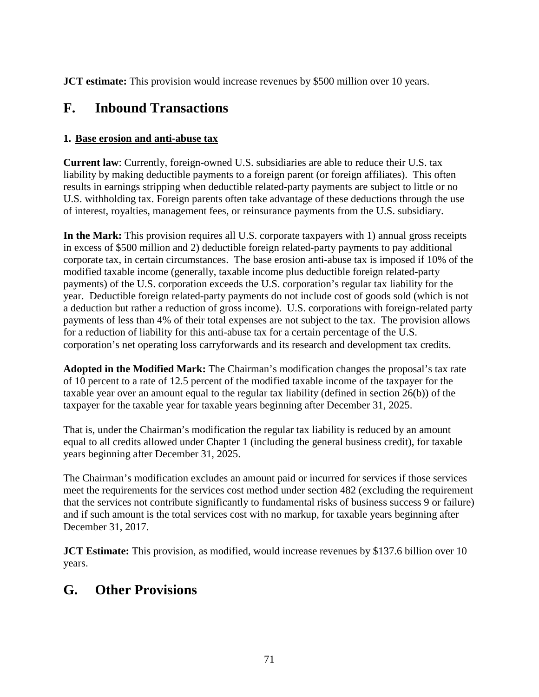**JCT estimate:** This provision would increase revenues by \$500 million over 10 years.

# **F. Inbound Transactions**

#### **1. Base erosion and anti-abuse tax**

**Current law**: Currently, foreign-owned U.S. subsidiaries are able to reduce their U.S. tax liability by making deductible payments to a foreign parent (or foreign affiliates). This often results in earnings stripping when deductible related-party payments are subject to little or no U.S. withholding tax. Foreign parents often take advantage of these deductions through the use of interest, royalties, management fees, or reinsurance payments from the U.S. subsidiary.

**In the Mark:** This provision requires all U.S. corporate taxpayers with 1) annual gross receipts in excess of \$500 million and 2) deductible foreign related-party payments to pay additional corporate tax, in certain circumstances. The base erosion anti-abuse tax is imposed if 10% of the modified taxable income (generally, taxable income plus deductible foreign related-party payments) of the U.S. corporation exceeds the U.S. corporation's regular tax liability for the year. Deductible foreign related-party payments do not include cost of goods sold (which is not a deduction but rather a reduction of gross income). U.S. corporations with foreign-related party payments of less than 4% of their total expenses are not subject to the tax. The provision allows for a reduction of liability for this anti-abuse tax for a certain percentage of the U.S. corporation's net operating loss carryforwards and its research and development tax credits.

**Adopted in the Modified Mark:** The Chairman's modification changes the proposal's tax rate of 10 percent to a rate of 12.5 percent of the modified taxable income of the taxpayer for the taxable year over an amount equal to the regular tax liability (defined in section 26(b)) of the taxpayer for the taxable year for taxable years beginning after December 31, 2025.

That is, under the Chairman's modification the regular tax liability is reduced by an amount equal to all credits allowed under Chapter 1 (including the general business credit), for taxable years beginning after December 31, 2025.

The Chairman's modification excludes an amount paid or incurred for services if those services meet the requirements for the services cost method under section 482 (excluding the requirement that the services not contribute significantly to fundamental risks of business success 9 or failure) and if such amount is the total services cost with no markup, for taxable years beginning after December 31, 2017.

**JCT Estimate:** This provision, as modified, would increase revenues by \$137.6 billion over 10 years.

# **G. Other Provisions**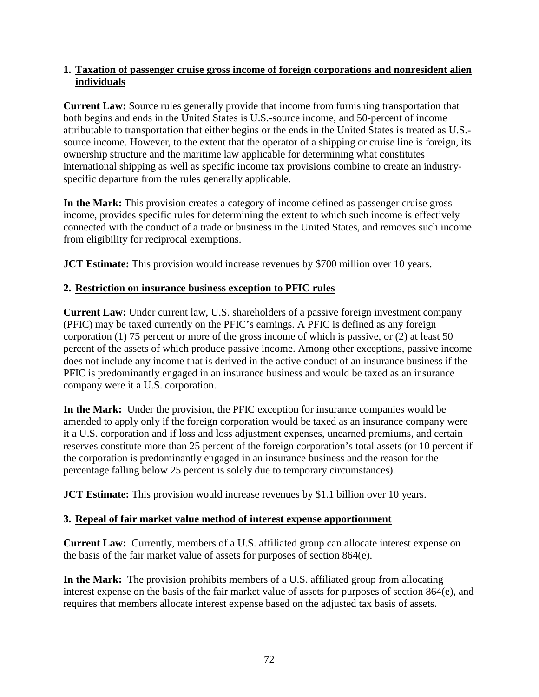#### **1. Taxation of passenger cruise gross income of foreign corporations and nonresident alien individuals**

**Current Law:** Source rules generally provide that income from furnishing transportation that both begins and ends in the United States is U.S.-source income, and 50-percent of income attributable to transportation that either begins or the ends in the United States is treated as U.S. source income. However, to the extent that the operator of a shipping or cruise line is foreign, its ownership structure and the maritime law applicable for determining what constitutes international shipping as well as specific income tax provisions combine to create an industryspecific departure from the rules generally applicable.

**In the Mark:** This provision creates a category of income defined as passenger cruise gross income, provides specific rules for determining the extent to which such income is effectively connected with the conduct of a trade or business in the United States, and removes such income from eligibility for reciprocal exemptions.

**JCT Estimate:** This provision would increase revenues by \$700 million over 10 years.

#### **2. Restriction on insurance business exception to PFIC rules**

**Current Law:** Under current law, U.S. shareholders of a passive foreign investment company (PFIC) may be taxed currently on the PFIC's earnings. A PFIC is defined as any foreign corporation (1) 75 percent or more of the gross income of which is passive, or (2) at least 50 percent of the assets of which produce passive income. Among other exceptions, passive income does not include any income that is derived in the active conduct of an insurance business if the PFIC is predominantly engaged in an insurance business and would be taxed as an insurance company were it a U.S. corporation.

**In the Mark:** Under the provision, the PFIC exception for insurance companies would be amended to apply only if the foreign corporation would be taxed as an insurance company were it a U.S. corporation and if loss and loss adjustment expenses, unearned premiums, and certain reserves constitute more than 25 percent of the foreign corporation's total assets (or 10 percent if the corporation is predominantly engaged in an insurance business and the reason for the percentage falling below 25 percent is solely due to temporary circumstances).

**JCT Estimate:** This provision would increase revenues by \$1.1 billion over 10 years.

#### **3. Repeal of fair market value method of interest expense apportionment**

**Current Law:** Currently, members of a U.S. affiliated group can allocate interest expense on the basis of the fair market value of assets for purposes of section 864(e).

**In the Mark:** The provision prohibits members of a U.S. affiliated group from allocating interest expense on the basis of the fair market value of assets for purposes of section 864(e), and requires that members allocate interest expense based on the adjusted tax basis of assets.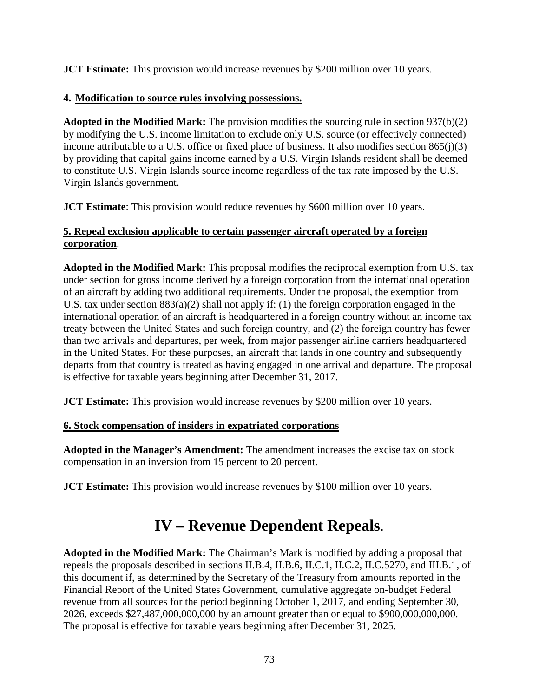**JCT Estimate:** This provision would increase revenues by \$200 million over 10 years.

## **4. Modification to source rules involving possessions.**

**Adopted in the Modified Mark:** The provision modifies the sourcing rule in section 937(b)(2) by modifying the U.S. income limitation to exclude only U.S. source (or effectively connected) income attributable to a U.S. office or fixed place of business. It also modifies section 865(j)(3) by providing that capital gains income earned by a U.S. Virgin Islands resident shall be deemed to constitute U.S. Virgin Islands source income regardless of the tax rate imposed by the U.S. Virgin Islands government.

**JCT Estimate**: This provision would reduce revenues by \$600 million over 10 years.

## **5. Repeal exclusion applicable to certain passenger aircraft operated by a foreign corporation**.

**Adopted in the Modified Mark:** This proposal modifies the reciprocal exemption from U.S. tax under section for gross income derived by a foreign corporation from the international operation of an aircraft by adding two additional requirements. Under the proposal, the exemption from U.S. tax under section 883(a)(2) shall not apply if: (1) the foreign corporation engaged in the international operation of an aircraft is headquartered in a foreign country without an income tax treaty between the United States and such foreign country, and (2) the foreign country has fewer than two arrivals and departures, per week, from major passenger airline carriers headquartered in the United States. For these purposes, an aircraft that lands in one country and subsequently departs from that country is treated as having engaged in one arrival and departure. The proposal is effective for taxable years beginning after December 31, 2017.

**JCT Estimate:** This provision would increase revenues by \$200 million over 10 years.

## **6. Stock compensation of insiders in expatriated corporations**

**Adopted in the Manager's Amendment:** The amendment increases the excise tax on stock compensation in an inversion from 15 percent to 20 percent.

**JCT Estimate:** This provision would increase revenues by \$100 million over 10 years.

## **IV – Revenue Dependent Repeals**.

**Adopted in the Modified Mark:** The Chairman's Mark is modified by adding a proposal that repeals the proposals described in sections II.B.4, II.B.6, II.C.1, II.C.2, II.C.5270, and III.B.1, of this document if, as determined by the Secretary of the Treasury from amounts reported in the Financial Report of the United States Government, cumulative aggregate on-budget Federal revenue from all sources for the period beginning October 1, 2017, and ending September 30, 2026, exceeds \$27,487,000,000,000 by an amount greater than or equal to \$900,000,000,000. The proposal is effective for taxable years beginning after December 31, 2025.